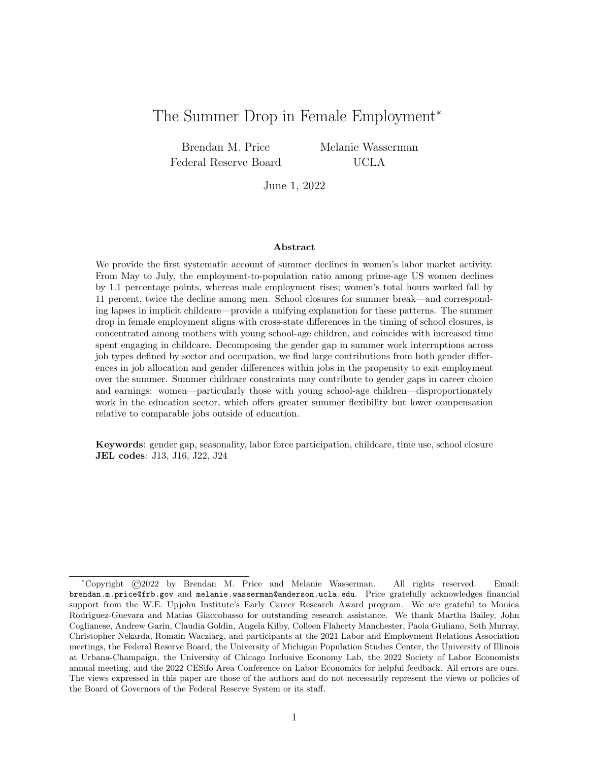# The Summer Drop in Female Employment<sup>∗</sup>

Brendan M. Price Federal Reserve Board Melanie Wasserman UCLA

June 1, 2022

#### Abstract

We provide the first systematic account of summer declines in women's labor market activity. From May to July, the employment-to-population ratio among prime-age US women declines by 1.1 percentage points, whereas male employment rises; women's total hours worked fall by 11 percent, twice the decline among men. School closures for summer break—and corresponding lapses in implicit childcare—provide a unifying explanation for these patterns. The summer drop in female employment aligns with cross-state differences in the timing of school closures, is concentrated among mothers with young school-age children, and coincides with increased time spent engaging in childcare. Decomposing the gender gap in summer work interruptions across job types defined by sector and occupation, we find large contributions from both gender differences in job allocation and gender differences within jobs in the propensity to exit employment over the summer. Summer childcare constraints may contribute to gender gaps in career choice and earnings: women—particularly those with young school-age children—disproportionately work in the education sector, which offers greater summer flexibility but lower compensation relative to comparable jobs outside of education.

Keywords: gender gap, seasonality, labor force participation, childcare, time use, school closure JEL codes: J13, J16, J22, J24

<sup>∗</sup>Copyright ©2022 by Brendan M. Price and Melanie Wasserman. All rights reserved. Email: brendan.m.price@frb.gov and melanie.wasserman@anderson.ucla.edu. Price gratefully acknowledges financial support from the W.E. Upjohn Institute's Early Career Research Award program. We are grateful to Monica Rodriguez-Guevara and Matias Giaccobasso for outstanding research assistance. We thank Martha Bailey, John Coglianese, Andrew Garin, Claudia Goldin, Angela Kilby, Colleen Flaherty Manchester, Paola Giuliano, Seth Murray, Christopher Nekarda, Romain Wacziarg, and participants at the 2021 Labor and Employment Relations Association meetings, the Federal Reserve Board, the University of Michigan Population Studies Center, the University of Illinois at Urbana-Champaign, the University of Chicago Inclusive Economy Lab, the 2022 Society of Labor Economists annual meeting, and the 2022 CESifo Area Conference on Labor Economics for helpful feedback. All errors are ours. The views expressed in this paper are those of the authors and do not necessarily represent the views or policies of the Board of Governors of the Federal Reserve System or its staff.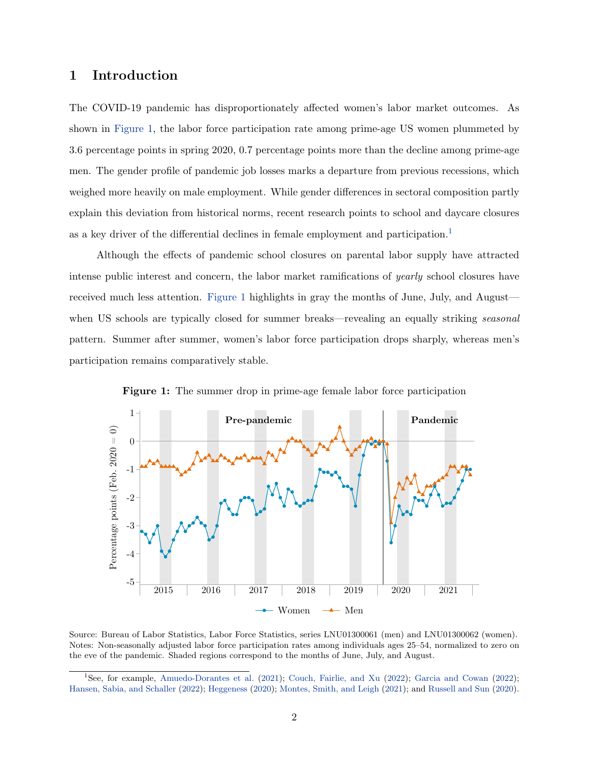# 1 Introduction

The COVID-19 pandemic has disproportionately affected women's labor market outcomes. As shown in [Figure 1,](#page-1-0) the labor force participation rate among prime-age US women plummeted by 3.6 percentage points in spring 2020, 0.7 percentage points more than the decline among prime-age men. The gender profile of pandemic job losses marks a departure from previous recessions, which weighed more heavily on male employment. While gender differences in sectoral composition partly explain this deviation from historical norms, recent research points to school and daycare closures as a key driver of the differential declines in female employment and participation.<sup>[1](#page-1-1)</sup>

Although the effects of pandemic school closures on parental labor supply have attracted intense public interest and concern, the labor market ramifications of yearly school closures have received much less attention. [Figure 1](#page-1-0) highlights in gray the months of June, July, and August when US schools are typically closed for summer breaks—revealing an equally striking *seasonal* pattern. Summer after summer, women's labor force participation drops sharply, whereas men's participation remains comparatively stable.

<span id="page-1-0"></span>

Figure 1: The summer drop in prime-age female labor force participation

Source: Bureau of Labor Statistics, Labor Force Statistics, series LNU01300061 (men) and LNU01300062 (women). Notes: Non-seasonally adjusted labor force participation rates among individuals ages 25–54, normalized to zero on the eve of the pandemic. Shaded regions correspond to the months of June, July, and August.

<span id="page-1-1"></span><sup>1</sup>See, for example, [Amuedo-Dorantes et al.](#page-30-0) [\(2021\)](#page-30-0); [Couch, Fairlie, and Xu](#page-31-0) [\(2022\)](#page-31-0); [Garcia and Cowan](#page-32-0) [\(2022\)](#page-32-0); [Hansen, Sabia, and Schaller](#page-32-1) [\(2022\)](#page-32-1); [Heggeness](#page-32-2) [\(2020\)](#page-32-2); [Montes, Smith, and Leigh](#page-33-0) [\(2021\)](#page-33-0); and [Russell and Sun](#page-33-1) [\(2020\)](#page-33-1).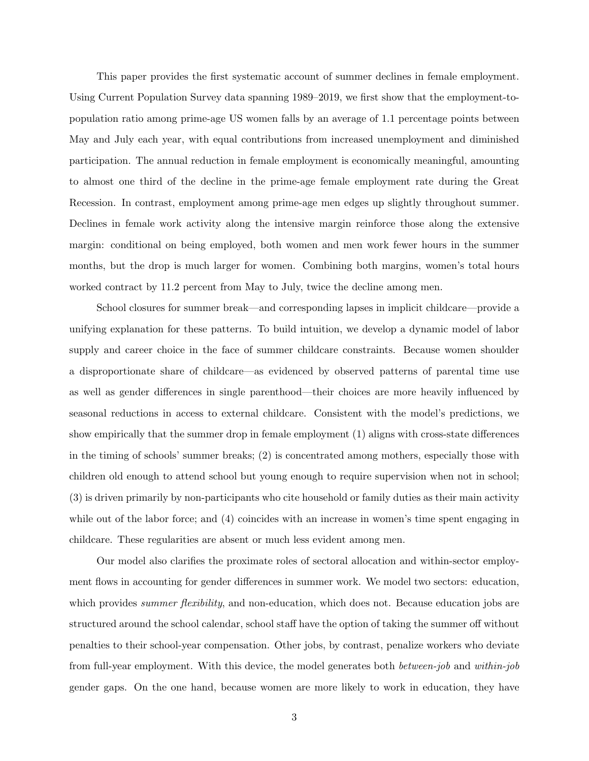This paper provides the first systematic account of summer declines in female employment. Using Current Population Survey data spanning 1989–2019, we first show that the employment-topopulation ratio among prime-age US women falls by an average of 1.1 percentage points between May and July each year, with equal contributions from increased unemployment and diminished participation. The annual reduction in female employment is economically meaningful, amounting to almost one third of the decline in the prime-age female employment rate during the Great Recession. In contrast, employment among prime-age men edges up slightly throughout summer. Declines in female work activity along the intensive margin reinforce those along the extensive margin: conditional on being employed, both women and men work fewer hours in the summer months, but the drop is much larger for women. Combining both margins, women's total hours worked contract by 11.2 percent from May to July, twice the decline among men.

School closures for summer break—and corresponding lapses in implicit childcare—provide a unifying explanation for these patterns. To build intuition, we develop a dynamic model of labor supply and career choice in the face of summer childcare constraints. Because women shoulder a disproportionate share of childcare—as evidenced by observed patterns of parental time use as well as gender differences in single parenthood—their choices are more heavily influenced by seasonal reductions in access to external childcare. Consistent with the model's predictions, we show empirically that the summer drop in female employment (1) aligns with cross-state differences in the timing of schools' summer breaks; (2) is concentrated among mothers, especially those with children old enough to attend school but young enough to require supervision when not in school; (3) is driven primarily by non-participants who cite household or family duties as their main activity while out of the labor force; and (4) coincides with an increase in women's time spent engaging in childcare. These regularities are absent or much less evident among men.

Our model also clarifies the proximate roles of sectoral allocation and within-sector employment flows in accounting for gender differences in summer work. We model two sectors: education, which provides *summer flexibility*, and non-education, which does not. Because education jobs are structured around the school calendar, school staff have the option of taking the summer off without penalties to their school-year compensation. Other jobs, by contrast, penalize workers who deviate from full-year employment. With this device, the model generates both between-job and within-job gender gaps. On the one hand, because women are more likely to work in education, they have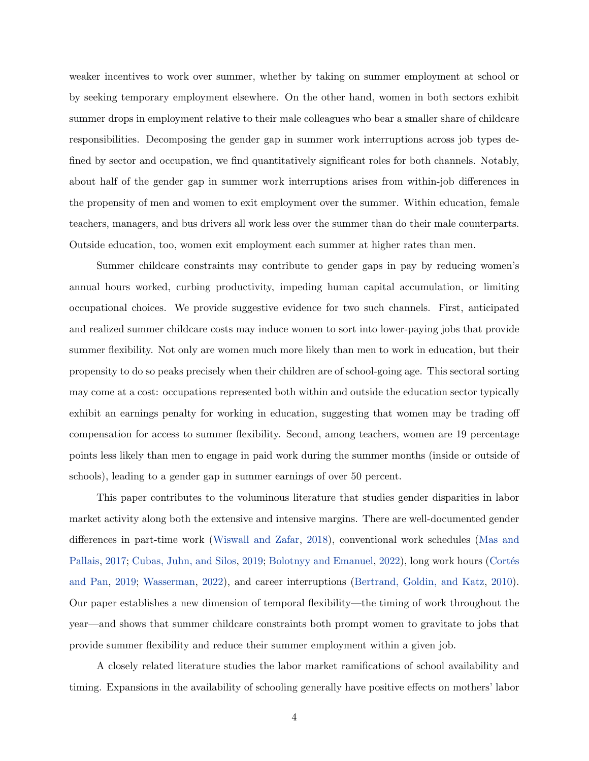weaker incentives to work over summer, whether by taking on summer employment at school or by seeking temporary employment elsewhere. On the other hand, women in both sectors exhibit summer drops in employment relative to their male colleagues who bear a smaller share of childcare responsibilities. Decomposing the gender gap in summer work interruptions across job types defined by sector and occupation, we find quantitatively significant roles for both channels. Notably, about half of the gender gap in summer work interruptions arises from within-job differences in the propensity of men and women to exit employment over the summer. Within education, female teachers, managers, and bus drivers all work less over the summer than do their male counterparts. Outside education, too, women exit employment each summer at higher rates than men.

Summer childcare constraints may contribute to gender gaps in pay by reducing women's annual hours worked, curbing productivity, impeding human capital accumulation, or limiting occupational choices. We provide suggestive evidence for two such channels. First, anticipated and realized summer childcare costs may induce women to sort into lower-paying jobs that provide summer flexibility. Not only are women much more likely than men to work in education, but their propensity to do so peaks precisely when their children are of school-going age. This sectoral sorting may come at a cost: occupations represented both within and outside the education sector typically exhibit an earnings penalty for working in education, suggesting that women may be trading off compensation for access to summer flexibility. Second, among teachers, women are 19 percentage points less likely than men to engage in paid work during the summer months (inside or outside of schools), leading to a gender gap in summer earnings of over 50 percent.

This paper contributes to the voluminous literature that studies gender disparities in labor market activity along both the extensive and intensive margins. There are well-documented gender differences in part-time work [\(Wiswall and Zafar,](#page-33-2) [2018\)](#page-33-2), conventional work schedules [\(Mas and](#page-33-3) [Pallais,](#page-33-3) [2017;](#page-33-3) [Cubas, Juhn, and Silos,](#page-31-1) [2019;](#page-31-1) [Bolotnyy and Emanuel,](#page-31-2) [2022\)](#page-31-2), long work hours (Cortés [and Pan,](#page-31-3) [2019;](#page-31-3) [Wasserman,](#page-33-4) [2022\)](#page-33-4), and career interruptions [\(Bertrand, Goldin, and Katz,](#page-31-4) [2010\)](#page-31-4). Our paper establishes a new dimension of temporal flexibility—the timing of work throughout the year—and shows that summer childcare constraints both prompt women to gravitate to jobs that provide summer flexibility and reduce their summer employment within a given job.

A closely related literature studies the labor market ramifications of school availability and timing. Expansions in the availability of schooling generally have positive effects on mothers' labor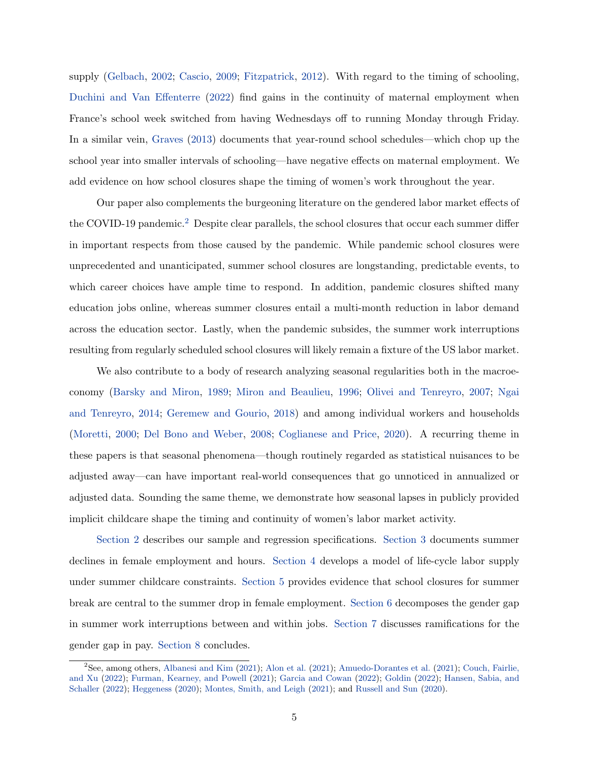supply [\(Gelbach,](#page-32-3) [2002;](#page-32-3) [Cascio,](#page-31-5) [2009;](#page-31-5) [Fitzpatrick,](#page-31-6) [2012\)](#page-31-6). With regard to the timing of schooling, [Duchini and Van Effenterre](#page-31-7) [\(2022\)](#page-31-7) find gains in the continuity of maternal employment when France's school week switched from having Wednesdays off to running Monday through Friday. In a similar vein, [Graves](#page-32-4) [\(2013\)](#page-32-4) documents that year-round school schedules—which chop up the school year into smaller intervals of schooling—have negative effects on maternal employment. We add evidence on how school closures shape the timing of women's work throughout the year.

Our paper also complements the burgeoning literature on the gendered labor market effects of the COVID-19 pandemic.[2](#page-4-0) Despite clear parallels, the school closures that occur each summer differ in important respects from those caused by the pandemic. While pandemic school closures were unprecedented and unanticipated, summer school closures are longstanding, predictable events, to which career choices have ample time to respond. In addition, pandemic closures shifted many education jobs online, whereas summer closures entail a multi-month reduction in labor demand across the education sector. Lastly, when the pandemic subsides, the summer work interruptions resulting from regularly scheduled school closures will likely remain a fixture of the US labor market.

We also contribute to a body of research analyzing seasonal regularities both in the macroeconomy [\(Barsky and Miron,](#page-31-8) [1989;](#page-31-8) [Miron and Beaulieu,](#page-33-5) [1996;](#page-33-5) [Olivei and Tenreyro,](#page-33-6) [2007;](#page-33-6) [Ngai](#page-33-7) [and Tenreyro,](#page-33-7) [2014;](#page-33-7) [Geremew and Gourio,](#page-32-5) [2018\)](#page-32-5) and among individual workers and households [\(Moretti,](#page-33-8) [2000;](#page-33-8) [Del Bono and Weber,](#page-31-9) [2008;](#page-31-9) [Coglianese and Price,](#page-31-10) [2020\)](#page-31-10). A recurring theme in these papers is that seasonal phenomena—though routinely regarded as statistical nuisances to be adjusted away—can have important real-world consequences that go unnoticed in annualized or adjusted data. Sounding the same theme, we demonstrate how seasonal lapses in publicly provided implicit childcare shape the timing and continuity of women's labor market activity.

[Section 2](#page-5-0) describes our sample and regression specifications. [Section 3](#page-8-0) documents summer declines in female employment and hours. [Section 4](#page-12-0) develops a model of life-cycle labor supply under summer childcare constraints. [Section 5](#page-15-0) provides evidence that school closures for summer break are central to the summer drop in female employment. [Section 6](#page-19-0) decomposes the gender gap in summer work interruptions between and within jobs. [Section 7](#page-26-0) discusses ramifications for the gender gap in pay. [Section 8](#page-29-0) concludes.

<span id="page-4-0"></span><sup>2</sup>See, among others, [Albanesi and Kim](#page-30-1) [\(2021\)](#page-30-1); [Alon et al.](#page-30-2) [\(2021\)](#page-30-2); [Amuedo-Dorantes et al.](#page-30-0) [\(2021\)](#page-30-0); [Couch, Fairlie,](#page-31-0) [and Xu](#page-31-0) [\(2022\)](#page-31-0); [Furman, Kearney, and Powell](#page-31-11) [\(2021\)](#page-31-11); [Garcia and Cowan](#page-32-0) [\(2022\)](#page-32-0); [Goldin](#page-32-6) [\(2022\)](#page-32-6); [Hansen, Sabia, and](#page-32-1) [Schaller](#page-32-1) [\(2022\)](#page-32-1); [Heggeness](#page-32-2) [\(2020\)](#page-32-2); [Montes, Smith, and Leigh](#page-33-0) [\(2021\)](#page-33-0); and [Russell and Sun](#page-33-1) [\(2020\)](#page-33-1).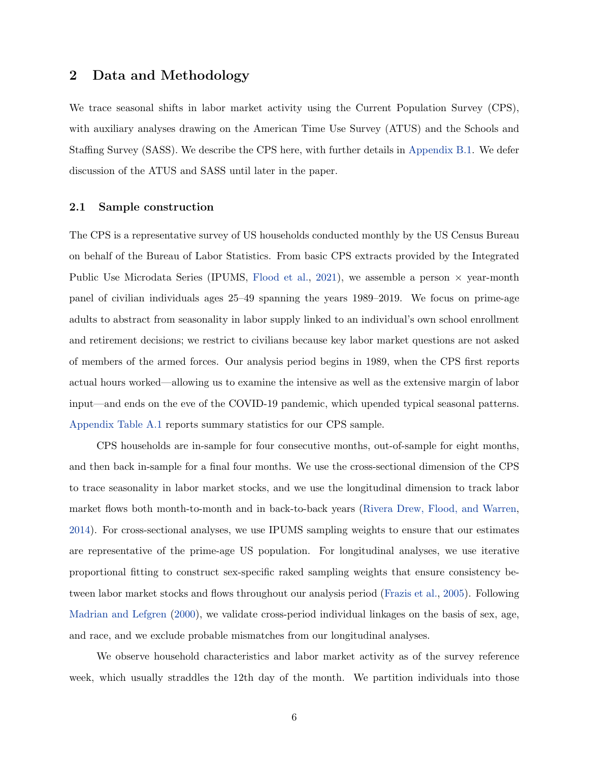# <span id="page-5-0"></span>2 Data and Methodology

We trace seasonal shifts in labor market activity using the Current Population Survey (CPS), with auxiliary analyses drawing on the American Time Use Survey (ATUS) and the Schools and Staffing Survey (SASS). We describe the CPS here, with further details in [Appendix B.1.](#page-42-0) We defer discussion of the ATUS and SASS until later in the paper.

### 2.1 Sample construction

The CPS is a representative survey of US households conducted monthly by the US Census Bureau on behalf of the Bureau of Labor Statistics. From basic CPS extracts provided by the Integrated Public Use Microdata Series (IPUMS, [Flood et al.,](#page-31-12) [2021\)](#page-31-12), we assemble a person  $\times$  year-month panel of civilian individuals ages 25–49 spanning the years 1989–2019. We focus on prime-age adults to abstract from seasonality in labor supply linked to an individual's own school enrollment and retirement decisions; we restrict to civilians because key labor market questions are not asked of members of the armed forces. Our analysis period begins in 1989, when the CPS first reports actual hours worked—allowing us to examine the intensive as well as the extensive margin of labor input—and ends on the eve of the COVID-19 pandemic, which upended typical seasonal patterns. [Appendix Table A.1](#page-39-0) reports summary statistics for our CPS sample.

CPS households are in-sample for four consecutive months, out-of-sample for eight months, and then back in-sample for a final four months. We use the cross-sectional dimension of the CPS to trace seasonality in labor market stocks, and we use the longitudinal dimension to track labor market flows both month-to-month and in back-to-back years [\(Rivera Drew, Flood, and Warren,](#page-33-9) [2014\)](#page-33-9). For cross-sectional analyses, we use IPUMS sampling weights to ensure that our estimates are representative of the prime-age US population. For longitudinal analyses, we use iterative proportional fitting to construct sex-specific raked sampling weights that ensure consistency between labor market stocks and flows throughout our analysis period [\(Frazis et al.,](#page-31-13) [2005\)](#page-31-13). Following [Madrian and Lefgren](#page-32-7) [\(2000\)](#page-32-7), we validate cross-period individual linkages on the basis of sex, age, and race, and we exclude probable mismatches from our longitudinal analyses.

We observe household characteristics and labor market activity as of the survey reference week, which usually straddles the 12th day of the month. We partition individuals into those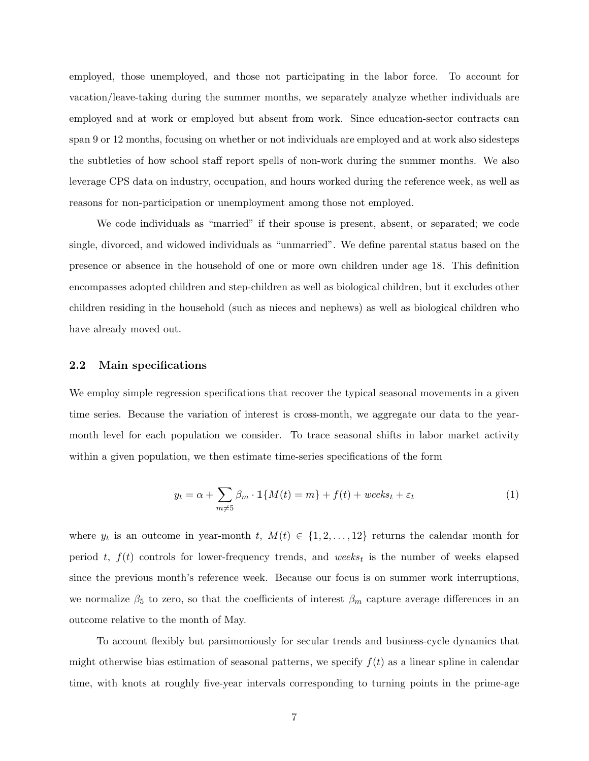employed, those unemployed, and those not participating in the labor force. To account for vacation/leave-taking during the summer months, we separately analyze whether individuals are employed and at work or employed but absent from work. Since education-sector contracts can span 9 or 12 months, focusing on whether or not individuals are employed and at work also sidesteps the subtleties of how school staff report spells of non-work during the summer months. We also leverage CPS data on industry, occupation, and hours worked during the reference week, as well as reasons for non-participation or unemployment among those not employed.

We code individuals as "married" if their spouse is present, absent, or separated; we code single, divorced, and widowed individuals as "unmarried". We define parental status based on the presence or absence in the household of one or more own children under age 18. This definition encompasses adopted children and step-children as well as biological children, but it excludes other children residing in the household (such as nieces and nephews) as well as biological children who have already moved out.

### 2.2 Main specifications

We employ simple regression specifications that recover the typical seasonal movements in a given time series. Because the variation of interest is cross-month, we aggregate our data to the yearmonth level for each population we consider. To trace seasonal shifts in labor market activity within a given population, we then estimate time-series specifications of the form

<span id="page-6-0"></span>
$$
y_t = \alpha + \sum_{m \neq 5} \beta_m \cdot \mathbb{1}\{M(t) = m\} + f(t) + \text{weeks}_{t} + \varepsilon_t \tag{1}
$$

where  $y_t$  is an outcome in year-month t,  $M(t) \in \{1, 2, ..., 12\}$  returns the calendar month for period t,  $f(t)$  controls for lower-frequency trends, and weeks<sub>t</sub> is the number of weeks elapsed since the previous month's reference week. Because our focus is on summer work interruptions, we normalize  $\beta_5$  to zero, so that the coefficients of interest  $\beta_m$  capture average differences in an outcome relative to the month of May.

To account flexibly but parsimoniously for secular trends and business-cycle dynamics that might otherwise bias estimation of seasonal patterns, we specify  $f(t)$  as a linear spline in calendar time, with knots at roughly five-year intervals corresponding to turning points in the prime-age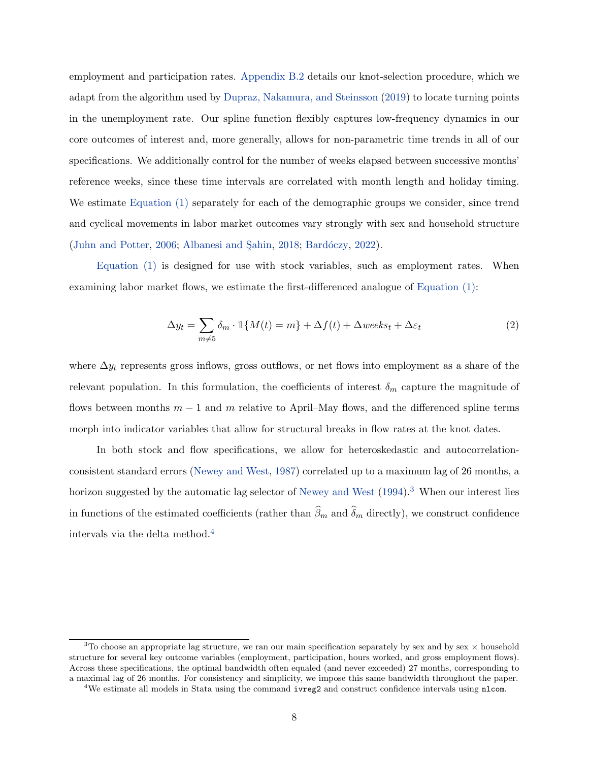employment and participation rates. [Appendix B.2](#page-44-0) details our knot-selection procedure, which we adapt from the algorithm used by [Dupraz, Nakamura, and Steinsson](#page-31-14) [\(2019\)](#page-31-14) to locate turning points in the unemployment rate. Our spline function flexibly captures low-frequency dynamics in our core outcomes of interest and, more generally, allows for non-parametric time trends in all of our specifications. We additionally control for the number of weeks elapsed between successive months' reference weeks, since these time intervals are correlated with month length and holiday timing. We estimate [Equation \(1\)](#page-6-0) separately for each of the demographic groups we consider, since trend and cyclical movements in labor market outcomes vary strongly with sex and household structure  $(John and Potter, 2006; Albanesi and Sahin, 2018; Bardóczy, 2022).$  $(John and Potter, 2006; Albanesi and Sahin, 2018; Bardóczy, 2022).$  $(John and Potter, 2006; Albanesi and Sahin, 2018; Bardóczy, 2022).$  $(John and Potter, 2006; Albanesi and Sahin, 2018; Bardóczy, 2022).$  $(John and Potter, 2006; Albanesi and Sahin, 2018; Bardóczy, 2022).$  $(John and Potter, 2006; Albanesi and Sahin, 2018; Bardóczy, 2022).$  $(John and Potter, 2006; Albanesi and Sahin, 2018; Bardóczy, 2022).$ 

[Equation \(1\)](#page-6-0) is designed for use with stock variables, such as employment rates. When examining labor market flows, we estimate the first-differenced analogue of [Equation \(1\):](#page-6-0)

<span id="page-7-2"></span>
$$
\Delta y_t = \sum_{m \neq 5} \delta_m \cdot \mathbb{1}\{M(t) = m\} + \Delta f(t) + \Delta weeks_t + \Delta\varepsilon_t
$$
\n(2)

where  $\Delta y_t$  represents gross inflows, gross outflows, or net flows into employment as a share of the relevant population. In this formulation, the coefficients of interest  $\delta_m$  capture the magnitude of flows between months  $m-1$  and m relative to April–May flows, and the differenced spline terms morph into indicator variables that allow for structural breaks in flow rates at the knot dates.

In both stock and flow specifications, we allow for heteroskedastic and autocorrelationconsistent standard errors [\(Newey and West,](#page-33-10) [1987\)](#page-33-10) correlated up to a maximum lag of 26 months, a horizon suggested by the automatic lag selector of [Newey and West](#page-33-11)  $(1994)$ .<sup>[3](#page-7-0)</sup> When our interest lies in functions of the estimated coefficients (rather than  $\widehat{\beta}_m$  and  $\widehat{\delta}_m$  directly), we construct confidence intervals via the delta method.[4](#page-7-1)

<span id="page-7-0"></span><sup>&</sup>lt;sup>3</sup>To choose an appropriate lag structure, we ran our main specification separately by sex and by sex  $\times$  household structure for several key outcome variables (employment, participation, hours worked, and gross employment flows). Across these specifications, the optimal bandwidth often equaled (and never exceeded) 27 months, corresponding to a maximal lag of 26 months. For consistency and simplicity, we impose this same bandwidth throughout the paper.

<span id="page-7-1"></span><sup>&</sup>lt;sup>4</sup>We estimate all models in Stata using the command **ivreg2** and construct confidence intervals using nlcom.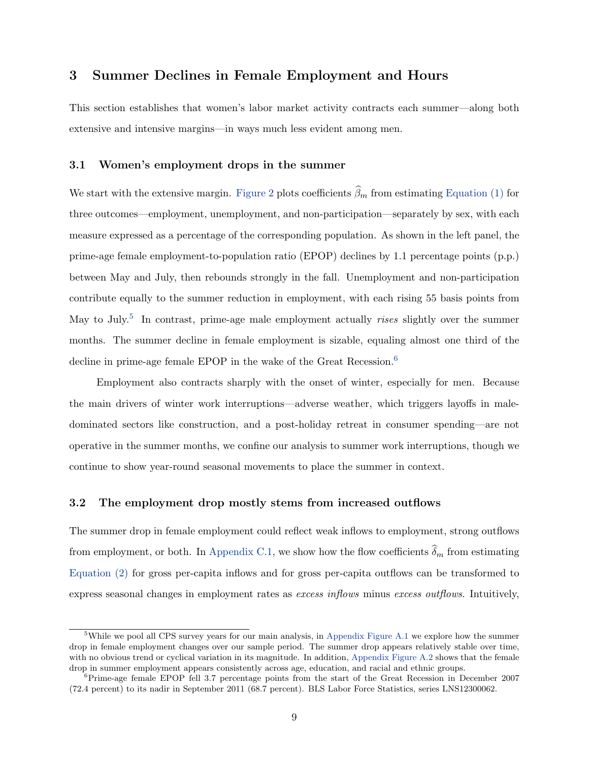# <span id="page-8-0"></span>3 Summer Declines in Female Employment and Hours

This section establishes that women's labor market activity contracts each summer—along both extensive and intensive margins—in ways much less evident among men.

### 3.1 Women's employment drops in the summer

We start with the extensive margin. [Figure 2](#page-9-0) plots coefficients  $\widehat{\beta}_m$  from estimating [Equation \(1\)](#page-6-0) for three outcomes—employment, unemployment, and non-participation—separately by sex, with each measure expressed as a percentage of the corresponding population. As shown in the left panel, the prime-age female employment-to-population ratio (EPOP) declines by 1.1 percentage points (p.p.) between May and July, then rebounds strongly in the fall. Unemployment and non-participation contribute equally to the summer reduction in employment, with each rising 55 basis points from May to July.<sup>[5](#page-8-1)</sup> In contrast, prime-age male employment actually *rises* slightly over the summer months. The summer decline in female employment is sizable, equaling almost one third of the decline in prime-age female EPOP in the wake of the Great Recession.<sup>[6](#page-8-2)</sup>

Employment also contracts sharply with the onset of winter, especially for men. Because the main drivers of winter work interruptions—adverse weather, which triggers layoffs in maledominated sectors like construction, and a post-holiday retreat in consumer spending—are not operative in the summer months, we confine our analysis to summer work interruptions, though we continue to show year-round seasonal movements to place the summer in context.

## 3.2 The employment drop mostly stems from increased outflows

The summer drop in female employment could reflect weak inflows to employment, strong outflows from employment, or both. In [Appendix C.1,](#page-47-0) we show how the flow coefficients  $\widehat{\delta}_m$  from estimating [Equation \(2\)](#page-7-2) for gross per-capita inflows and for gross per-capita outflows can be transformed to express seasonal changes in employment rates as *excess inflows* minus *excess outflows*. Intuitively,

<span id="page-8-1"></span><sup>&</sup>lt;sup>5</sup>While we pool all CPS survey years for our main analysis, in [Appendix Figure A.1](#page-34-0) we explore how the summer drop in female employment changes over our sample period. The summer drop appears relatively stable over time, with no obvious trend or cyclical variation in its magnitude. In addition, [Appendix Figure A.2](#page-34-1) shows that the female drop in summer employment appears consistently across age, education, and racial and ethnic groups.

<span id="page-8-2"></span> ${}^{6}$ Prime-age female EPOP fell 3.7 percentage points from the start of the Great Recession in December 2007 (72.4 percent) to its nadir in September 2011 (68.7 percent). BLS Labor Force Statistics, series LNS12300062.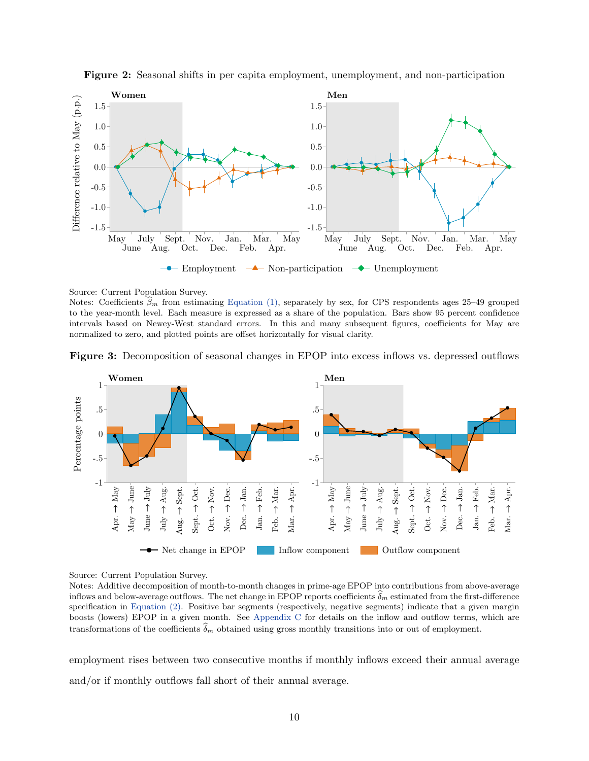<span id="page-9-0"></span>



Source: Current Population Survey.

Notes: Coefficients  $\hat{\beta}_m$  from estimating [Equation \(1\),](#page-6-0) separately by sex, for CPS respondents ages 25–49 grouped to the year-month level. Each measure is expressed as a share of the population. Bars show 95 percent confidence intervals based on Newey-West standard errors. In this and many subsequent figures, coefficients for May are normalized to zero, and plotted points are offset horizontally for visual clarity.

<span id="page-9-1"></span>



Source: Current Population Survey.

Notes: Additive decomposition of month-to-month changes in prime-age EPOP into contributions from above-average inflows and below-average outflows. The net change in EPOP reports coefficients  $\widehat{\delta}_m$  estimated from the first-difference specification in [Equation \(2\).](#page-7-2) Positive bar segments (respectively, negative segments) indicate that a given margin boosts (lowers) EPOP in a given month. See [Appendix C](#page-46-0) for details on the inflow and outflow terms, which are transformations of the coefficients  $\delta_m$  obtained using gross monthly transitions into or out of employment.

employment rises between two consecutive months if monthly inflows exceed their annual average and/or if monthly outflows fall short of their annual average.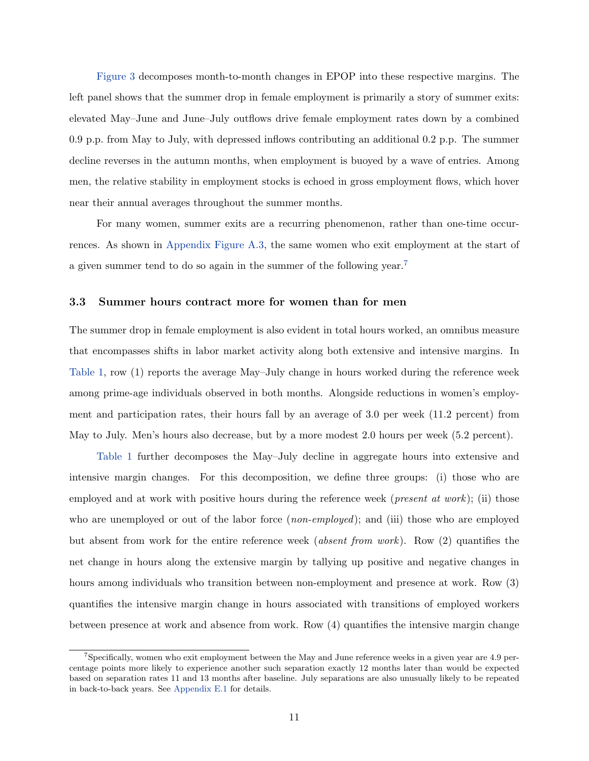[Figure 3](#page-9-1) decomposes month-to-month changes in EPOP into these respective margins. The left panel shows that the summer drop in female employment is primarily a story of summer exits: elevated May–June and June–July outflows drive female employment rates down by a combined 0.9 p.p. from May to July, with depressed inflows contributing an additional 0.2 p.p. The summer decline reverses in the autumn months, when employment is buoyed by a wave of entries. Among men, the relative stability in employment stocks is echoed in gross employment flows, which hover near their annual averages throughout the summer months.

For many women, summer exits are a recurring phenomenon, rather than one-time occurrences. As shown in [Appendix Figure A.3,](#page-35-0) the same women who exit employment at the start of a given summer tend to do so again in the summer of the following year.[7](#page-10-0)

### 3.3 Summer hours contract more for women than for men

The summer drop in female employment is also evident in total hours worked, an omnibus measure that encompasses shifts in labor market activity along both extensive and intensive margins. In [Table 1,](#page-11-0) row (1) reports the average May–July change in hours worked during the reference week among prime-age individuals observed in both months. Alongside reductions in women's employment and participation rates, their hours fall by an average of 3.0 per week (11.2 percent) from May to July. Men's hours also decrease, but by a more modest 2.0 hours per week (5.2 percent).

[Table 1](#page-11-0) further decomposes the May–July decline in aggregate hours into extensive and intensive margin changes. For this decomposition, we define three groups: (i) those who are employed and at work with positive hours during the reference week (*present at work*); (ii) those who are unemployed or out of the labor force (*non-employed*); and (iii) those who are employed but absent from work for the entire reference week (absent from work). Row (2) quantifies the net change in hours along the extensive margin by tallying up positive and negative changes in hours among individuals who transition between non-employment and presence at work. Row (3) quantifies the intensive margin change in hours associated with transitions of employed workers between presence at work and absence from work. Row (4) quantifies the intensive margin change

<span id="page-10-0"></span><sup>7</sup>Specifically, women who exit employment between the May and June reference weeks in a given year are 4.9 percentage points more likely to experience another such separation exactly 12 months later than would be expected based on separation rates 11 and 13 months after baseline. July separations are also unusually likely to be repeated in back-to-back years. See [Appendix E.1](#page-58-0) for details.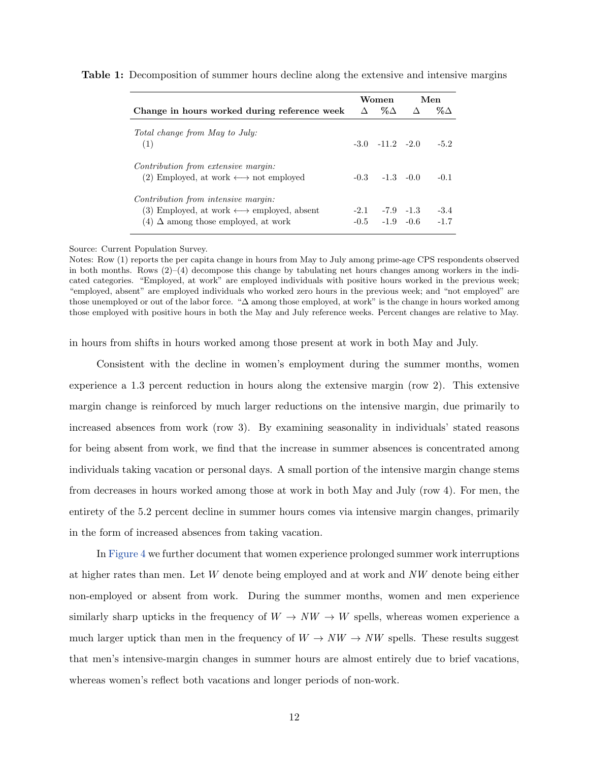|                                                                                                                                                     | Women                                      | Men              |
|-----------------------------------------------------------------------------------------------------------------------------------------------------|--------------------------------------------|------------------|
| Change in hours worked during reference week                                                                                                        | $\Delta$ % $\Delta$ $\Delta$               | % $\Delta$       |
| <i>Total change from May to July:</i><br>(1)                                                                                                        | $-3.0$ $-11.2$ $-2.0$                      | $-5.2$           |
| Contribution from extensive margin:<br>(2) Employed, at work $\longleftrightarrow$ not employed                                                     | $-0.3 -1.3 -0.0$                           | $-0.1$           |
| Contribution from intensive margin:<br>(3) Employed, at work $\longleftrightarrow$ employed, absent<br>$(4)$ $\Delta$ among those employed, at work | $-2.1 - -7.9 -1.3$<br>$-0.5$ $-1.9$ $-0.6$ | $-3.4$<br>$-1.7$ |

<span id="page-11-0"></span>Table 1: Decomposition of summer hours decline along the extensive and intensive margins

Source: Current Population Survey.

Notes: Row (1) reports the per capita change in hours from May to July among prime-age CPS respondents observed in both months. Rows (2)–(4) decompose this change by tabulating net hours changes among workers in the indicated categories. "Employed, at work" are employed individuals with positive hours worked in the previous week; "employed, absent" are employed individuals who worked zero hours in the previous week; and "not employed" are those unemployed or out of the labor force. "∆ among those employed, at work" is the change in hours worked among those employed with positive hours in both the May and July reference weeks. Percent changes are relative to May.

in hours from shifts in hours worked among those present at work in both May and July.

Consistent with the decline in women's employment during the summer months, women experience a 1.3 percent reduction in hours along the extensive margin (row 2). This extensive margin change is reinforced by much larger reductions on the intensive margin, due primarily to increased absences from work (row 3). By examining seasonality in individuals' stated reasons for being absent from work, we find that the increase in summer absences is concentrated among individuals taking vacation or personal days. A small portion of the intensive margin change stems from decreases in hours worked among those at work in both May and July (row 4). For men, the entirety of the 5.2 percent decline in summer hours comes via intensive margin changes, primarily in the form of increased absences from taking vacation.

In [Figure 4](#page-12-1) we further document that women experience prolonged summer work interruptions at higher rates than men. Let W denote being employed and at work and NW denote being either non-employed or absent from work. During the summer months, women and men experience similarly sharp upticks in the frequency of  $W \to NW \to W$  spells, whereas women experience a much larger uptick than men in the frequency of  $W \to NW \to NW$  spells. These results suggest that men's intensive-margin changes in summer hours are almost entirely due to brief vacations, whereas women's reflect both vacations and longer periods of non-work.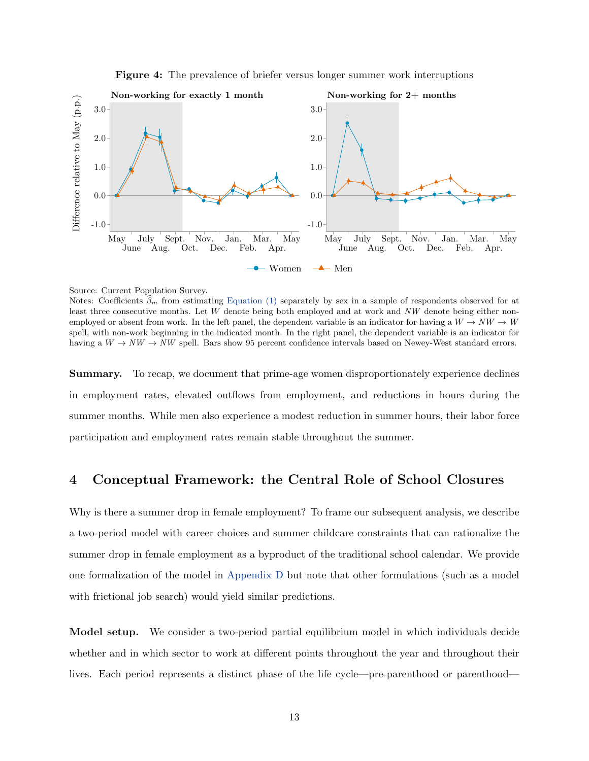Figure 4: The prevalence of briefer versus longer summer work interruptions

<span id="page-12-1"></span>

Source: Current Population Survey.

Notes: Coefficients  $\beta_m$  from estimating [Equation \(1\)](#page-6-0) separately by sex in a sample of respondents observed for at least three consecutive months. Let W denote being both employed and at work and NW denote being either nonemployed or absent from work. In the left panel, the dependent variable is an indicator for having a  $W \to NW \to W$ spell, with non-work beginning in the indicated month. In the right panel, the dependent variable is an indicator for having a  $W \to NW \to NW$  spell. Bars show 95 percent confidence intervals based on Newey-West standard errors.

Summary. To recap, we document that prime-age women disproportionately experience declines in employment rates, elevated outflows from employment, and reductions in hours during the summer months. While men also experience a modest reduction in summer hours, their labor force participation and employment rates remain stable throughout the summer.

## <span id="page-12-0"></span>4 Conceptual Framework: the Central Role of School Closures

Why is there a summer drop in female employment? To frame our subsequent analysis, we describe a two-period model with career choices and summer childcare constraints that can rationalize the summer drop in female employment as a byproduct of the traditional school calendar. We provide one formalization of the model in [Appendix D](#page-51-0) but note that other formulations (such as a model with frictional job search) would yield similar predictions.

Model setup. We consider a two-period partial equilibrium model in which individuals decide whether and in which sector to work at different points throughout the year and throughout their lives. Each period represents a distinct phase of the life cycle—pre-parenthood or parenthood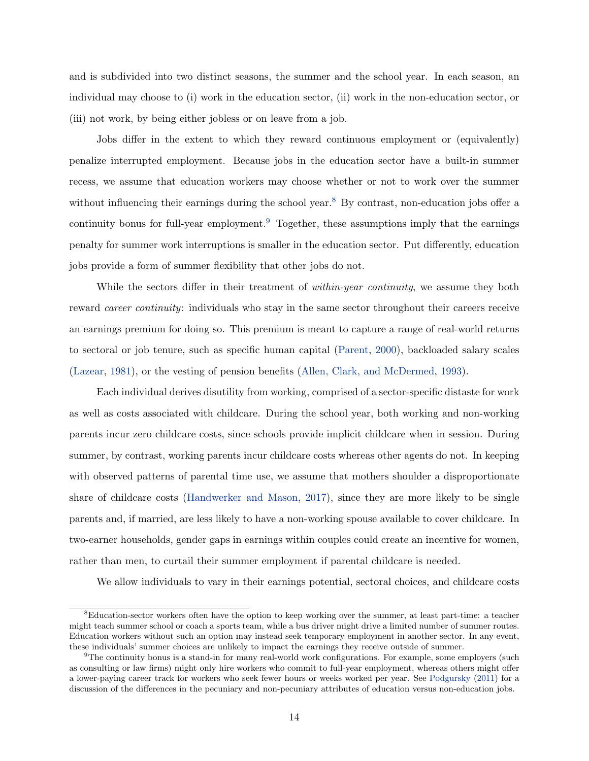and is subdivided into two distinct seasons, the summer and the school year. In each season, an individual may choose to (i) work in the education sector, (ii) work in the non-education sector, or (iii) not work, by being either jobless or on leave from a job.

Jobs differ in the extent to which they reward continuous employment or (equivalently) penalize interrupted employment. Because jobs in the education sector have a built-in summer recess, we assume that education workers may choose whether or not to work over the summer without influencing their earnings during the school year.<sup>[8](#page-13-0)</sup> By contrast, non-education jobs offer a continuity bonus for full-year employment.<sup>[9](#page-13-1)</sup> Together, these assumptions imply that the earnings penalty for summer work interruptions is smaller in the education sector. Put differently, education jobs provide a form of summer flexibility that other jobs do not.

While the sectors differ in their treatment of *within-year continuity*, we assume they both reward career continuity: individuals who stay in the same sector throughout their careers receive an earnings premium for doing so. This premium is meant to capture a range of real-world returns to sectoral or job tenure, such as specific human capital [\(Parent,](#page-33-12) [2000\)](#page-33-12), backloaded salary scales [\(Lazear,](#page-32-9) [1981\)](#page-32-9), or the vesting of pension benefits [\(Allen, Clark, and McDermed,](#page-30-5) [1993\)](#page-30-5).

Each individual derives disutility from working, comprised of a sector-specific distaste for work as well as costs associated with childcare. During the school year, both working and non-working parents incur zero childcare costs, since schools provide implicit childcare when in session. During summer, by contrast, working parents incur childcare costs whereas other agents do not. In keeping with observed patterns of parental time use, we assume that mothers shoulder a disproportionate share of childcare costs [\(Handwerker and Mason,](#page-32-10) [2017\)](#page-32-10), since they are more likely to be single parents and, if married, are less likely to have a non-working spouse available to cover childcare. In two-earner households, gender gaps in earnings within couples could create an incentive for women, rather than men, to curtail their summer employment if parental childcare is needed.

We allow individuals to vary in their earnings potential, sectoral choices, and childcare costs

<span id="page-13-0"></span><sup>8</sup>Education-sector workers often have the option to keep working over the summer, at least part-time: a teacher might teach summer school or coach a sports team, while a bus driver might drive a limited number of summer routes. Education workers without such an option may instead seek temporary employment in another sector. In any event, these individuals' summer choices are unlikely to impact the earnings they receive outside of summer.

<span id="page-13-1"></span> $9$ The continuity bonus is a stand-in for many real-world work configurations. For example, some employers (such as consulting or law firms) might only hire workers who commit to full-year employment, whereas others might offer a lower-paying career track for workers who seek fewer hours or weeks worked per year. See [Podgursky](#page-33-13) [\(2011\)](#page-33-13) for a discussion of the differences in the pecuniary and non-pecuniary attributes of education versus non-education jobs.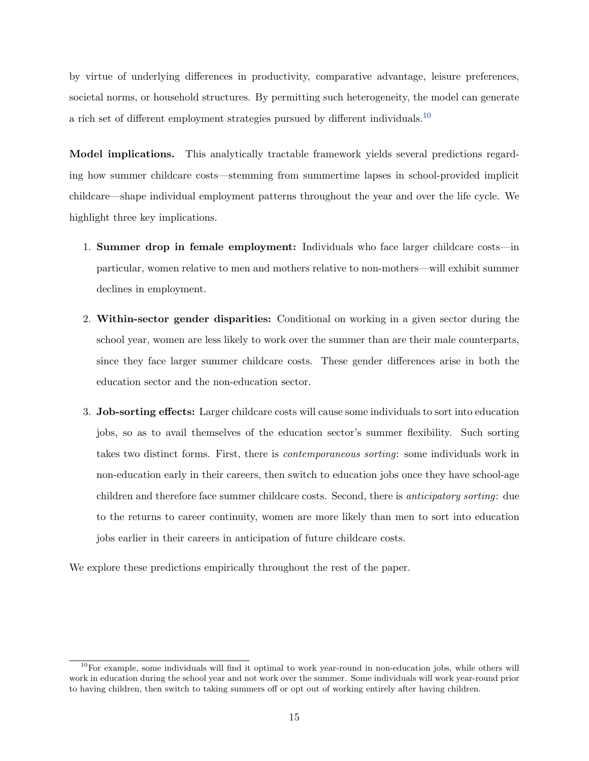by virtue of underlying differences in productivity, comparative advantage, leisure preferences, societal norms, or household structures. By permitting such heterogeneity, the model can generate a rich set of different employment strategies pursued by different individuals.[10](#page-14-0)

Model implications. This analytically tractable framework yields several predictions regarding how summer childcare costs—stemming from summertime lapses in school-provided implicit childcare—shape individual employment patterns throughout the year and over the life cycle. We highlight three key implications.

- 1. Summer drop in female employment: Individuals who face larger childcare costs—in particular, women relative to men and mothers relative to non-mothers—will exhibit summer declines in employment.
- 2. Within-sector gender disparities: Conditional on working in a given sector during the school year, women are less likely to work over the summer than are their male counterparts, since they face larger summer childcare costs. These gender differences arise in both the education sector and the non-education sector.
- 3. Job-sorting effects: Larger childcare costs will cause some individuals to sort into education jobs, so as to avail themselves of the education sector's summer flexibility. Such sorting takes two distinct forms. First, there is contemporaneous sorting: some individuals work in non-education early in their careers, then switch to education jobs once they have school-age children and therefore face summer childcare costs. Second, there is anticipatory sorting: due to the returns to career continuity, women are more likely than men to sort into education jobs earlier in their careers in anticipation of future childcare costs.

We explore these predictions empirically throughout the rest of the paper.

<span id="page-14-0"></span> $10$ For example, some individuals will find it optimal to work year-round in non-education jobs, while others will work in education during the school year and not work over the summer. Some individuals will work year-round prior to having children, then switch to taking summers off or opt out of working entirely after having children.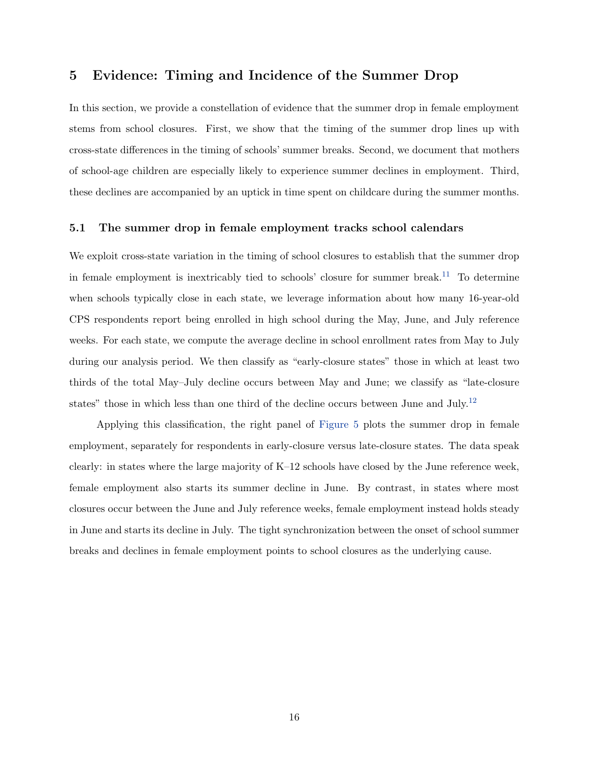# <span id="page-15-0"></span>5 Evidence: Timing and Incidence of the Summer Drop

In this section, we provide a constellation of evidence that the summer drop in female employment stems from school closures. First, we show that the timing of the summer drop lines up with cross-state differences in the timing of schools' summer breaks. Second, we document that mothers of school-age children are especially likely to experience summer declines in employment. Third, these declines are accompanied by an uptick in time spent on childcare during the summer months.

### 5.1 The summer drop in female employment tracks school calendars

We exploit cross-state variation in the timing of school closures to establish that the summer drop in female employment is inextricably tied to schools' closure for summer break.<sup>[11](#page-17-0)</sup> To determine when schools typically close in each state, we leverage information about how many 16-year-old CPS respondents report being enrolled in high school during the May, June, and July reference weeks. For each state, we compute the average decline in school enrollment rates from May to July during our analysis period. We then classify as "early-closure states" those in which at least two thirds of the total May–July decline occurs between May and June; we classify as "late-closure states" those in which less than one third of the decline occurs between June and July.<sup>[12](#page-17-1)</sup>

Applying this classification, the right panel of [Figure 5](#page-16-0) plots the summer drop in female employment, separately for respondents in early-closure versus late-closure states. The data speak clearly: in states where the large majority of K–12 schools have closed by the June reference week, female employment also starts its summer decline in June. By contrast, in states where most closures occur between the June and July reference weeks, female employment instead holds steady in June and starts its decline in July. The tight synchronization between the onset of school summer breaks and declines in female employment points to school closures as the underlying cause.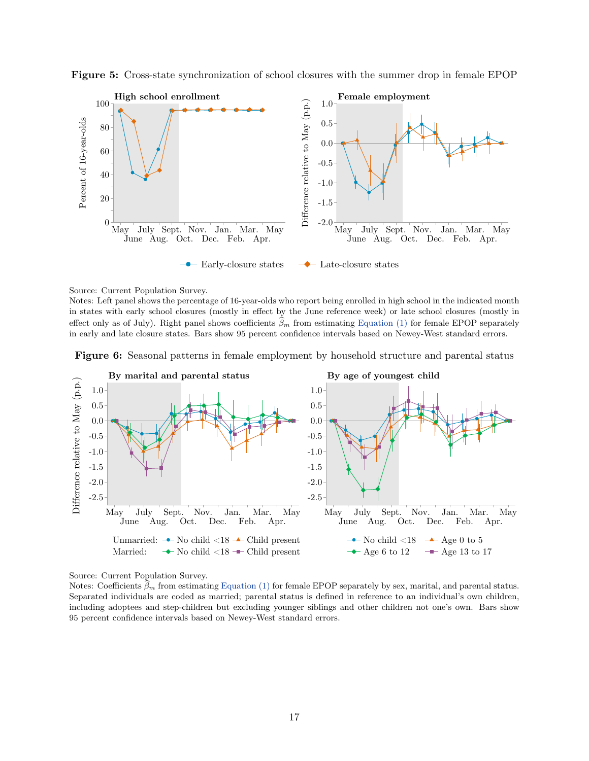

<span id="page-16-0"></span>Figure 5: Cross-state synchronization of school closures with the summer drop in female EPOP

Source: Current Population Survey.

Notes: Left panel shows the percentage of 16-year-olds who report being enrolled in high school in the indicated month in states with early school closures (mostly in effect by the June reference week) or late school closures (mostly in effect only as of July). Right panel shows coefficients  $\widehat{\beta}_m$  from estimating [Equation \(1\)](#page-6-0) for female EPOP separately in early and late closure states. Bars show 95 percent confidence intervals based on Newey-West standard errors.

<span id="page-16-1"></span>



Source: Current Population Survey.

Notes: Coefficients  $\hat{\beta}_m$  from estimating [Equation \(1\)](#page-6-0) for female EPOP separately by sex, marital, and parental status. Separated individuals are coded as married; parental status is defined in reference to an individual's own children, including adoptees and step-children but excluding younger siblings and other children not one's own. Bars show 95 percent confidence intervals based on Newey-West standard errors.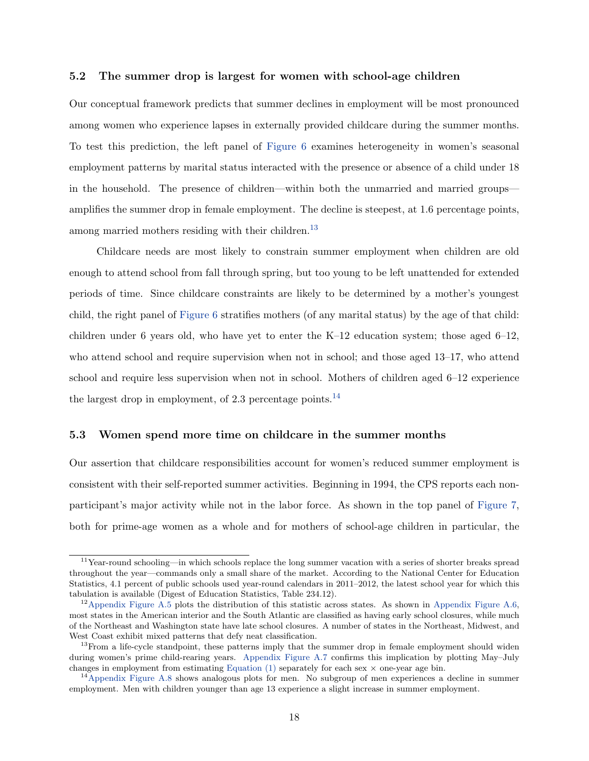## 5.2 The summer drop is largest for women with school-age children

Our conceptual framework predicts that summer declines in employment will be most pronounced among women who experience lapses in externally provided childcare during the summer months. To test this prediction, the left panel of [Figure 6](#page-16-1) examines heterogeneity in women's seasonal employment patterns by marital status interacted with the presence or absence of a child under 18 in the household. The presence of children—within both the unmarried and married groups amplifies the summer drop in female employment. The decline is steepest, at 1.6 percentage points, among married mothers residing with their children.<sup>[13](#page-17-2)</sup>

Childcare needs are most likely to constrain summer employment when children are old enough to attend school from fall through spring, but too young to be left unattended for extended periods of time. Since childcare constraints are likely to be determined by a mother's youngest child, the right panel of [Figure 6](#page-16-1) stratifies mothers (of any marital status) by the age of that child: children under 6 years old, who have yet to enter the  $K-12$  education system; those aged  $6-12$ , who attend school and require supervision when not in school; and those aged 13–17, who attend school and require less supervision when not in school. Mothers of children aged 6–12 experience the largest drop in employment, of 2.3 percentage points.<sup>[14](#page-17-3)</sup>

## 5.3 Women spend more time on childcare in the summer months

Our assertion that childcare responsibilities account for women's reduced summer employment is consistent with their self-reported summer activities. Beginning in 1994, the CPS reports each nonparticipant's major activity while not in the labor force. As shown in the top panel of [Figure 7,](#page-18-0) both for prime-age women as a whole and for mothers of school-age children in particular, the

<span id="page-17-0"></span><sup>11</sup>Year-round schooling—in which schools replace the long summer vacation with a series of shorter breaks spread throughout the year—commands only a small share of the market. According to the National Center for Education Statistics, 4.1 percent of public schools used year-round calendars in 2011–2012, the latest school year for which this tabulation is available (Digest of Education Statistics, Table 234.12).

<span id="page-17-1"></span><sup>&</sup>lt;sup>12</sup>[Appendix Figure A.5](#page-36-0) plots the distribution of this statistic across states. As shown in [Appendix Figure A.6,](#page-36-1) most states in the American interior and the South Atlantic are classified as having early school closures, while much of the Northeast and Washington state have late school closures. A number of states in the Northeast, Midwest, and West Coast exhibit mixed patterns that defy neat classification.

<span id="page-17-2"></span><sup>&</sup>lt;sup>13</sup>From a life-cycle standpoint, these patterns imply that the summer drop in female employment should widen during women's prime child-rearing years. [Appendix Figure A.7](#page-37-0) confirms this implication by plotting May–July changes in employment from estimating Equation  $(1)$  separately for each sex  $\times$  one-year age bin.

<span id="page-17-3"></span><sup>&</sup>lt;sup>14</sup>[Appendix Figure A.8](#page-37-1) shows analogous plots for men. No subgroup of men experiences a decline in summer employment. Men with children younger than age 13 experience a slight increase in summer employment.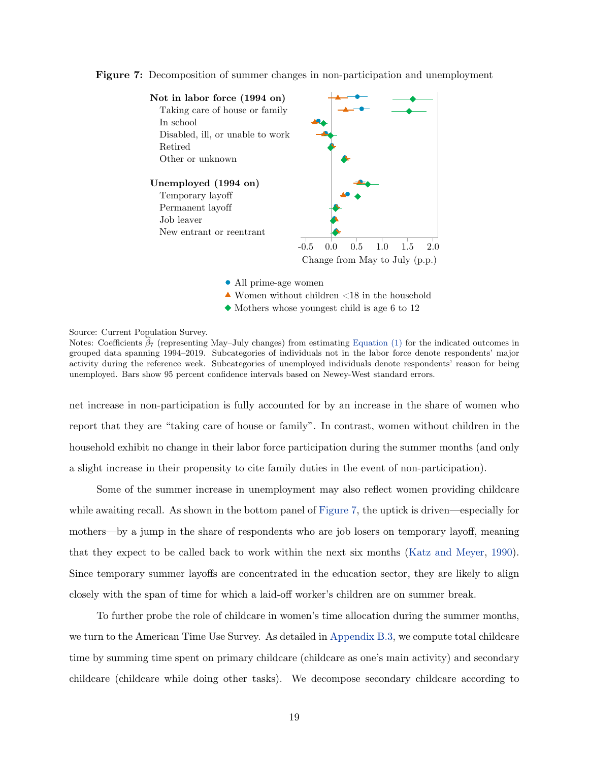

<span id="page-18-0"></span>Figure 7: Decomposition of summer changes in non-participation and unemployment

- All prime-age women
- $\blacktriangle$  Women without children <18 in the household
- $\blacklozenge$  Mothers whose youngest child is age 6 to 12

Source: Current Population Survey.

Notes: Coefficients  $\beta_7$  (representing May–July changes) from estimating [Equation \(1\)](#page-6-0) for the indicated outcomes in grouped data spanning 1994–2019. Subcategories of individuals not in the labor force denote respondents' major activity during the reference week. Subcategories of unemployed individuals denote respondents' reason for being unemployed. Bars show 95 percent confidence intervals based on Newey-West standard errors.

net increase in non-participation is fully accounted for by an increase in the share of women who report that they are "taking care of house or family". In contrast, women without children in the household exhibit no change in their labor force participation during the summer months (and only a slight increase in their propensity to cite family duties in the event of non-participation).

Some of the summer increase in unemployment may also reflect women providing childcare while awaiting recall. As shown in the bottom panel of [Figure 7,](#page-18-0) the uptick is driven—especially for mothers—by a jump in the share of respondents who are job losers on temporary layoff, meaning that they expect to be called back to work within the next six months [\(Katz and Meyer,](#page-32-11) [1990\)](#page-32-11). Since temporary summer layoffs are concentrated in the education sector, they are likely to align closely with the span of time for which a laid-off worker's children are on summer break.

To further probe the role of childcare in women's time allocation during the summer months, we turn to the American Time Use Survey. As detailed in [Appendix B.3,](#page-45-0) we compute total childcare time by summing time spent on primary childcare (childcare as one's main activity) and secondary childcare (childcare while doing other tasks). We decompose secondary childcare according to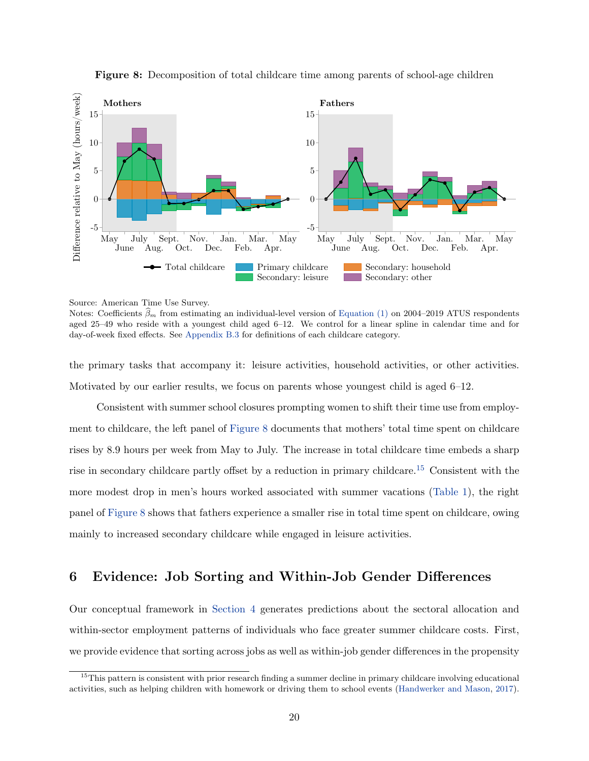<span id="page-19-1"></span>



Source: American Time Use Survey.

Notes: Coefficients  $\hat{\beta}_m$  from estimating an individual-level version of [Equation \(1\)](#page-6-0) on 2004–2019 ATUS respondents aged 25–49 who reside with a youngest child aged 6–12. We control for a linear spline in calendar time and for day-of-week fixed effects. See [Appendix B.3](#page-45-0) for definitions of each childcare category.

the primary tasks that accompany it: leisure activities, household activities, or other activities. Motivated by our earlier results, we focus on parents whose youngest child is aged 6–12.

Consistent with summer school closures prompting women to shift their time use from employment to childcare, the left panel of [Figure 8](#page-19-1) documents that mothers' total time spent on childcare rises by 8.9 hours per week from May to July. The increase in total childcare time embeds a sharp rise in secondary childcare partly offset by a reduction in primary childcare.[15](#page-19-2) Consistent with the more modest drop in men's hours worked associated with summer vacations [\(Table 1\)](#page-11-0), the right panel of [Figure 8](#page-19-1) shows that fathers experience a smaller rise in total time spent on childcare, owing mainly to increased secondary childcare while engaged in leisure activities.

# <span id="page-19-0"></span>6 Evidence: Job Sorting and Within-Job Gender Differences

Our conceptual framework in [Section 4](#page-12-0) generates predictions about the sectoral allocation and within-sector employment patterns of individuals who face greater summer childcare costs. First, we provide evidence that sorting across jobs as well as within-job gender differences in the propensity

<span id="page-19-2"></span> $15$ This pattern is consistent with prior research finding a summer decline in primary childcare involving educational activities, such as helping children with homework or driving them to school events [\(Handwerker and Mason,](#page-32-10) [2017\)](#page-32-10).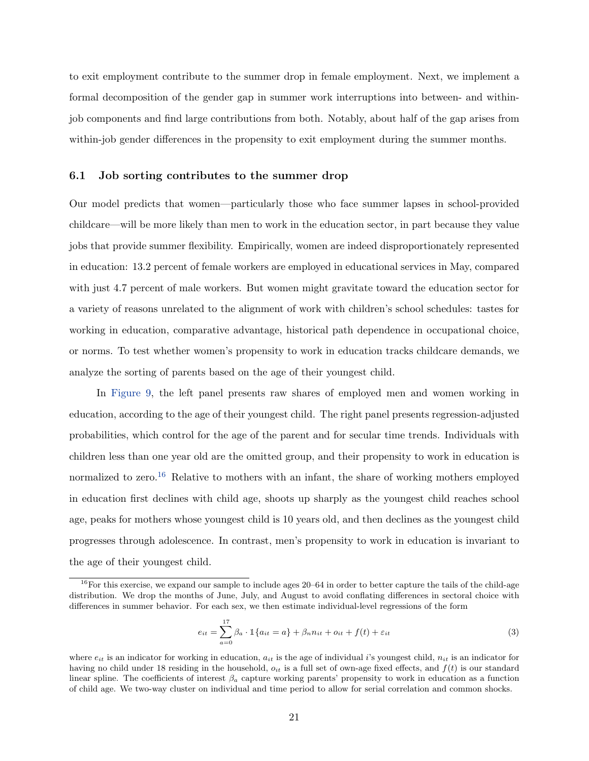to exit employment contribute to the summer drop in female employment. Next, we implement a formal decomposition of the gender gap in summer work interruptions into between- and withinjob components and find large contributions from both. Notably, about half of the gap arises from within-job gender differences in the propensity to exit employment during the summer months.

## <span id="page-20-2"></span>6.1 Job sorting contributes to the summer drop

Our model predicts that women—particularly those who face summer lapses in school-provided childcare—will be more likely than men to work in the education sector, in part because they value jobs that provide summer flexibility. Empirically, women are indeed disproportionately represented in education: 13.2 percent of female workers are employed in educational services in May, compared with just 4.7 percent of male workers. But women might gravitate toward the education sector for a variety of reasons unrelated to the alignment of work with children's school schedules: tastes for working in education, comparative advantage, historical path dependence in occupational choice, or norms. To test whether women's propensity to work in education tracks childcare demands, we analyze the sorting of parents based on the age of their youngest child.

In [Figure 9,](#page-21-0) the left panel presents raw shares of employed men and women working in education, according to the age of their youngest child. The right panel presents regression-adjusted probabilities, which control for the age of the parent and for secular time trends. Individuals with children less than one year old are the omitted group, and their propensity to work in education is normalized to zero.<sup>[16](#page-20-0)</sup> Relative to mothers with an infant, the share of working mothers employed in education first declines with child age, shoots up sharply as the youngest child reaches school age, peaks for mothers whose youngest child is 10 years old, and then declines as the youngest child progresses through adolescence. In contrast, men's propensity to work in education is invariant to the age of their youngest child.

<span id="page-20-1"></span>
$$
e_{it} = \sum_{a=0}^{17} \beta_a \cdot \mathbb{1}\{a_{it} = a\} + \beta_n n_{it} + o_{it} + f(t) + \varepsilon_{it}
$$
\n(3)

<span id="page-20-0"></span> $16$ For this exercise, we expand our sample to include ages  $20-64$  in order to better capture the tails of the child-age distribution. We drop the months of June, July, and August to avoid conflating differences in sectoral choice with differences in summer behavior. For each sex, we then estimate individual-level regressions of the form

where  $e_{it}$  is an indicator for working in education,  $a_{it}$  is the age of individual i's youngest child,  $n_{it}$  is an indicator for having no child under 18 residing in the household,  $o_{it}$  is a full set of own-age fixed effects, and  $f(t)$  is our standard linear spline. The coefficients of interest  $\beta_a$  capture working parents' propensity to work in education as a function of child age. We two-way cluster on individual and time period to allow for serial correlation and common shocks.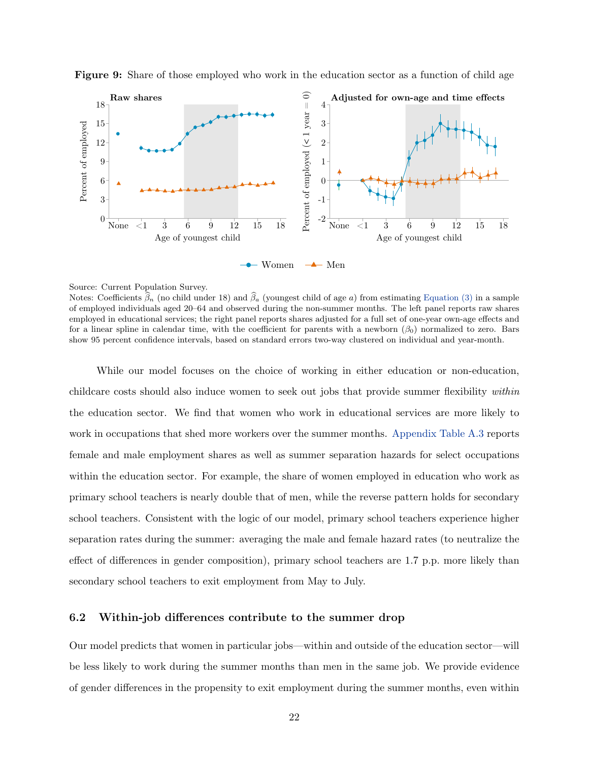

<span id="page-21-0"></span>Figure 9: Share of those employed who work in the education sector as a function of child age

#### Source: Current Population Survey.

Notes: Coefficients  $\hat{\beta}_n$  (no child under 18) and  $\hat{\beta}_a$  (youngest child of age a) from estimating [Equation \(3\)](#page-20-1) in a sample of employed individuals aged 20–64 and observed during the non-summer months. The left panel reports raw shares employed in educational services; the right panel reports shares adjusted for a full set of one-year own-age effects and for a linear spline in calendar time, with the coefficient for parents with a newborn  $(\beta_0)$  normalized to zero. Bars show 95 percent confidence intervals, based on standard errors two-way clustered on individual and year-month.

While our model focuses on the choice of working in either education or non-education, childcare costs should also induce women to seek out jobs that provide summer flexibility within the education sector. We find that women who work in educational services are more likely to work in occupations that shed more workers over the summer months. [Appendix Table A.3](#page-41-0) reports female and male employment shares as well as summer separation hazards for select occupations within the education sector. For example, the share of women employed in education who work as primary school teachers is nearly double that of men, while the reverse pattern holds for secondary school teachers. Consistent with the logic of our model, primary school teachers experience higher separation rates during the summer: averaging the male and female hazard rates (to neutralize the effect of differences in gender composition), primary school teachers are 1.7 p.p. more likely than secondary school teachers to exit employment from May to July.

## <span id="page-21-1"></span>6.2 Within-job differences contribute to the summer drop

Our model predicts that women in particular jobs—within and outside of the education sector—will be less likely to work during the summer months than men in the same job. We provide evidence of gender differences in the propensity to exit employment during the summer months, even within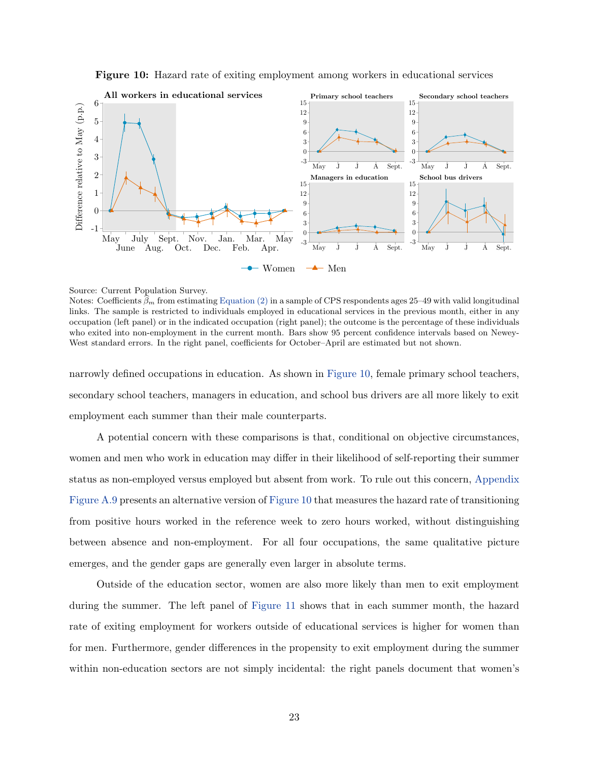Figure 10: Hazard rate of exiting employment among workers in educational services

<span id="page-22-0"></span>

Source: Current Population Survey.

Notes: Coefficients  $\beta_m$  from estimating [Equation \(2\)](#page-7-2) in a sample of CPS respondents ages 25–49 with valid longitudinal links. The sample is restricted to individuals employed in educational services in the previous month, either in any occupation (left panel) or in the indicated occupation (right panel); the outcome is the percentage of these individuals who exited into non-employment in the current month. Bars show 95 percent confidence intervals based on Newey-West standard errors. In the right panel, coefficients for October–April are estimated but not shown.

narrowly defined occupations in education. As shown in [Figure 10,](#page-22-0) female primary school teachers, secondary school teachers, managers in education, and school bus drivers are all more likely to exit employment each summer than their male counterparts.

A potential concern with these comparisons is that, conditional on objective circumstances, women and men who work in education may differ in their likelihood of self-reporting their summer status as non-employed versus employed but absent from work. To rule out this concern, [Appendix](#page-38-0) [Figure A.9](#page-38-0) presents an alternative version of [Figure 10](#page-22-0) that measures the hazard rate of transitioning from positive hours worked in the reference week to zero hours worked, without distinguishing between absence and non-employment. For all four occupations, the same qualitative picture emerges, and the gender gaps are generally even larger in absolute terms.

Outside of the education sector, women are also more likely than men to exit employment during the summer. The left panel of [Figure 11](#page-23-0) shows that in each summer month, the hazard rate of exiting employment for workers outside of educational services is higher for women than for men. Furthermore, gender differences in the propensity to exit employment during the summer within non-education sectors are not simply incidental: the right panels document that women's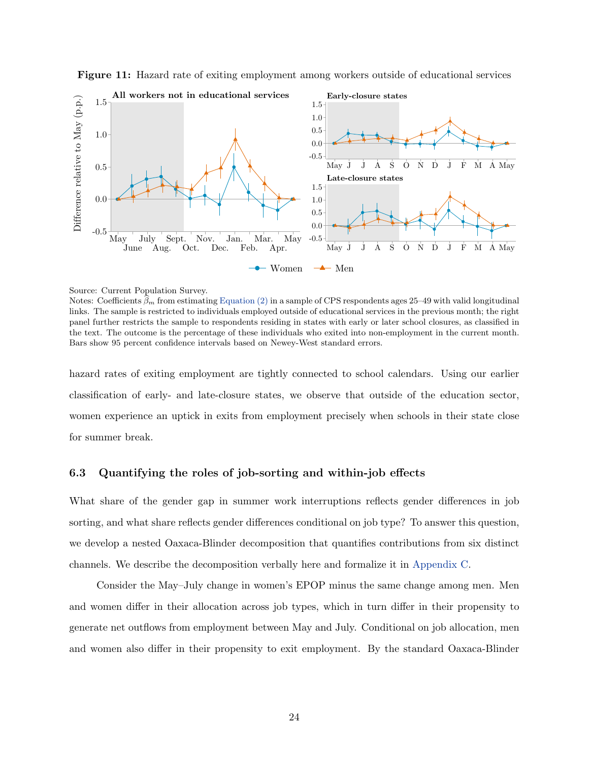

<span id="page-23-0"></span>Figure 11: Hazard rate of exiting employment among workers outside of educational services

Notes: Coefficients  $\beta_m$  from estimating [Equation \(2\)](#page-7-2) in a sample of CPS respondents ages 25–49 with valid longitudinal links. The sample is restricted to individuals employed outside of educational services in the previous month; the right panel further restricts the sample to respondents residing in states with early or later school closures, as classified in the text. The outcome is the percentage of these individuals who exited into non-employment in the current month. Bars show 95 percent confidence intervals based on Newey-West standard errors.

hazard rates of exiting employment are tightly connected to school calendars. Using our earlier classification of early- and late-closure states, we observe that outside of the education sector, women experience an uptick in exits from employment precisely when schools in their state close for summer break.

## 6.3 Quantifying the roles of job-sorting and within-job effects

What share of the gender gap in summer work interruptions reflects gender differences in job sorting, and what share reflects gender differences conditional on job type? To answer this question, we develop a nested Oaxaca-Blinder decomposition that quantifies contributions from six distinct channels. We describe the decomposition verbally here and formalize it in [Appendix C.](#page-46-0)

Consider the May–July change in women's EPOP minus the same change among men. Men and women differ in their allocation across job types, which in turn differ in their propensity to generate net outflows from employment between May and July. Conditional on job allocation, men and women also differ in their propensity to exit employment. By the standard Oaxaca-Blinder

Source: Current Population Survey.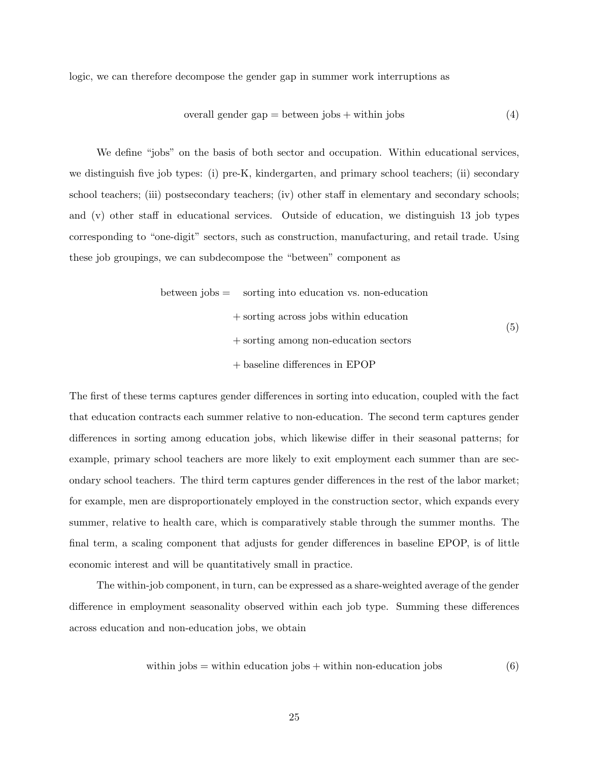logic, we can therefore decompose the gender gap in summer work interruptions as

$$
overall gender gap = between jobs + within jobs
$$
\n(4)

We define "jobs" on the basis of both sector and occupation. Within educational services, we distinguish five job types: (i) pre-K, kindergarten, and primary school teachers; (ii) secondary school teachers; (iii) postsecondary teachers; (iv) other staff in elementary and secondary schools; and (v) other staff in educational services. Outside of education, we distinguish 13 job types corresponding to "one-digit" sectors, such as construction, manufacturing, and retail trade. Using these job groupings, we can subdecompose the "between" component as

between jobs = sorting into education vs. non-education + sorting across jobs within education + sorting among non-education sectors + baseline differences in EPOP (5)

The first of these terms captures gender differences in sorting into education, coupled with the fact that education contracts each summer relative to non-education. The second term captures gender differences in sorting among education jobs, which likewise differ in their seasonal patterns; for example, primary school teachers are more likely to exit employment each summer than are secondary school teachers. The third term captures gender differences in the rest of the labor market; for example, men are disproportionately employed in the construction sector, which expands every summer, relative to health care, which is comparatively stable through the summer months. The final term, a scaling component that adjusts for gender differences in baseline EPOP, is of little economic interest and will be quantitatively small in practice.

The within-job component, in turn, can be expressed as a share-weighted average of the gender difference in employment seasonality observed within each job type. Summing these differences across education and non-education jobs, we obtain

within jobs = within education jobs + within non-eduction jobs 
$$
(6)
$$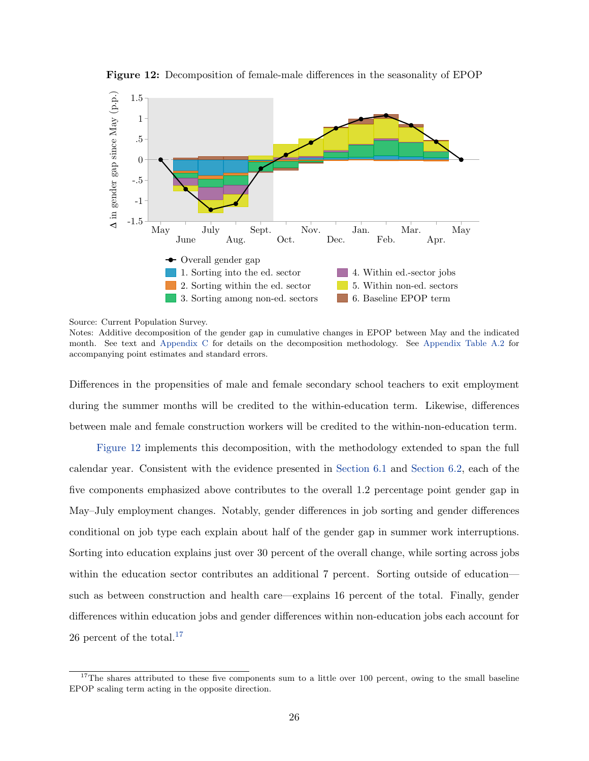<span id="page-25-0"></span>

Figure 12: Decomposition of female-male differences in the seasonality of EPOP

Source: Current Population Survey.

Notes: Additive decomposition of the gender gap in cumulative changes in EPOP between May and the indicated month. See text and [Appendix C](#page-46-0) for details on the decomposition methodology. See [Appendix Table A.2](#page-40-0) for accompanying point estimates and standard errors.

Differences in the propensities of male and female secondary school teachers to exit employment during the summer months will be credited to the within-education term. Likewise, differences between male and female construction workers will be credited to the within-non-education term.

[Figure 12](#page-25-0) implements this decomposition, with the methodology extended to span the full calendar year. Consistent with the evidence presented in [Section 6.1](#page-20-2) and [Section 6.2,](#page-21-1) each of the five components emphasized above contributes to the overall 1.2 percentage point gender gap in May–July employment changes. Notably, gender differences in job sorting and gender differences conditional on job type each explain about half of the gender gap in summer work interruptions. Sorting into education explains just over 30 percent of the overall change, while sorting across jobs within the education sector contributes an additional 7 percent. Sorting outside of education such as between construction and health care—explains 16 percent of the total. Finally, gender differences within education jobs and gender differences within non-education jobs each account for 26 percent of the total.<sup>[17](#page-25-1)</sup>

<span id="page-25-1"></span><sup>&</sup>lt;sup>17</sup>The shares attributed to these five components sum to a little over 100 percent, owing to the small baseline EPOP scaling term acting in the opposite direction.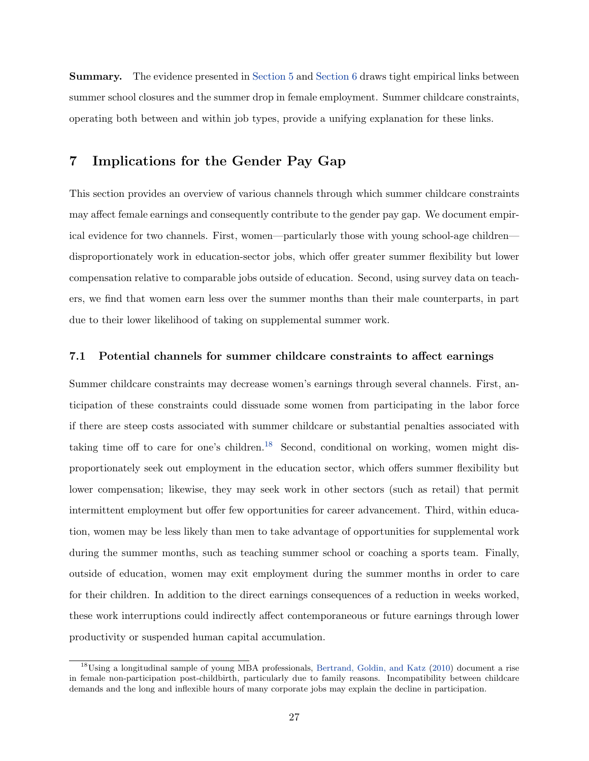Summary. The evidence presented in [Section 5](#page-15-0) and [Section 6](#page-19-0) draws tight empirical links between summer school closures and the summer drop in female employment. Summer childcare constraints, operating both between and within job types, provide a unifying explanation for these links.

# <span id="page-26-0"></span>7 Implications for the Gender Pay Gap

This section provides an overview of various channels through which summer childcare constraints may affect female earnings and consequently contribute to the gender pay gap. We document empirical evidence for two channels. First, women—particularly those with young school-age children disproportionately work in education-sector jobs, which offer greater summer flexibility but lower compensation relative to comparable jobs outside of education. Second, using survey data on teachers, we find that women earn less over the summer months than their male counterparts, in part due to their lower likelihood of taking on supplemental summer work.

## 7.1 Potential channels for summer childcare constraints to affect earnings

Summer childcare constraints may decrease women's earnings through several channels. First, anticipation of these constraints could dissuade some women from participating in the labor force if there are steep costs associated with summer childcare or substantial penalties associated with taking time off to care for one's children.<sup>[18](#page-26-1)</sup> Second, conditional on working, women might disproportionately seek out employment in the education sector, which offers summer flexibility but lower compensation; likewise, they may seek work in other sectors (such as retail) that permit intermittent employment but offer few opportunities for career advancement. Third, within education, women may be less likely than men to take advantage of opportunities for supplemental work during the summer months, such as teaching summer school or coaching a sports team. Finally, outside of education, women may exit employment during the summer months in order to care for their children. In addition to the direct earnings consequences of a reduction in weeks worked, these work interruptions could indirectly affect contemporaneous or future earnings through lower productivity or suspended human capital accumulation.

<span id="page-26-1"></span><sup>&</sup>lt;sup>18</sup>Using a longitudinal sample of young MBA professionals, [Bertrand, Goldin, and Katz](#page-31-4) [\(2010\)](#page-31-4) document a rise in female non-participation post-childbirth, particularly due to family reasons. Incompatibility between childcare demands and the long and inflexible hours of many corporate jobs may explain the decline in participation.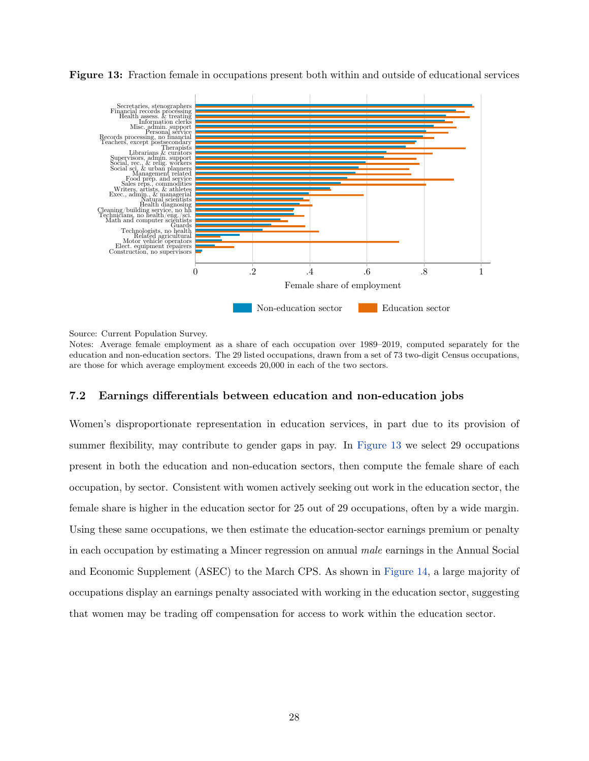

<span id="page-27-0"></span>Figure 13: Fraction female in occupations present both within and outside of educational services

Source: Current Population Survey.

Notes: Average female employment as a share of each occupation over 1989–2019, computed separately for the education and non-education sectors. The 29 listed occupations, drawn from a set of 73 two-digit Census occupations, are those for which average employment exceeds 20,000 in each of the two sectors.

## 7.2 Earnings differentials between education and non-education jobs

Women's disproportionate representation in education services, in part due to its provision of summer flexibility, may contribute to gender gaps in pay. In [Figure 13](#page-27-0) we select 29 occupations present in both the education and non-education sectors, then compute the female share of each occupation, by sector. Consistent with women actively seeking out work in the education sector, the female share is higher in the education sector for 25 out of 29 occupations, often by a wide margin. Using these same occupations, we then estimate the education-sector earnings premium or penalty in each occupation by estimating a Mincer regression on annual male earnings in the Annual Social and Economic Supplement (ASEC) to the March CPS. As shown in [Figure 14,](#page-28-0) a large majority of occupations display an earnings penalty associated with working in the education sector, suggesting that women may be trading off compensation for access to work within the education sector.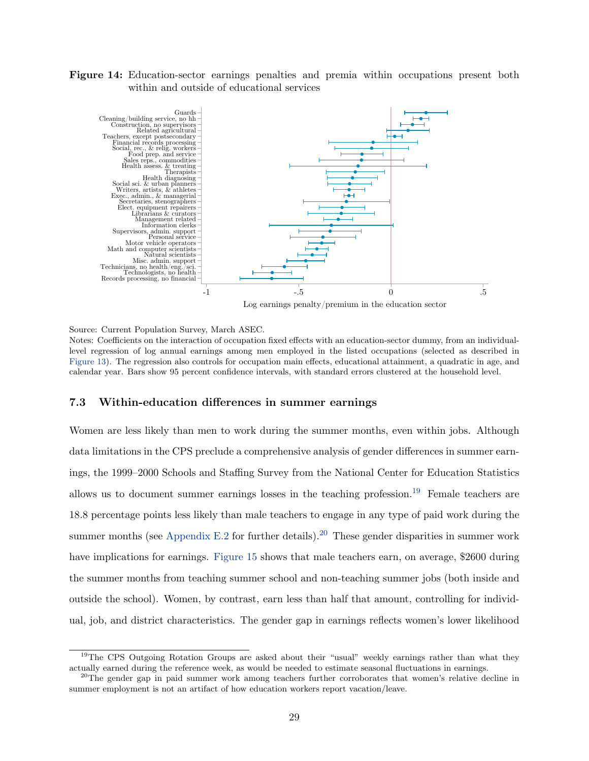<span id="page-28-0"></span>Figure 14: Education-sector earnings penalties and premia within occupations present both within and outside of educational services



Log earnings penalty/premium in the education sector

Source: Current Population Survey, March ASEC.

Notes: Coefficients on the interaction of occupation fixed effects with an education-sector dummy, from an individuallevel regression of log annual earnings among men employed in the listed occupations (selected as described in [Figure 13\)](#page-27-0). The regression also controls for occupation main effects, educational attainment, a quadratic in age, and calendar year. Bars show 95 percent confidence intervals, with standard errors clustered at the household level.

#### 7.3 Within-education differences in summer earnings

Women are less likely than men to work during the summer months, even within jobs. Although data limitations in the CPS preclude a comprehensive analysis of gender differences in summer earnings, the 1999–2000 Schools and Staffing Survey from the National Center for Education Statistics allows us to document summer earnings losses in the teaching profession.<sup>[19](#page-28-1)</sup> Female teachers are 18.8 percentage points less likely than male teachers to engage in any type of paid work during the summer months (see [Appendix E.2](#page-59-0) for further details).<sup>[20](#page-28-2)</sup> These gender disparities in summer work have implications for earnings. [Figure 15](#page-29-1) shows that male teachers earn, on average, \$2600 during the summer months from teaching summer school and non-teaching summer jobs (both inside and outside the school). Women, by contrast, earn less than half that amount, controlling for individual, job, and district characteristics. The gender gap in earnings reflects women's lower likelihood

<span id="page-28-1"></span><sup>&</sup>lt;sup>19</sup>The CPS Outgoing Rotation Groups are asked about their "usual" weekly earnings rather than what they actually earned during the reference week, as would be needed to estimate seasonal fluctuations in earnings.

<span id="page-28-2"></span><sup>&</sup>lt;sup>20</sup>The gender gap in paid summer work among teachers further corroborates that women's relative decline in summer employment is not an artifact of how education workers report vacation/leave.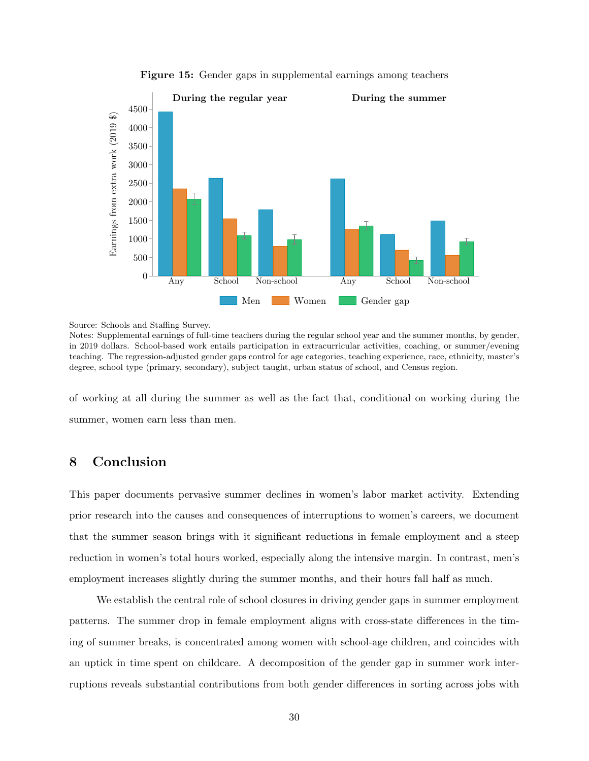<span id="page-29-1"></span>

Figure 15: Gender gaps in supplemental earnings among teachers

Source: Schools and Staffing Survey.

Notes: Supplemental earnings of full-time teachers during the regular school year and the summer months, by gender, in 2019 dollars. School-based work entails participation in extracurricular activities, coaching, or summer/evening teaching. The regression-adjusted gender gaps control for age categories, teaching experience, race, ethnicity, master's degree, school type (primary, secondary), subject taught, urban status of school, and Census region.

of working at all during the summer as well as the fact that, conditional on working during the summer, women earn less than men.

# <span id="page-29-0"></span>8 Conclusion

This paper documents pervasive summer declines in women's labor market activity. Extending prior research into the causes and consequences of interruptions to women's careers, we document that the summer season brings with it significant reductions in female employment and a steep reduction in women's total hours worked, especially along the intensive margin. In contrast, men's employment increases slightly during the summer months, and their hours fall half as much.

We establish the central role of school closures in driving gender gaps in summer employment patterns. The summer drop in female employment aligns with cross-state differences in the timing of summer breaks, is concentrated among women with school-age children, and coincides with an uptick in time spent on childcare. A decomposition of the gender gap in summer work interruptions reveals substantial contributions from both gender differences in sorting across jobs with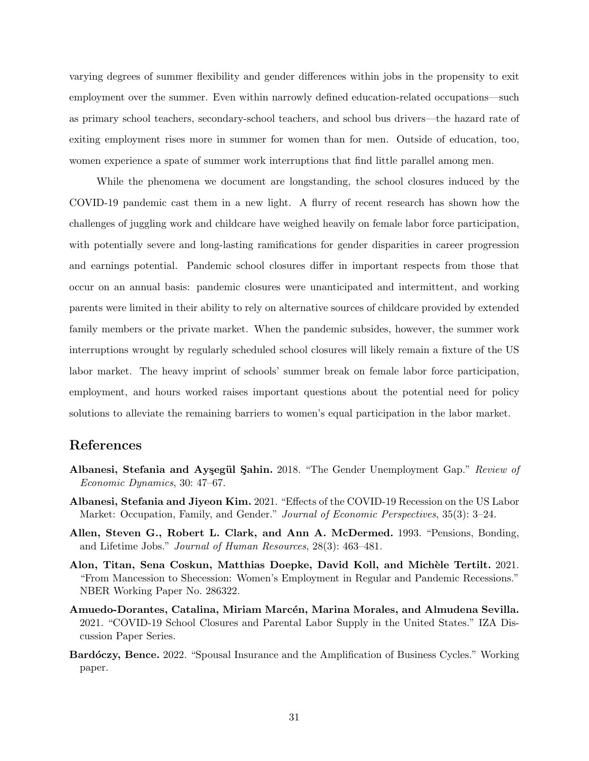varying degrees of summer flexibility and gender differences within jobs in the propensity to exit employment over the summer. Even within narrowly defined education-related occupations—such as primary school teachers, secondary-school teachers, and school bus drivers—the hazard rate of exiting employment rises more in summer for women than for men. Outside of education, too, women experience a spate of summer work interruptions that find little parallel among men.

While the phenomena we document are longstanding, the school closures induced by the COVID-19 pandemic cast them in a new light. A flurry of recent research has shown how the challenges of juggling work and childcare have weighed heavily on female labor force participation, with potentially severe and long-lasting ramifications for gender disparities in career progression and earnings potential. Pandemic school closures differ in important respects from those that occur on an annual basis: pandemic closures were unanticipated and intermittent, and working parents were limited in their ability to rely on alternative sources of childcare provided by extended family members or the private market. When the pandemic subsides, however, the summer work interruptions wrought by regularly scheduled school closures will likely remain a fixture of the US labor market. The heavy imprint of schools' summer break on female labor force participation, employment, and hours worked raises important questions about the potential need for policy solutions to alleviate the remaining barriers to women's equal participation in the labor market.

## References

- <span id="page-30-3"></span>Albanesi, Stefania and Ayşegül Şahin. 2018. "The Gender Unemployment Gap." Review of Economic Dynamics, 30: 47–67.
- <span id="page-30-1"></span>Albanesi, Stefania and Jiyeon Kim. 2021. "Effects of the COVID-19 Recession on the US Labor Market: Occupation, Family, and Gender." Journal of Economic Perspectives, 35(3): 3–24.
- <span id="page-30-5"></span>Allen, Steven G., Robert L. Clark, and Ann A. McDermed. 1993. "Pensions, Bonding, and Lifetime Jobs." Journal of Human Resources, 28(3): 463–481.
- <span id="page-30-2"></span>Alon, Titan, Sena Coskun, Matthias Doepke, David Koll, and Michèle Tertilt. 2021. "From Mancession to Shecession: Women's Employment in Regular and Pandemic Recessions." NBER Working Paper No. 286322.
- <span id="page-30-0"></span>Amuedo-Dorantes, Catalina, Miriam Marcén, Marina Morales, and Almudena Sevilla. 2021. "COVID-19 School Closures and Parental Labor Supply in the United States." IZA Discussion Paper Series.
- <span id="page-30-4"></span>Bardóczy, Bence. 2022. "Spousal Insurance and the Amplification of Business Cycles." Working paper.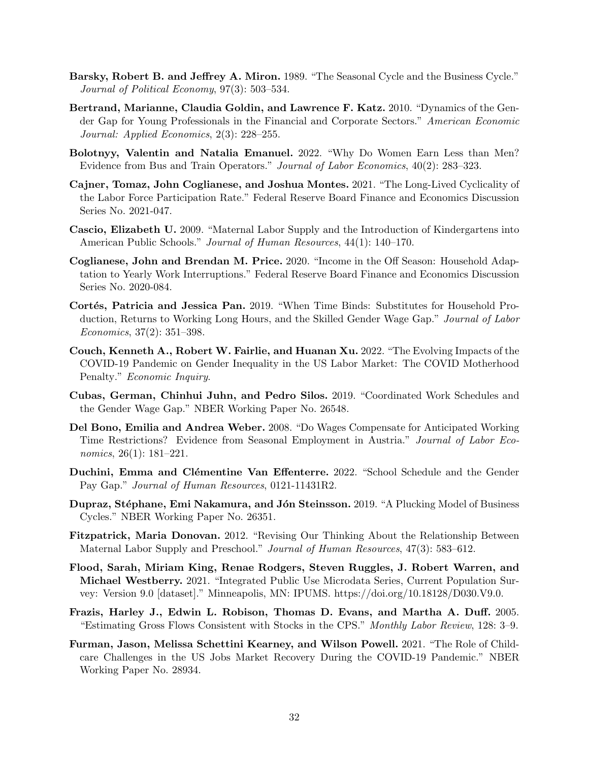- <span id="page-31-8"></span>Barsky, Robert B. and Jeffrey A. Miron. 1989. "The Seasonal Cycle and the Business Cycle." Journal of Political Economy, 97(3): 503–534.
- <span id="page-31-4"></span>Bertrand, Marianne, Claudia Goldin, and Lawrence F. Katz. 2010. "Dynamics of the Gender Gap for Young Professionals in the Financial and Corporate Sectors." American Economic Journal: Applied Economics, 2(3): 228–255.
- <span id="page-31-2"></span>Bolotnyy, Valentin and Natalia Emanuel. 2022. "Why Do Women Earn Less than Men? Evidence from Bus and Train Operators." Journal of Labor Economics, 40(2): 283–323.
- <span id="page-31-15"></span>Cajner, Tomaz, John Coglianese, and Joshua Montes. 2021. "The Long-Lived Cyclicality of the Labor Force Participation Rate." Federal Reserve Board Finance and Economics Discussion Series No. 2021-047.
- <span id="page-31-5"></span>Cascio, Elizabeth U. 2009. "Maternal Labor Supply and the Introduction of Kindergartens into American Public Schools." Journal of Human Resources, 44(1): 140-170.
- <span id="page-31-10"></span>Coglianese, John and Brendan M. Price. 2020. "Income in the Off Season: Household Adaptation to Yearly Work Interruptions." Federal Reserve Board Finance and Economics Discussion Series No. 2020-084.
- <span id="page-31-3"></span>Cortés, Patricia and Jessica Pan. 2019. "When Time Binds: Substitutes for Household Production, Returns to Working Long Hours, and the Skilled Gender Wage Gap." Journal of Labor Economics, 37(2): 351–398.
- <span id="page-31-0"></span>Couch, Kenneth A., Robert W. Fairlie, and Huanan Xu. 2022. "The Evolving Impacts of the COVID-19 Pandemic on Gender Inequality in the US Labor Market: The COVID Motherhood Penalty." Economic Inquiry.
- <span id="page-31-1"></span>Cubas, German, Chinhui Juhn, and Pedro Silos. 2019. "Coordinated Work Schedules and the Gender Wage Gap." NBER Working Paper No. 26548.
- <span id="page-31-9"></span>Del Bono, Emilia and Andrea Weber. 2008. "Do Wages Compensate for Anticipated Working Time Restrictions? Evidence from Seasonal Employment in Austria." Journal of Labor Economics, 26(1): 181–221.
- <span id="page-31-7"></span>Duchini, Emma and Clémentine Van Effenterre. 2022. "School Schedule and the Gender Pay Gap." Journal of Human Resources, 0121-11431R2.
- <span id="page-31-14"></span>Dupraz, Stéphane, Emi Nakamura, and Jón Steinsson. 2019. "A Plucking Model of Business Cycles." NBER Working Paper No. 26351.
- <span id="page-31-6"></span>Fitzpatrick, Maria Donovan. 2012. "Revising Our Thinking About the Relationship Between Maternal Labor Supply and Preschool." Journal of Human Resources, 47(3): 583–612.
- <span id="page-31-12"></span>Flood, Sarah, Miriam King, Renae Rodgers, Steven Ruggles, J. Robert Warren, and Michael Westberry. 2021. "Integrated Public Use Microdata Series, Current Population Survey: Version 9.0 [dataset]." Minneapolis, MN: IPUMS. https://doi.org/10.18128/D030.V9.0.
- <span id="page-31-13"></span>Frazis, Harley J., Edwin L. Robison, Thomas D. Evans, and Martha A. Duff. 2005. "Estimating Gross Flows Consistent with Stocks in the CPS." Monthly Labor Review, 128: 3–9.
- <span id="page-31-11"></span>Furman, Jason, Melissa Schettini Kearney, and Wilson Powell. 2021. "The Role of Childcare Challenges in the US Jobs Market Recovery During the COVID-19 Pandemic." NBER Working Paper No. 28934.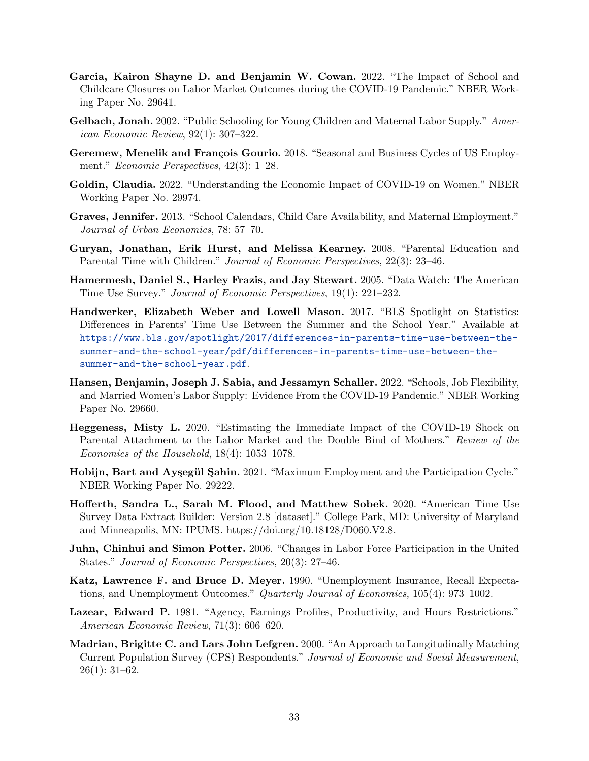- <span id="page-32-0"></span>Garcia, Kairon Shayne D. and Benjamin W. Cowan. 2022. "The Impact of School and Childcare Closures on Labor Market Outcomes during the COVID-19 Pandemic." NBER Working Paper No. 29641.
- <span id="page-32-3"></span>Gelbach, Jonah. 2002. "Public Schooling for Young Children and Maternal Labor Supply." American Economic Review, 92(1): 307–322.
- <span id="page-32-5"></span>Geremew, Menelik and François Gourio. 2018. "Seasonal and Business Cycles of US Employment." Economic Perspectives, 42(3): 1–28.
- <span id="page-32-6"></span>Goldin, Claudia. 2022. "Understanding the Economic Impact of COVID-19 on Women." NBER Working Paper No. 29974.
- <span id="page-32-4"></span>Graves, Jennifer. 2013. "School Calendars, Child Care Availability, and Maternal Employment." Journal of Urban Economics, 78: 57–70.
- <span id="page-32-14"></span>Guryan, Jonathan, Erik Hurst, and Melissa Kearney. 2008. "Parental Education and Parental Time with Children." *Journal of Economic Perspectives*, 22(3): 23–46.
- <span id="page-32-13"></span>Hamermesh, Daniel S., Harley Frazis, and Jay Stewart. 2005. "Data Watch: The American Time Use Survey." Journal of Economic Perspectives, 19(1): 221–232.
- <span id="page-32-10"></span>Handwerker, Elizabeth Weber and Lowell Mason. 2017. "BLS Spotlight on Statistics: Differences in Parents' Time Use Between the Summer and the School Year." Available at [https://www.bls.gov/spotlight/2017/differences-in-parents-time-use-between-the](https://www.bls.gov/spotlight/2017/differences-in-parents-time-use-between-the-summer-and-the-school-year/pdf/differences-in-parents-time-use-between-the-summer-and-the-school-year.pdf)[summer-and-the-school-year/pdf/differences-in-parents-time-use-between-the](https://www.bls.gov/spotlight/2017/differences-in-parents-time-use-between-the-summer-and-the-school-year/pdf/differences-in-parents-time-use-between-the-summer-and-the-school-year.pdf)[summer-and-the-school-year.pdf](https://www.bls.gov/spotlight/2017/differences-in-parents-time-use-between-the-summer-and-the-school-year/pdf/differences-in-parents-time-use-between-the-summer-and-the-school-year.pdf).
- <span id="page-32-1"></span>Hansen, Benjamin, Joseph J. Sabia, and Jessamyn Schaller. 2022. "Schools, Job Flexibility, and Married Women's Labor Supply: Evidence From the COVID-19 Pandemic." NBER Working Paper No. 29660.
- <span id="page-32-2"></span>Heggeness, Misty L. 2020. "Estimating the Immediate Impact of the COVID-19 Shock on Parental Attachment to the Labor Market and the Double Bind of Mothers." Review of the Economics of the Household, 18(4): 1053–1078.
- <span id="page-32-12"></span>Hobijn, Bart and Aysegül Sahin. 2021. "Maximum Employment and the Participation Cycle." NBER Working Paper No. 29222.
- <span id="page-32-15"></span>Hofferth, Sandra L., Sarah M. Flood, and Matthew Sobek. 2020. "American Time Use Survey Data Extract Builder: Version 2.8 [dataset]." College Park, MD: University of Maryland and Minneapolis, MN: IPUMS. https://doi.org/10.18128/D060.V2.8.
- <span id="page-32-8"></span>Juhn, Chinhui and Simon Potter. 2006. "Changes in Labor Force Participation in the United States." Journal of Economic Perspectives, 20(3): 27–46.
- <span id="page-32-11"></span>Katz, Lawrence F. and Bruce D. Meyer. 1990. "Unemployment Insurance, Recall Expectations, and Unemployment Outcomes." Quarterly Journal of Economics, 105(4): 973–1002.
- <span id="page-32-9"></span>Lazear, Edward P. 1981. "Agency, Earnings Profiles, Productivity, and Hours Restrictions." American Economic Review, 71(3): 606–620.
- <span id="page-32-7"></span>Madrian, Brigitte C. and Lars John Lefgren. 2000. "An Approach to Longitudinally Matching Current Population Survey (CPS) Respondents." Journal of Economic and Social Measurement, 26(1): 31–62.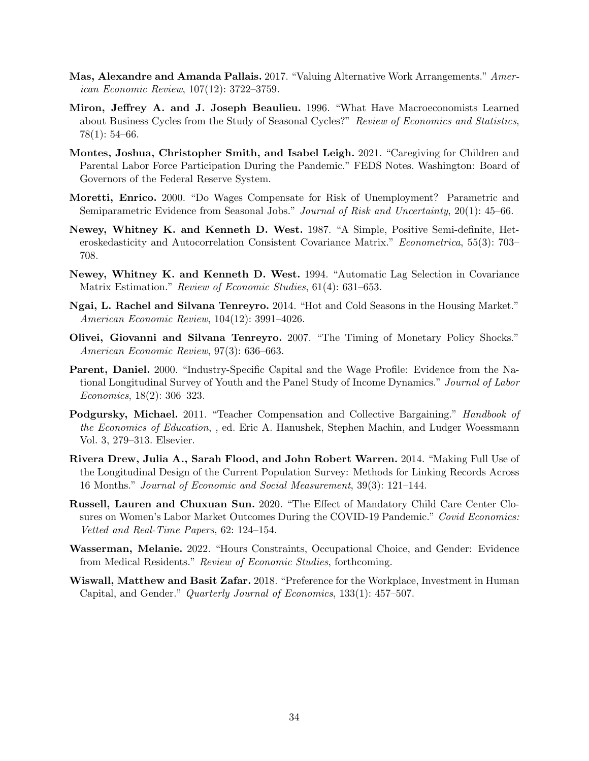- <span id="page-33-3"></span>Mas, Alexandre and Amanda Pallais. 2017. "Valuing Alternative Work Arrangements." American Economic Review, 107(12): 3722–3759.
- <span id="page-33-5"></span>Miron, Jeffrey A. and J. Joseph Beaulieu. 1996. "What Have Macroeconomists Learned about Business Cycles from the Study of Seasonal Cycles?" Review of Economics and Statistics, 78(1): 54–66.
- <span id="page-33-0"></span>Montes, Joshua, Christopher Smith, and Isabel Leigh. 2021. "Caregiving for Children and Parental Labor Force Participation During the Pandemic." FEDS Notes. Washington: Board of Governors of the Federal Reserve System.
- <span id="page-33-8"></span>Moretti, Enrico. 2000. "Do Wages Compensate for Risk of Unemployment? Parametric and Semiparametric Evidence from Seasonal Jobs." Journal of Risk and Uncertainty, 20(1): 45–66.
- <span id="page-33-10"></span>Newey, Whitney K. and Kenneth D. West. 1987. "A Simple, Positive Semi-definite, Heteroskedasticity and Autocorrelation Consistent Covariance Matrix." Econometrica, 55(3): 703– 708.
- <span id="page-33-11"></span>Newey, Whitney K. and Kenneth D. West. 1994. "Automatic Lag Selection in Covariance Matrix Estimation." Review of Economic Studies, 61(4): 631–653.
- <span id="page-33-7"></span>Ngai, L. Rachel and Silvana Tenreyro. 2014. "Hot and Cold Seasons in the Housing Market." American Economic Review, 104(12): 3991–4026.
- <span id="page-33-6"></span>Olivei, Giovanni and Silvana Tenreyro. 2007. "The Timing of Monetary Policy Shocks." American Economic Review, 97(3): 636–663.
- <span id="page-33-12"></span>Parent, Daniel. 2000. "Industry-Specific Capital and the Wage Profile: Evidence from the National Longitudinal Survey of Youth and the Panel Study of Income Dynamics." Journal of Labor Economics, 18(2): 306–323.
- <span id="page-33-13"></span>Podgursky, Michael. 2011. "Teacher Compensation and Collective Bargaining." *Handbook of* the Economics of Education, , ed. Eric A. Hanushek, Stephen Machin, and Ludger Woessmann Vol. 3, 279–313. Elsevier.
- <span id="page-33-9"></span>Rivera Drew, Julia A., Sarah Flood, and John Robert Warren. 2014. "Making Full Use of the Longitudinal Design of the Current Population Survey: Methods for Linking Records Across 16 Months." Journal of Economic and Social Measurement, 39(3): 121–144.
- <span id="page-33-1"></span>Russell, Lauren and Chuxuan Sun. 2020. "The Effect of Mandatory Child Care Center Closures on Women's Labor Market Outcomes During the COVID-19 Pandemic." Covid Economics: Vetted and Real-Time Papers, 62: 124–154.
- <span id="page-33-4"></span>Wasserman, Melanie. 2022. "Hours Constraints, Occupational Choice, and Gender: Evidence from Medical Residents." Review of Economic Studies, forthcoming.
- <span id="page-33-2"></span>Wiswall, Matthew and Basit Zafar. 2018. "Preference for the Workplace, Investment in Human Capital, and Gender." Quarterly Journal of Economics, 133(1): 457–507.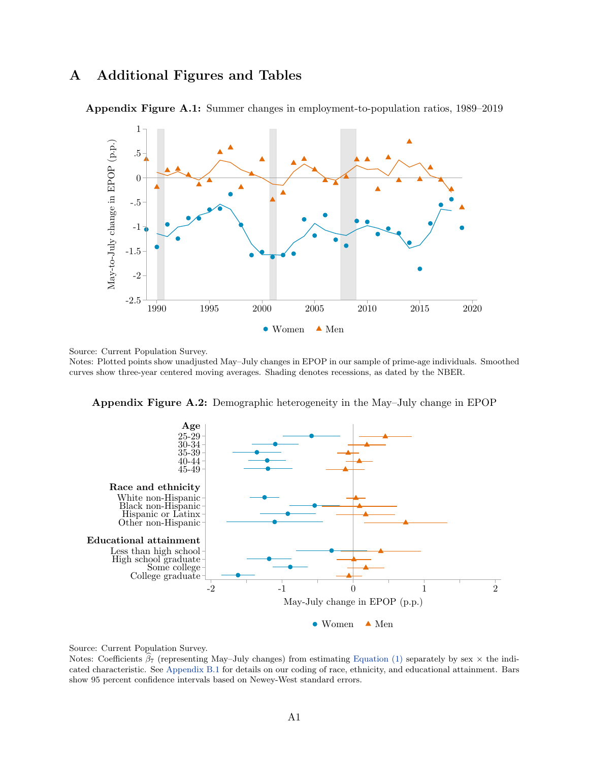# A Additional Figures and Tables



<span id="page-34-0"></span>Appendix Figure A.1: Summer changes in employment-to-population ratios, 1989–2019

Source: Current Population Survey.

Notes: Plotted points show unadjusted May–July changes in EPOP in our sample of prime-age individuals. Smoothed curves show three-year centered moving averages. Shading denotes recessions, as dated by the NBER.



<span id="page-34-1"></span>Appendix Figure A.2: Demographic heterogeneity in the May–July change in EPOP

Source: Current Population Survey.

Notes: Coefficients  $\beta_7$  (representing May–July changes) from estimating [Equation \(1\)](#page-6-0) separately by sex  $\times$  the indicated characteristic. See [Appendix B.1](#page-42-0) for details on our coding of race, ethnicity, and educational attainment. Bars show 95 percent confidence intervals based on Newey-West standard errors.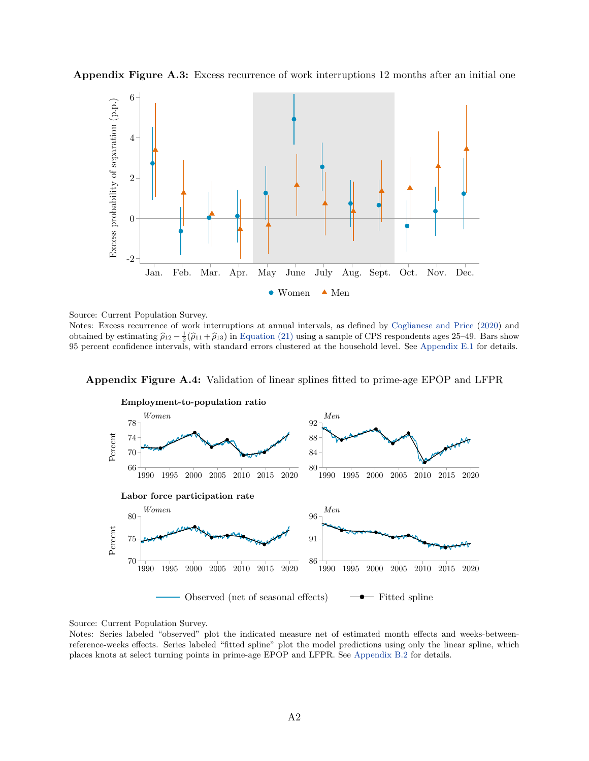<span id="page-35-0"></span>Appendix Figure A.3: Excess recurrence of work interruptions 12 months after an initial one



Source: Current Population Survey.

Notes: Excess recurrence of work interruptions at annual intervals, as defined by [Coglianese and Price](#page-31-10) [\(2020\)](#page-31-10) and obtained by estimating  $\hat{\rho}_{12} - \frac{1}{2}(\hat{\rho}_{11} + \hat{\rho}_{13})$  in [Equation \(21\)](#page-59-1) using a sample of CPS respondents ages 25–49. Bars show 95 percent confidence intervals, with standard errors clustered at the household level. See [Appendix E.1](#page-58-0) for details.

### <span id="page-35-1"></span>Appendix Figure A.4: Validation of linear splines fitted to prime-age EPOP and LFPR



Source: Current Population Survey.

Notes: Series labeled "observed" plot the indicated measure net of estimated month effects and weeks-betweenreference-weeks effects. Series labeled "fitted spline" plot the model predictions using only the linear spline, which places knots at select turning points in prime-age EPOP and LFPR. See [Appendix B.2](#page-44-0) for details.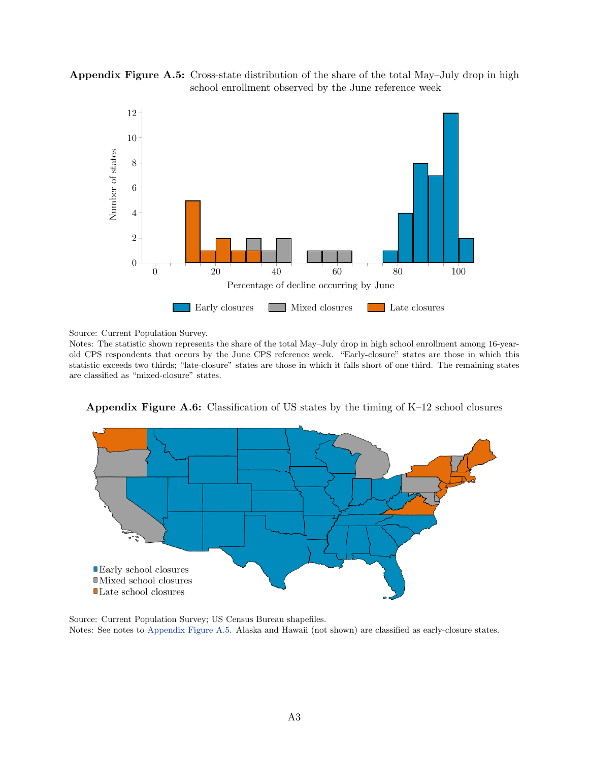<span id="page-36-0"></span>



Source: Current Population Survey.

Notes: The statistic shown represents the share of the total May–July drop in high school enrollment among 16-yearold CPS respondents that occurs by the June CPS reference week. "Early-closure" states are those in which this statistic exceeds two thirds; "late-closure" states are those in which it falls short of one third. The remaining states are classified as "mixed-closure" states.



<span id="page-36-1"></span>Appendix Figure A.6: Classification of US states by the timing of K–12 school closures

Source: Current Population Survey; US Census Bureau shapefiles. Notes: See notes to [Appendix Figure A.5.](#page-36-0) Alaska and Hawaii (not shown) are classified as early-closure states.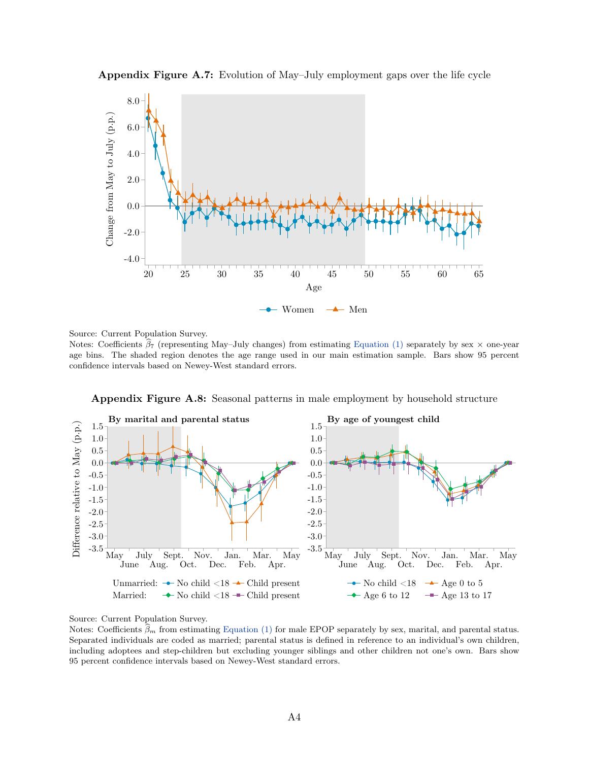

<span id="page-37-0"></span>Appendix Figure A.7: Evolution of May–July employment gaps over the life cycle

Source: Current Population Survey.

Notes: Coefficients  $\beta_7$  (representing May–July changes) from estimating [Equation \(1\)](#page-6-0) separately by sex  $\times$  one-year age bins. The shaded region denotes the age range used in our main estimation sample. Bars show 95 percent confidence intervals based on Newey-West standard errors.

<span id="page-37-1"></span>

Appendix Figure A.8: Seasonal patterns in male employment by household structure

Source: Current Population Survey.

Notes: Coefficients  $\beta_m$  from estimating [Equation \(1\)](#page-6-0) for male EPOP separately by sex, marital, and parental status. Separated individuals are coded as married; parental status is defined in reference to an individual's own children, including adoptees and step-children but excluding younger siblings and other children not one's own. Bars show 95 percent confidence intervals based on Newey-West standard errors.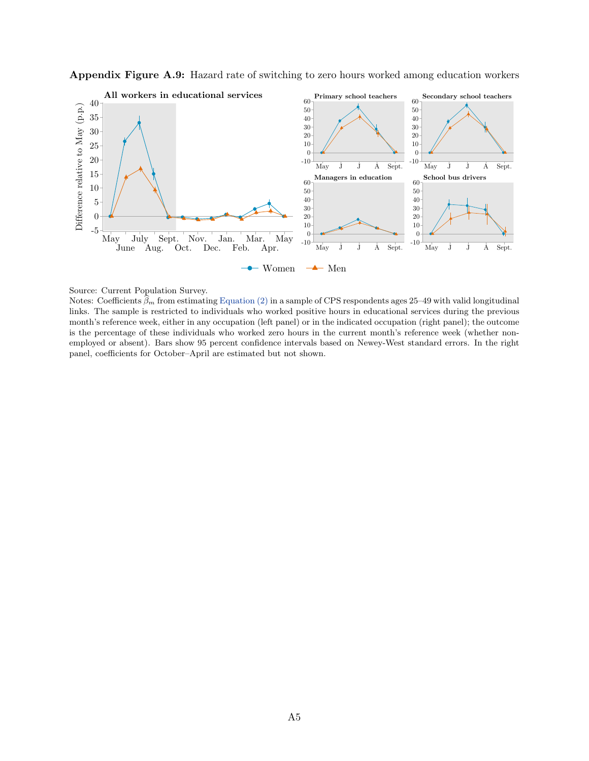<span id="page-38-0"></span>



Source: Current Population Survey.

Notes: Coefficients  $\beta_m$  from estimating [Equation \(2\)](#page-7-2) in a sample of CPS respondents ages 25–49 with valid longitudinal links. The sample is restricted to individuals who worked positive hours in educational services during the previous month's reference week, either in any occupation (left panel) or in the indicated occupation (right panel); the outcome is the percentage of these individuals who worked zero hours in the current month's reference week (whether nonemployed or absent). Bars show 95 percent confidence intervals based on Newey-West standard errors. In the right panel, coefficients for October–April are estimated but not shown.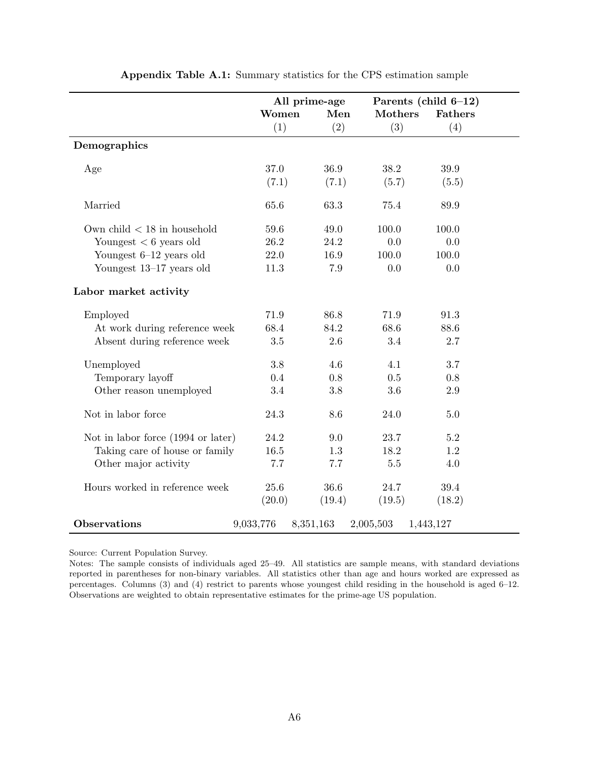<span id="page-39-0"></span>

|                                    |           | All prime-age |                | Parents (child $6-12$ ) |  |
|------------------------------------|-----------|---------------|----------------|-------------------------|--|
|                                    | Women     | Men           | <b>Mothers</b> | <b>Fathers</b>          |  |
|                                    | (1)       | (2)           | (3)            | (4)                     |  |
| Demographics                       |           |               |                |                         |  |
| Age                                | 37.0      | 36.9          | 38.2           | 39.9                    |  |
|                                    | (7.1)     | (7.1)         | (5.7)          | (5.5)                   |  |
| Married                            | 65.6      | 63.3          | 75.4           | 89.9                    |  |
| Own child $<$ 18 in household      | 59.6      | 49.0          | 100.0          | 100.0                   |  |
| Youngest $< 6$ years old           | 26.2      | 24.2          | 0.0            | 0.0                     |  |
| Youngest $6-12$ years old          | 22.0      | 16.9          | 100.0          | 100.0                   |  |
| Youngest 13-17 years old           | 11.3      | 7.9           | 0.0            | 0.0                     |  |
| Labor market activity              |           |               |                |                         |  |
| Employed                           | 71.9      | 86.8          | 71.9           | 91.3                    |  |
| At work during reference week      | 68.4      | 84.2          | 68.6           | 88.6                    |  |
| Absent during reference week       | 3.5       | 2.6           | 3.4            | 2.7                     |  |
| Unemployed                         | 3.8       | 4.6           | 4.1            | 3.7                     |  |
| Temporary layoff                   | 0.4       | 0.8           | 0.5            | 0.8                     |  |
| Other reason unemployed            | 3.4       | 3.8           | 3.6            | 2.9                     |  |
| Not in labor force                 | 24.3      | 8.6           | 24.0           | 5.0                     |  |
| Not in labor force (1994 or later) | 24.2      | 9.0           | 23.7           | 5.2                     |  |
| Taking care of house or family     | 16.5      | 1.3           | 18.2           | 1.2                     |  |
| Other major activity               | 7.7       | 7.7           | 5.5            | 4.0                     |  |
| Hours worked in reference week     | 25.6      | 36.6          | 24.7           | 39.4                    |  |
|                                    | (20.0)    | (19.4)        | (19.5)         | (18.2)                  |  |
| <b>Observations</b>                | 9,033,776 | 8,351,163     | 2,005,503      | 1,443,127               |  |

Appendix Table A.1: Summary statistics for the CPS estimation sample

Source: Current Population Survey.

Notes: The sample consists of individuals aged 25–49. All statistics are sample means, with standard deviations reported in parentheses for non-binary variables. All statistics other than age and hours worked are expressed as percentages. Columns (3) and (4) restrict to parents whose youngest child residing in the household is aged 6–12. Observations are weighted to obtain representative estimates for the prime-age US population.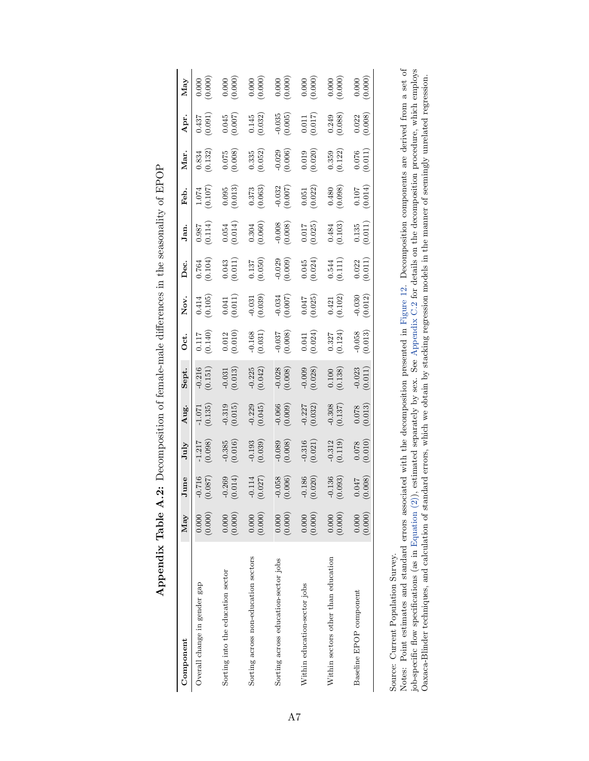<span id="page-40-0"></span>

| Component                            | May              | June                  | July                  | Aug.                                             | Sept.                    | Oct.                                                                 | Nov.                                            | Dec.                                            | Jan.                                                                          | Feb.                                            | Mar.                                            | Apr.                                            | May                                                                                                                    |
|--------------------------------------|------------------|-----------------------|-----------------------|--------------------------------------------------|--------------------------|----------------------------------------------------------------------|-------------------------------------------------|-------------------------------------------------|-------------------------------------------------------------------------------|-------------------------------------------------|-------------------------------------------------|-------------------------------------------------|------------------------------------------------------------------------------------------------------------------------|
| Overall change in gender gap         | (0.000)<br>0.000 | (0.087)<br>$-0.716$   | $-1.217$<br>(0.098)   | (0.135)                                          | (0.151)                  | $(0.117)$<br>(0.140)                                                 | $\begin{array}{c} 0.414 \\ 0.105 \end{array}$   | (0.764)                                         | (711.0)                                                                       | (0.107)                                         | $\begin{array}{c} 0.834 \\ (0.132) \end{array}$ | (0.437)                                         | (0.000)                                                                                                                |
| Sorting into the education sector    | (0.000)<br>0.000 | $-0.269$<br>$(0.014)$ | $-0.385$<br>$(0.016)$ | (0.319)                                          | $\frac{-0.031}{(0.013)}$ | $\begin{array}{c} 0.012 \\ (0.010) \end{array}$                      | $\left( 0.041\right)$ $\left( 0.011\right)$     | $\begin{array}{c} 0.043 \\ (0.011) \end{array}$ | $\begin{array}{c} 0.054 \\ (0.014) \end{array}$                               | $\begin{array}{c} 0.095 \\ (0.013) \end{array}$ | $\frac{0.075}{(0.008)}$                         | $\binom{0.045}{0.007}$                          |                                                                                                                        |
| Sorting across non-education sectors | (0.000)<br>0.000 | $-0.114$ (0.027)      | (0.193)               | (0.045)                                          | $-0.225$<br>(0.042)      | $-0.168$<br>(0.031)                                                  | $-0.031$<br>$(0.039)$                           | $\frac{0.137}{(0.050)}$                         | $\begin{array}{c} 0.304 \\ 0.060) \end{array}$                                | $\begin{array}{c} 0.373 \\ (0.063) \end{array}$ | $\begin{array}{c} 0.335 \\ (0.052) \end{array}$ | $\begin{array}{c} 0.145 \\ (0.032) \end{array}$ | $\begin{array}{c} 0.000\\ (0.000)\\ (0.000)\\ (0.000)\\ (0.000)\\ (0.000)\\ (0.000)\\ (0.000)\\ (0.000)\\ \end{array}$ |
| Sorting across education-sector jobs | (0.000)<br>0.000 | $-0.058$<br>(0.006)   | (0.008)               | $\begin{array}{c} -0.066 \\ (0.009) \end{array}$ | $-0.028$<br>(0.008)      |                                                                      | (0.034)                                         | $-0.029$<br>$(0.009)$                           |                                                                               | $-0.032$<br>(0.007)                             | (0.029)                                         | $-0.035$<br>$(0.005)$                           |                                                                                                                        |
| Within education-sector jobs         | (0.000)<br>0.000 | $-0.186$<br>(0.020)   | (0.316)               | $-0.227$<br>(0.032)                              | (0.009)                  | $\begin{array}{c} -0.037 \\ (0.008) \\ 0.041 \\ (0.024) \end{array}$ | $\begin{array}{c} 0.047 \\ (0.025) \end{array}$ | $\begin{array}{c} 0.045 \\ (0.024) \end{array}$ | $\begin{array}{c} -0.008 \\ (0.008) \\ 0.017 \\ 0.017 \\ (0.025) \end{array}$ | $\begin{array}{c} 0.051 \\ (0.022) \end{array}$ | $\left(0.019\right)$ $\left(0.020\right)$       | $\begin{array}{c} 0.011 \\ (0.017) \end{array}$ |                                                                                                                        |
| Within sectors other than education  | (0.000)<br>0.000 | $-0.136$<br>(0.093)   | $-0.312$<br>$(0.119)$ | (0.308)                                          | $(0.100$<br>$(0.138)$    | $\begin{array}{c} 0.327 \\ (0.124) \end{array}$                      | $\begin{array}{c} 0.421 \\ (0.102) \end{array}$ | $\begin{array}{c} 0.544 \\ (0.111) \end{array}$ | $\begin{array}{c} 0.484 \\ (0.103) \end{array}$                               | $(0.480)$<br>(0.098)                            | $\begin{array}{c} 0.359 \\ (0.122) \end{array}$ | $(0.249)$<br>(0.088)                            | $\begin{array}{c} 0.000 \\ (0.000) \end{array}$                                                                        |
| Baseline EPOP component              | (0.000)<br>0.000 | (0.008)<br>0.047      | (0.010)               | (0.013)                                          | $-0.023$<br>(0.011)      | $-0.058$<br>$(0.013)$                                                | $-0.030$<br>$(0.012)$                           | $\binom{0.022}{0.011}$                          | (0.135)                                                                       | $\begin{array}{c} 0.107 \\ 0.014 \end{array}$   | (0.076)                                         | (0.022)                                         | (0.000)                                                                                                                |
| $\zeta$<br>$\frac{1}{2}$             |                  |                       |                       |                                                  |                          |                                                                      |                                                 |                                                 |                                                                               |                                                 |                                                 |                                                 |                                                                                                                        |

| イくーこ<br> <br> }<br> <br>                                                                                                                                                                                                                                  |
|-----------------------------------------------------------------------------------------------------------------------------------------------------------------------------------------------------------------------------------------------------------|
|                                                                                                                                                                                                                                                           |
| י<br>י<br>U ATT ATT CH                                                                                                                                                                                                                                    |
|                                                                                                                                                                                                                                                           |
| in Vincent Vincent Vincent<br>i<br>                                                                                                                                                                                                                       |
|                                                                                                                                                                                                                                                           |
| )<br>S                                                                                                                                                                                                                                                    |
|                                                                                                                                                                                                                                                           |
| CONTRACTORS CONTRACTORS - CONTRACTORS - CONTRACTORS - CONTRACTORS - CONTRACTORS - CONTRACTORS - CONTRACTORS - CONTRACTORS - CONTRACTORS - CONTRACTORS - CONTRACTORS - CONTRACTORS - CONTRACTORS - CONTRACTORS - CONTRACTORS -<br>į<br>ļ<br>$\overline{a}$ |
|                                                                                                                                                                                                                                                           |
|                                                                                                                                                                                                                                                           |
| -<br>-<br>-                                                                                                                                                                                                                                               |
| こうしょう いいりょう<br>l<br>l<br>1                                                                                                                                                                                                                                |

Source: Current Population Survey. Source: Current Population Survey.

Notes: Point estimates and standard errors associated with the decomposition presented in Figure 12. Decomposition components are derived from a set of job-specific flow specifications (as in Equation (2)), estimated sepa Notes: Point estimates and standard errors associated with the decomposition presented in [Figure](#page-25-0) 12. Decomposition components are derived from a set of job-specific flow specifications (as in [Equation](#page-7-2) (2)), estimated separately by sex. See [Appendix](#page-48-0) C.2 for details on the decomposition procedure, which employs Oaxaca-Blinder techniques, and calculation of standard errors, which we obtain by stacking regression models in the manner of seemingly unrelated regression.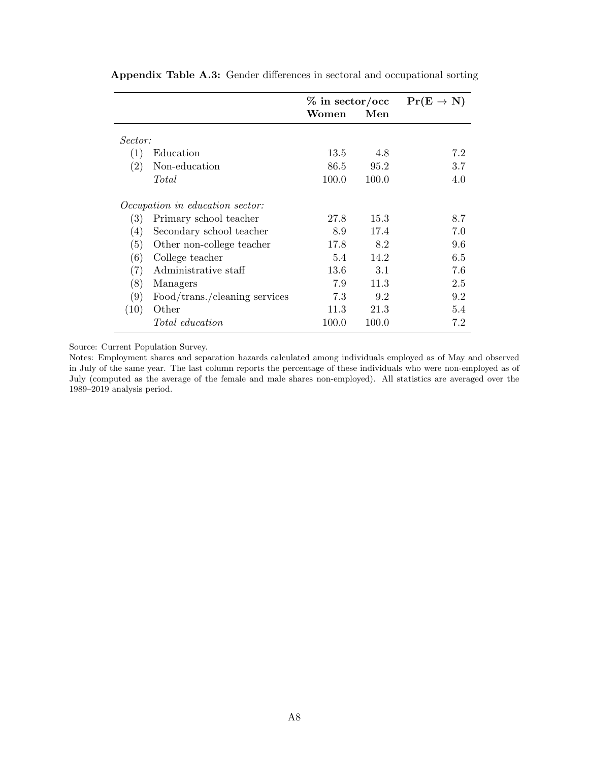|                   |                                        | $\%$ in sector/occ |       | $Pr(E \rightarrow N)$ |
|-------------------|----------------------------------------|--------------------|-------|-----------------------|
|                   |                                        | Women              | Men   |                       |
| Sector:           |                                        |                    |       |                       |
| (1)               | Education                              | 13.5               | 4.8   | 7.2                   |
| (2)               | Non-education                          | 86.5               | 95.2  | 3.7                   |
|                   | Total                                  | 100.0              | 100.0 | 4.0                   |
|                   | <i>Occupation in education sector:</i> |                    |       |                       |
| (3)               | Primary school teacher                 | 27.8               | 15.3  | 8.7                   |
| (4)               | Secondary school teacher               | 8.9                | 17.4  | 7.0                   |
| (5)               | Other non-college teacher              | 17.8               | 8.2   | 9.6                   |
| (6)               | College teacher                        | 5.4                | 14.2  | 6.5                   |
| $\left( 7\right)$ | Administrative staff                   | 13.6               | 3.1   | 7.6                   |
| (8)               | Managers                               | 7.9                | 11.3  | 2.5                   |
| (9)               | Food/trans./cleaning services          | 7.3                | 9.2   | 9.2                   |
| (10)              | Other                                  | 11.3               | 21.3  | 5.4                   |
|                   | <i>Total education</i>                 | 100.0              | 100.0 | 7.2                   |

<span id="page-41-0"></span>Appendix Table A.3: Gender differences in sectoral and occupational sorting

Source: Current Population Survey.

Notes: Employment shares and separation hazards calculated among individuals employed as of May and observed in July of the same year. The last column reports the percentage of these individuals who were non-employed as of July (computed as the average of the female and male shares non-employed). All statistics are averaged over the 1989–2019 analysis period.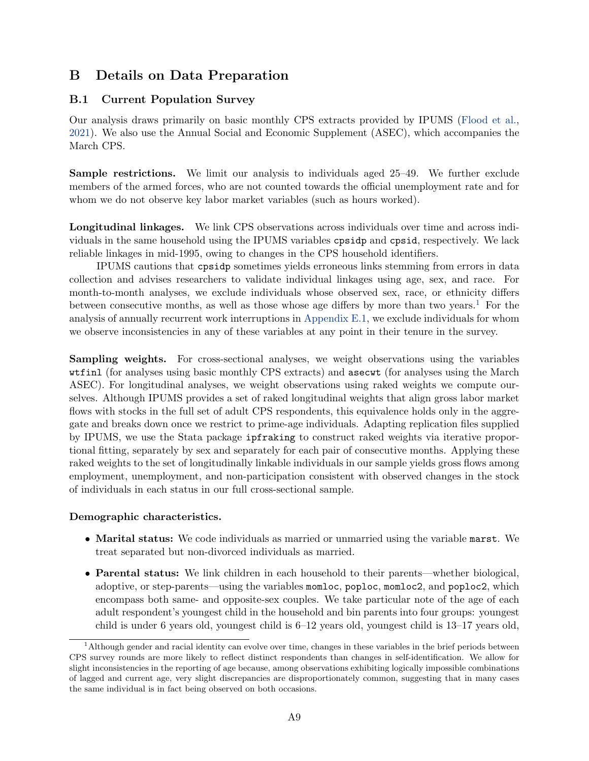# B Details on Data Preparation

# <span id="page-42-0"></span>B.1 Current Population Survey

Our analysis draws primarily on basic monthly CPS extracts provided by IPUMS [\(Flood et al.,](#page-31-12) [2021\)](#page-31-12). We also use the Annual Social and Economic Supplement (ASEC), which accompanies the March CPS.

Sample restrictions. We limit our analysis to individuals aged 25–49. We further exclude members of the armed forces, who are not counted towards the official unemployment rate and for whom we do not observe key labor market variables (such as hours worked).

Longitudinal linkages. We link CPS observations across individuals over time and across individuals in the same household using the IPUMS variables cpsidp and cpsid, respectively. We lack reliable linkages in mid-1995, owing to changes in the CPS household identifiers.

IPUMS cautions that cpsidp sometimes yields erroneous links stemming from errors in data collection and advises researchers to validate individual linkages using age, sex, and race. For month-to-month analyses, we exclude individuals whose observed sex, race, or ethnicity differs between consecutive months, as well as those whose age differs by more than two years.<sup>[1](#page-42-1)</sup> For the analysis of annually recurrent work interruptions in [Appendix E.1,](#page-58-0) we exclude individuals for whom we observe inconsistencies in any of these variables at any point in their tenure in the survey.

Sampling weights. For cross-sectional analyses, we weight observations using the variables wtfinl (for analyses using basic monthly CPS extracts) and asecwt (for analyses using the March ASEC). For longitudinal analyses, we weight observations using raked weights we compute ourselves. Although IPUMS provides a set of raked longitudinal weights that align gross labor market flows with stocks in the full set of adult CPS respondents, this equivalence holds only in the aggregate and breaks down once we restrict to prime-age individuals. Adapting replication files supplied by IPUMS, we use the Stata package ipfraking to construct raked weights via iterative proportional fitting, separately by sex and separately for each pair of consecutive months. Applying these raked weights to the set of longitudinally linkable individuals in our sample yields gross flows among employment, unemployment, and non-participation consistent with observed changes in the stock of individuals in each status in our full cross-sectional sample.

## Demographic characteristics.

- Marital status: We code individuals as married or unmarried using the variable marst. We treat separated but non-divorced individuals as married.
- Parental status: We link children in each household to their parents—whether biological, adoptive, or step-parents—using the variables momloc, poploc, momloc2, and poploc2, which encompass both same- and opposite-sex couples. We take particular note of the age of each adult respondent's youngest child in the household and bin parents into four groups: youngest child is under 6 years old, youngest child is 6–12 years old, youngest child is 13–17 years old,

<span id="page-42-1"></span><sup>&</sup>lt;sup>1</sup>Although gender and racial identity can evolve over time, changes in these variables in the brief periods between CPS survey rounds are more likely to reflect distinct respondents than changes in self-identification. We allow for slight inconsistencies in the reporting of age because, among observations exhibiting logically impossible combinations of lagged and current age, very slight discrepancies are disproportionately common, suggesting that in many cases the same individual is in fact being observed on both occasions.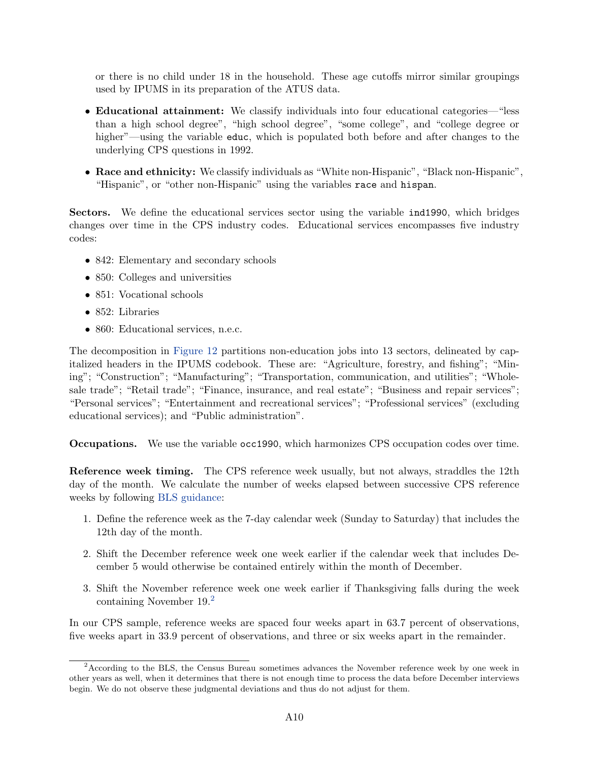or there is no child under 18 in the household. These age cutoffs mirror similar groupings used by IPUMS in its preparation of the ATUS data.

- Educational attainment: We classify individuals into four educational categories—"less than a high school degree", "high school degree", "some college", and "college degree or higher"—using the variable educ, which is populated both before and after changes to the underlying CPS questions in 1992.
- Race and ethnicity: We classify individuals as "White non-Hispanic", "Black non-Hispanic", "Hispanic", or "other non-Hispanic" using the variables race and hispan.

Sectors. We define the educational services sector using the variable ind1990, which bridges changes over time in the CPS industry codes. Educational services encompasses five industry codes:

- 842: Elementary and secondary schools
- 850: Colleges and universities
- 851: Vocational schools
- 852: Libraries
- 860: Educational services, n.e.c.

The decomposition in [Figure 12](#page-25-0) partitions non-education jobs into 13 sectors, delineated by capitalized headers in the IPUMS codebook. These are: "Agriculture, forestry, and fishing"; "Mining"; "Construction"; "Manufacturing"; "Transportation, communication, and utilities"; "Wholesale trade"; "Retail trade"; "Finance, insurance, and real estate"; "Business and repair services"; "Personal services"; "Entertainment and recreational services"; "Professional services" (excluding educational services); and "Public administration".

Occupations. We use the variable occ1990, which harmonizes CPS occupation codes over time.

Reference week timing. The CPS reference week usually, but not always, straddles the 12th day of the month. We calculate the number of weeks elapsed between successive CPS reference weeks by following [BLS guidance:](https://www.bls.gov/cps/definitions.htm#refweek)

- 1. Define the reference week as the 7-day calendar week (Sunday to Saturday) that includes the 12th day of the month.
- 2. Shift the December reference week one week earlier if the calendar week that includes December 5 would otherwise be contained entirely within the month of December.
- 3. Shift the November reference week one week earlier if Thanksgiving falls during the week containing November 19.[2](#page-43-0)

In our CPS sample, reference weeks are spaced four weeks apart in 63.7 percent of observations, five weeks apart in 33.9 percent of observations, and three or six weeks apart in the remainder.

<span id="page-43-0"></span><sup>&</sup>lt;sup>2</sup> According to the BLS, the Census Bureau sometimes advances the November reference week by one week in other years as well, when it determines that there is not enough time to process the data before December interviews begin. We do not observe these judgmental deviations and thus do not adjust for them.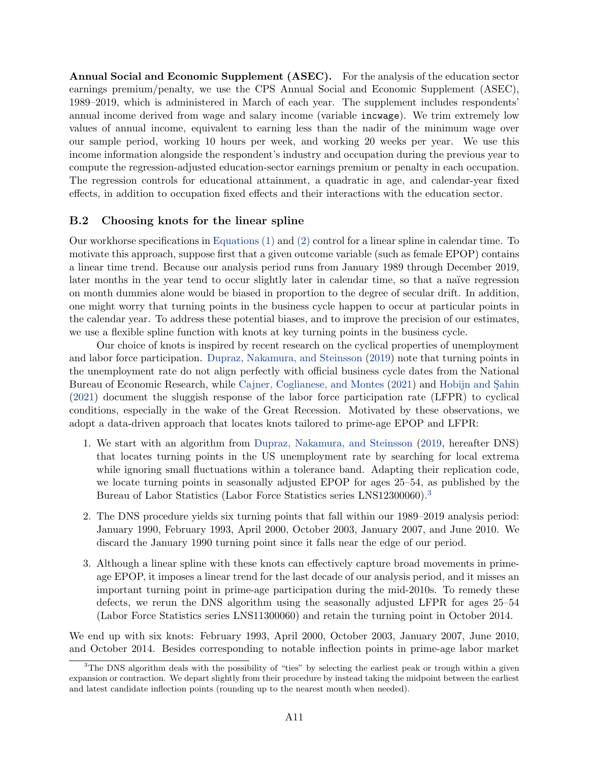Annual Social and Economic Supplement (ASEC). For the analysis of the education sector earnings premium/penalty, we use the CPS Annual Social and Economic Supplement (ASEC), 1989–2019, which is administered in March of each year. The supplement includes respondents' annual income derived from wage and salary income (variable incwage). We trim extremely low values of annual income, equivalent to earning less than the nadir of the minimum wage over our sample period, working 10 hours per week, and working 20 weeks per year. We use this income information alongside the respondent's industry and occupation during the previous year to compute the regression-adjusted education-sector earnings premium or penalty in each occupation. The regression controls for educational attainment, a quadratic in age, and calendar-year fixed effects, in addition to occupation fixed effects and their interactions with the education sector.

### <span id="page-44-0"></span>B.2 Choosing knots for the linear spline

Our workhorse specifications in [Equations \(1\)](#page-6-0) and [\(2\)](#page-7-2) control for a linear spline in calendar time. To motivate this approach, suppose first that a given outcome variable (such as female EPOP) contains a linear time trend. Because our analysis period runs from January 1989 through December 2019, later months in the year tend to occur slightly later in calendar time, so that a naïve regression on month dummies alone would be biased in proportion to the degree of secular drift. In addition, one might worry that turning points in the business cycle happen to occur at particular points in the calendar year. To address these potential biases, and to improve the precision of our estimates, we use a flexible spline function with knots at key turning points in the business cycle.

Our choice of knots is inspired by recent research on the cyclical properties of unemployment and labor force participation. [Dupraz, Nakamura, and Steinsson](#page-31-14) [\(2019\)](#page-31-14) note that turning points in the unemployment rate do not align perfectly with official business cycle dates from the National Bureau of Economic Research, while [Cajner, Coglianese, and Montes](#page-31-15) [\(2021\)](#page-31-15) and Hobijn and Sahin [\(2021\)](#page-32-12) document the sluggish response of the labor force participation rate (LFPR) to cyclical conditions, especially in the wake of the Great Recession. Motivated by these observations, we adopt a data-driven approach that locates knots tailored to prime-age EPOP and LFPR:

- 1. We start with an algorithm from [Dupraz, Nakamura, and Steinsson](#page-31-14) [\(2019,](#page-31-14) hereafter DNS) that locates turning points in the US unemployment rate by searching for local extrema while ignoring small fluctuations within a tolerance band. Adapting their replication code, we locate turning points in seasonally adjusted EPOP for ages 25–54, as published by the Bureau of Labor Statistics (Labor Force Statistics series LNS12300060).[3](#page-44-1)
- 2. The DNS procedure yields six turning points that fall within our 1989–2019 analysis period: January 1990, February 1993, April 2000, October 2003, January 2007, and June 2010. We discard the January 1990 turning point since it falls near the edge of our period.
- 3. Although a linear spline with these knots can effectively capture broad movements in primeage EPOP, it imposes a linear trend for the last decade of our analysis period, and it misses an important turning point in prime-age participation during the mid-2010s. To remedy these defects, we rerun the DNS algorithm using the seasonally adjusted LFPR for ages 25–54 (Labor Force Statistics series LNS11300060) and retain the turning point in October 2014.

We end up with six knots: February 1993, April 2000, October 2003, January 2007, June 2010, and October 2014. Besides corresponding to notable inflection points in prime-age labor market

<span id="page-44-1"></span> $3$ The DNS algorithm deals with the possibility of "ties" by selecting the earliest peak or trough within a given expansion or contraction. We depart slightly from their procedure by instead taking the midpoint between the earliest and latest candidate inflection points (rounding up to the nearest month when needed).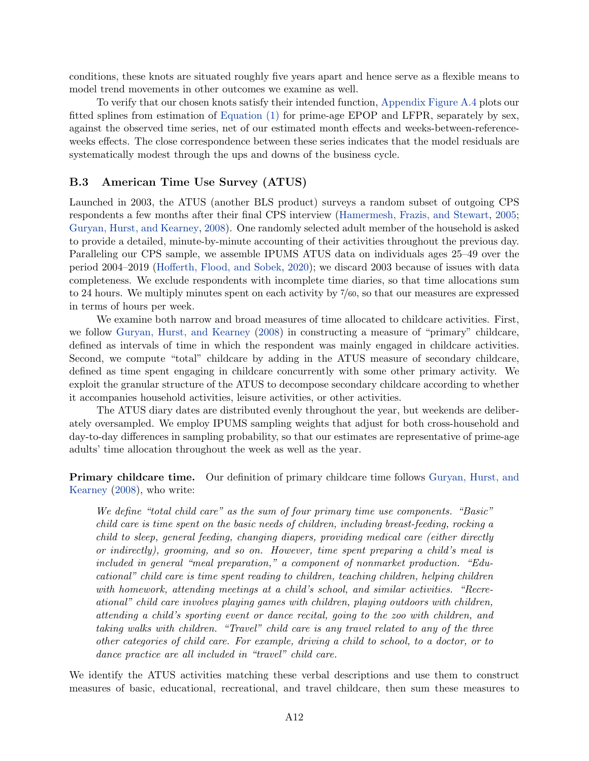conditions, these knots are situated roughly five years apart and hence serve as a flexible means to model trend movements in other outcomes we examine as well.

To verify that our chosen knots satisfy their intended function, [Appendix Figure A.4](#page-35-1) plots our fitted splines from estimation of [Equation \(1\)](#page-6-0) for prime-age EPOP and LFPR, separately by sex, against the observed time series, net of our estimated month effects and weeks-between-referenceweeks effects. The close correspondence between these series indicates that the model residuals are systematically modest through the ups and downs of the business cycle.

### <span id="page-45-0"></span>B.3 American Time Use Survey (ATUS)

Launched in 2003, the ATUS (another BLS product) surveys a random subset of outgoing CPS respondents a few months after their final CPS interview [\(Hamermesh, Frazis, and Stewart,](#page-32-13) [2005;](#page-32-13) [Guryan, Hurst, and Kearney,](#page-32-14) [2008\)](#page-32-14). One randomly selected adult member of the household is asked to provide a detailed, minute-by-minute accounting of their activities throughout the previous day. Paralleling our CPS sample, we assemble IPUMS ATUS data on individuals ages 25–49 over the period 2004–2019 [\(Hofferth, Flood, and Sobek,](#page-32-15) [2020\)](#page-32-15); we discard 2003 because of issues with data completeness. We exclude respondents with incomplete time diaries, so that time allocations sum to 24 hours. We multiply minutes spent on each activity by 7/60, so that our measures are expressed in terms of hours per week.

We examine both narrow and broad measures of time allocated to childcare activities. First, we follow [Guryan, Hurst, and Kearney](#page-32-14) [\(2008\)](#page-32-14) in constructing a measure of "primary" childcare, defined as intervals of time in which the respondent was mainly engaged in childcare activities. Second, we compute "total" childcare by adding in the ATUS measure of secondary childcare, defined as time spent engaging in childcare concurrently with some other primary activity. We exploit the granular structure of the ATUS to decompose secondary childcare according to whether it accompanies household activities, leisure activities, or other activities.

The ATUS diary dates are distributed evenly throughout the year, but weekends are deliberately oversampled. We employ IPUMS sampling weights that adjust for both cross-household and day-to-day differences in sampling probability, so that our estimates are representative of prime-age adults' time allocation throughout the week as well as the year.

Primary childcare time. Our definition of primary childcare time follows [Guryan, Hurst, and](#page-32-14) [Kearney](#page-32-14) [\(2008\)](#page-32-14), who write:

We define "total child care" as the sum of four primary time use components. "Basic" child care is time spent on the basic needs of children, including breast-feeding, rocking a child to sleep, general feeding, changing diapers, providing medical care (either directly or indirectly), grooming, and so on. However, time spent preparing a child's meal is included in general "meal preparation," a component of nonmarket production. "Educational" child care is time spent reading to children, teaching children, helping children with homework, attending meetings at a child's school, and similar activities. "Recreational" child care involves playing games with children, playing outdoors with children, attending a child's sporting event or dance recital, going to the zoo with children, and taking walks with children. "Travel" child care is any travel related to any of the three other categories of child care. For example, driving a child to school, to a doctor, or to dance practice are all included in "travel" child care.

We identify the ATUS activities matching these verbal descriptions and use them to construct measures of basic, educational, recreational, and travel childcare, then sum these measures to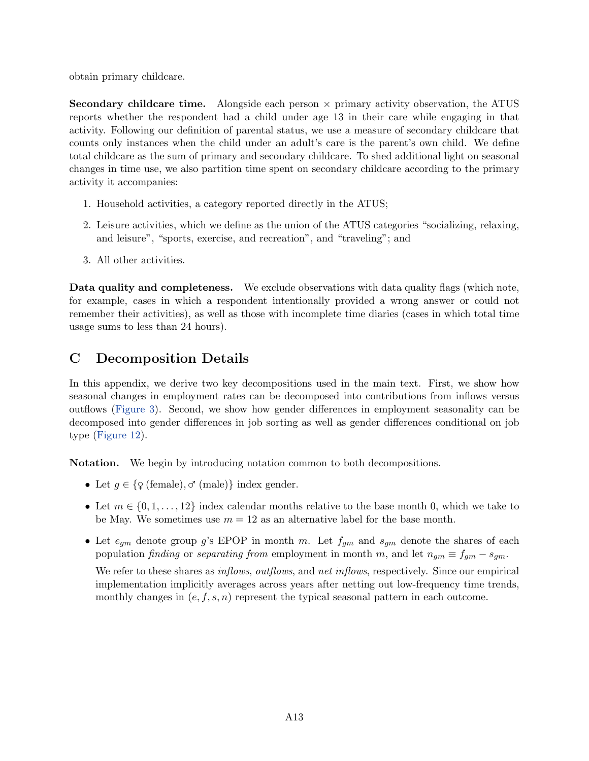obtain primary childcare.

**Secondary childcare time.** Alongside each person  $\times$  primary activity observation, the ATUS reports whether the respondent had a child under age 13 in their care while engaging in that activity. Following our definition of parental status, we use a measure of secondary childcare that counts only instances when the child under an adult's care is the parent's own child. We define total childcare as the sum of primary and secondary childcare. To shed additional light on seasonal changes in time use, we also partition time spent on secondary childcare according to the primary activity it accompanies:

- 1. Household activities, a category reported directly in the ATUS;
- 2. Leisure activities, which we define as the union of the ATUS categories "socializing, relaxing, and leisure", "sports, exercise, and recreation", and "traveling"; and
- 3. All other activities.

Data quality and completeness. We exclude observations with data quality flags (which note, for example, cases in which a respondent intentionally provided a wrong answer or could not remember their activities), as well as those with incomplete time diaries (cases in which total time usage sums to less than 24 hours).

# <span id="page-46-0"></span>C Decomposition Details

In this appendix, we derive two key decompositions used in the main text. First, we show how seasonal changes in employment rates can be decomposed into contributions from inflows versus outflows [\(Figure 3\)](#page-9-1). Second, we show how gender differences in employment seasonality can be decomposed into gender differences in job sorting as well as gender differences conditional on job type [\(Figure 12\)](#page-25-0).

Notation. We begin by introducing notation common to both decompositions.

- Let  $g \in \{ \varphi \text{ (female)}, \varphi \text{ (male)} \}$  index gender.
- Let  $m \in \{0, 1, \ldots, 12\}$  index calendar months relative to the base month 0, which we take to be May. We sometimes use  $m = 12$  as an alternative label for the base month.
- Let  $e_{qm}$  denote group g's EPOP in month m. Let  $f_{qm}$  and  $s_{qm}$  denote the shares of each population finding or separating from employment in month m, and let  $n_{gm} \equiv f_{gm} - s_{gm}$ .

We refer to these shares as *inflows*, *outflows*, and *net inflows*, respectively. Since our empirical implementation implicitly averages across years after netting out low-frequency time trends, monthly changes in  $(e, f, s, n)$  represent the typical seasonal pattern in each outcome.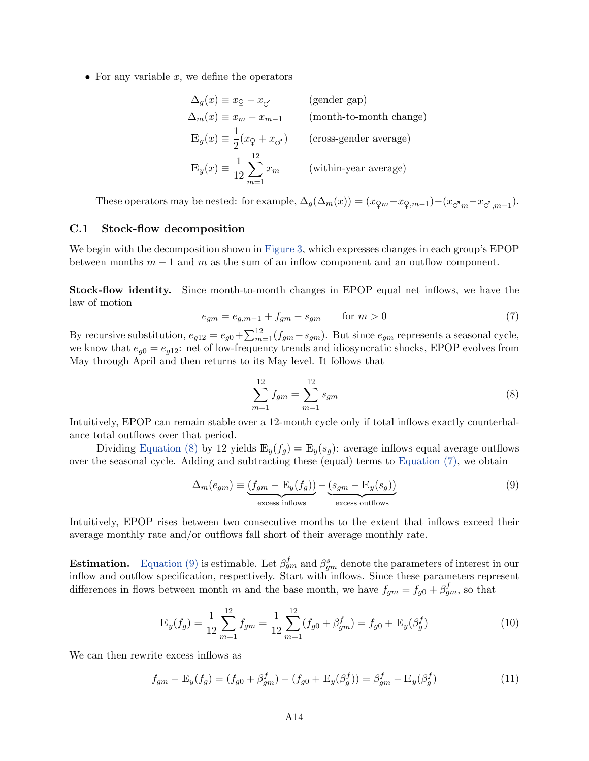• For any variable  $x$ , we define the operators

$$
\Delta_g(x) \equiv x_{\mathcal{Q}} - x_{\mathcal{O}} \qquad \text{(gender gap)}
$$
\n
$$
\Delta_m(x) \equiv x_m - x_{m-1} \qquad \text{(month-to-month change)}
$$
\n
$$
\mathbb{E}_g(x) \equiv \frac{1}{2} (x_{\mathcal{Q}} + x_{\mathcal{O}}) \qquad \text{(cross-gender average)}
$$
\n
$$
\mathbb{E}_y(x) \equiv \frac{1}{12} \sum_{m=1}^{12} x_m \qquad \text{(within-year average)}
$$

These operators may be nested: for example,  $\Delta_g(\Delta_m(x)) = (x_{\mathcal{Q}_m} - x_{\mathcal{Q}_m} - x_{\mathcal{O}_m} - x_{\mathcal{O}_m} - x_{\mathcal{O}_m} - x_{\mathcal{O}_m} - x_{\mathcal{O}_m} - x_{\mathcal{O}_m} - x_{\mathcal{O}_m} - x_{\mathcal{O}_m} - x_{\mathcal{O}_m} - x_{\mathcal{O}_m} - x_{\mathcal{O}_m} - x_{\mathcal{O}_m} - x_{\mathcal{O}_m} - x$ 

#### <span id="page-47-0"></span>C.1 Stock-flow decomposition

We begin with the decomposition shown in [Figure 3,](#page-9-1) which expresses changes in each group's EPOP between months  $m-1$  and m as the sum of an inflow component and an outflow component.

Stock-flow identity. Since month-to-month changes in EPOP equal net inflows, we have the law of motion

<span id="page-47-2"></span>
$$
e_{gm} = e_{g,m-1} + f_{gm} - s_{gm} \qquad \text{for } m > 0 \tag{7}
$$

By recursive substitution,  $e_{g12} = e_{g0} + \sum_{m=1}^{12} (f_{gm} - s_{gm})$ . But since  $e_{gm}$  represents a seasonal cycle, we know that  $e_{q0} = e_{q12}$ : net of low-frequency trends and idiosyncratic shocks, EPOP evolves from May through April and then returns to its May level. It follows that

<span id="page-47-1"></span>
$$
\sum_{m=1}^{12} f_{gm} = \sum_{m=1}^{12} s_{gm} \tag{8}
$$

Intuitively, EPOP can remain stable over a 12-month cycle only if total inflows exactly counterbalance total outflows over that period.

Dividing [Equation \(8\)](#page-47-1) by 12 yields  $\mathbb{E}_y(f_q) = \mathbb{E}_y(s_q)$ : average inflows equal average outflows over the seasonal cycle. Adding and subtracting these (equal) terms to [Equation \(7\),](#page-47-2) we obtain

<span id="page-47-3"></span>
$$
\Delta_m(e_{gm}) \equiv \underbrace{(f_{gm} - \mathbb{E}_y(f_g))}_{\text{excess inflows}} - \underbrace{(s_{gm} - \mathbb{E}_y(s_g))}_{\text{excess outflows}} \tag{9}
$$

Intuitively, EPOP rises between two consecutive months to the extent that inflows exceed their average monthly rate and/or outflows fall short of their average monthly rate.

**Estimation.** [Equation \(9\)](#page-47-3) is estimable. Let  $\beta_{gm}^f$  and  $\beta_{gm}^s$  denote the parameters of interest in our inflow and outflow specification, respectively. Start with inflows. Since these parameters represent differences in flows between month m and the base month, we have  $f_{gm} = f_{g0} + \beta_{gm}^f$ , so that

$$
\mathbb{E}_y(f_g) = \frac{1}{12} \sum_{m=1}^{12} f_{gm} = \frac{1}{12} \sum_{m=1}^{12} (f_{g0} + \beta_{gm}^f) = f_{g0} + \mathbb{E}_y(\beta_g^f)
$$
(10)

We can then rewrite excess inflows as

$$
f_{gm} - \mathbb{E}_y(f_g) = (f_{g0} + \beta_{gm}^f) - (f_{g0} + \mathbb{E}_y(\beta_g^f)) = \beta_{gm}^f - \mathbb{E}_y(\beta_g^f)
$$
(11)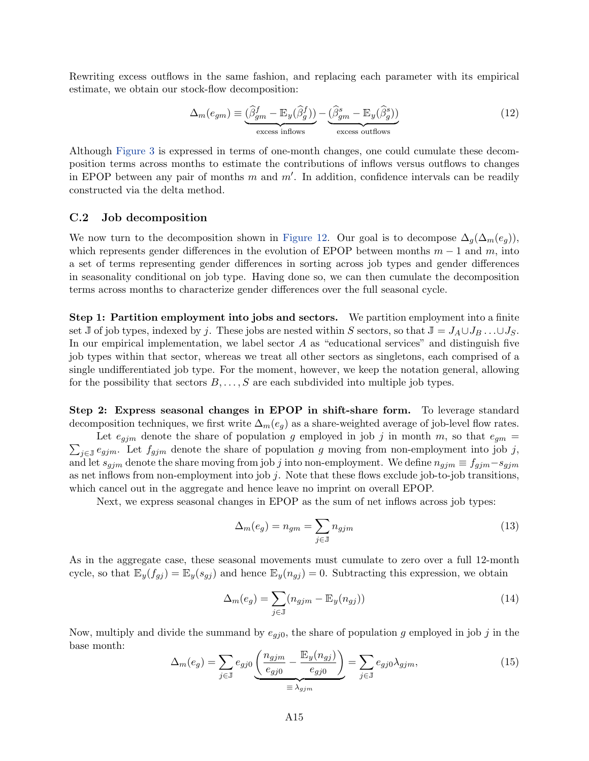Rewriting excess outflows in the same fashion, and replacing each parameter with its empirical estimate, we obtain our stock-flow decomposition:

$$
\Delta_m(e_{gm}) \equiv \underbrace{\left(\widehat{\beta}_{gm}^f - \mathbb{E}_y(\widehat{\beta}_{g}^f)\right)}_{\text{excess inflows}} - \underbrace{\left(\widehat{\beta}_{gm}^s - \mathbb{E}_y(\widehat{\beta}_{g}^s)\right)}_{\text{excess outflows}}
$$
\n(12)

Although [Figure 3](#page-9-1) is expressed in terms of one-month changes, one could cumulate these decomposition terms across months to estimate the contributions of inflows versus outflows to changes in EPOP between any pair of months  $m$  and  $m'$ . In addition, confidence intervals can be readily constructed via the delta method.

#### <span id="page-48-0"></span>C.2 Job decomposition

We now turn to the decomposition shown in [Figure 12.](#page-25-0) Our goal is to decompose  $\Delta_q(\Delta_m(e_q))$ , which represents gender differences in the evolution of EPOP between months  $m-1$  and m, into a set of terms representing gender differences in sorting across job types and gender differences in seasonality conditional on job type. Having done so, we can then cumulate the decomposition terms across months to characterize gender differences over the full seasonal cycle.

Step 1: Partition employment into jobs and sectors. We partition employment into a finite set J of job types, indexed by j. These jobs are nested within S sectors, so that  $J = J_A \cup J_B \dots \cup J_S$ . In our empirical implementation, we label sector  $A$  as "educational services" and distinguish five job types within that sector, whereas we treat all other sectors as singletons, each comprised of a single undifferentiated job type. For the moment, however, we keep the notation general, allowing for the possibility that sectors  $B, \ldots, S$  are each subdivided into multiple job types.

Step 2: Express seasonal changes in EPOP in shift-share form. To leverage standard decomposition techniques, we first write  $\Delta_m(e_q)$  as a share-weighted average of job-level flow rates.

 $\sum_{j\in\mathbb{J}}e_{gjm}$ . Let  $f_{gjm}$  denote the share of population g moving from non-employment into job j, Let  $e_{j,m}$  denote the share of population g employed in job j in month m, so that  $e_{gm}$  = and let  $s_{gjm}$  denote the share moving from job j into non-employment. We define  $n_{gjm} \equiv f_{gjm} - s_{gjm}$ as net inflows from non-employment into job  $j$ . Note that these flows exclude job-to-job transitions, which cancel out in the aggregate and hence leave no imprint on overall EPOP.

Next, we express seasonal changes in EPOP as the sum of net inflows across job types:

$$
\Delta_m(e_g) = n_{gm} = \sum_{j \in \mathbb{J}} n_{gjm} \tag{13}
$$

As in the aggregate case, these seasonal movements must cumulate to zero over a full 12-month cycle, so that  $\mathbb{E}_y(f_{gj}) = \mathbb{E}_y(s_{gj})$  and hence  $\mathbb{E}_y(n_{gj}) = 0$ . Subtracting this expression, we obtain

$$
\Delta_m(e_g) = \sum_{j \in \mathbb{J}} (n_{gjm} - \mathbb{E}_y(n_{gj})) \tag{14}
$$

Now, multiply and divide the summand by  $e_{gj0}$ , the share of population g employed in job j in the base month:

$$
\Delta_m(e_g) = \sum_{j \in \mathbb{J}} e_{gj0} \underbrace{\left(\frac{n_{gjm}}{e_{gj0}} - \frac{\mathbb{E}_y(n_{gj})}{e_{gj0}}\right)}_{\equiv \lambda_{gjm}} = \sum_{j \in \mathbb{J}} e_{gj0} \lambda_{gjm},\tag{15}
$$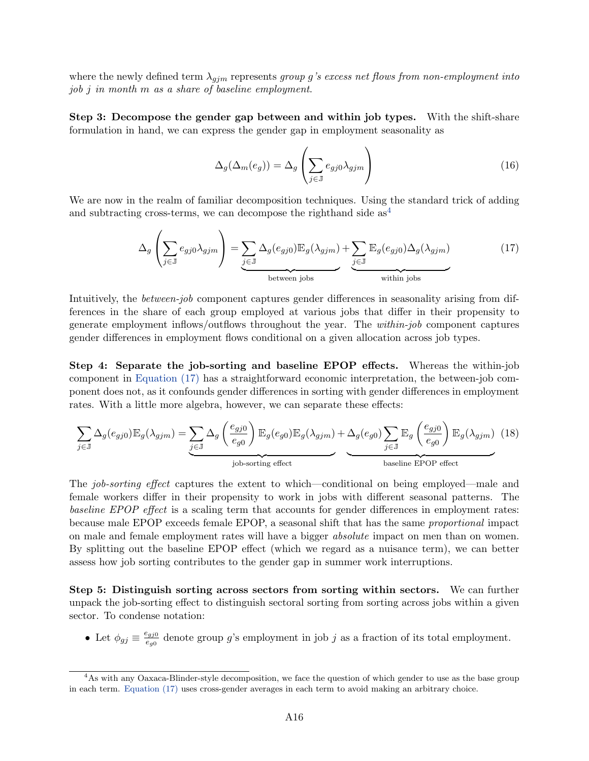where the newly defined term  $\lambda_{gjm}$  represents group g's excess net flows from non-employment into job j in month m as a share of baseline employment.

Step 3: Decompose the gender gap between and within job types. With the shift-share formulation in hand, we can express the gender gap in employment seasonality as

$$
\Delta_g(\Delta_m(e_g)) = \Delta_g \left( \sum_{j \in \mathbb{J}} e_{gj0} \lambda_{gjm} \right) \tag{16}
$$

We are now in the realm of familiar decomposition techniques. Using the standard trick of adding and subtracting cross-terms, we can decompose the righthand side  $as<sup>4</sup>$  $as<sup>4</sup>$  $as<sup>4</sup>$ 

<span id="page-49-1"></span>
$$
\Delta_g \left( \sum_{j \in \mathbb{J}} e_{gj0} \lambda_{gjm} \right) = \underbrace{\sum_{j \in \mathbb{J}} \Delta_g(e_{gj0}) \mathbb{E}_g(\lambda_{gjm})}_{\text{between jobs}} + \underbrace{\sum_{j \in \mathbb{J}} \mathbb{E}_g(e_{gj0}) \Delta_g(\lambda_{gjm})}_{\text{within jobs}}
$$
(17)

Intuitively, the *between-job* component captures gender differences in seasonality arising from differences in the share of each group employed at various jobs that differ in their propensity to generate employment inflows/outflows throughout the year. The within-job component captures gender differences in employment flows conditional on a given allocation across job types.

Step 4: Separate the job-sorting and baseline EPOP effects. Whereas the within-job component in [Equation \(17\)](#page-49-1) has a straightforward economic interpretation, the between-job component does not, as it confounds gender differences in sorting with gender differences in employment rates. With a little more algebra, however, we can separate these effects:

<span id="page-49-2"></span>
$$
\sum_{j \in \mathbb{J}} \Delta_g(e_{gj0}) \mathbb{E}_g(\lambda_{gjm}) = \underbrace{\sum_{j \in \mathbb{J}} \Delta_g \left(\frac{e_{gj0}}{e_{g0}}\right) \mathbb{E}_g(e_{g0}) \mathbb{E}_g(\lambda_{gjm})}_{\text{job-sorting effect}} + \Delta_g(e_{g0}) \sum_{j \in \mathbb{J}} \mathbb{E}_g \left(\frac{e_{gj0}}{e_{g0}}\right) \mathbb{E}_g(\lambda_{gjm}) \tag{18}
$$

The job-sorting effect captures the extent to which—conditional on being employed—male and female workers differ in their propensity to work in jobs with different seasonal patterns. The baseline EPOP effect is a scaling term that accounts for gender differences in employment rates: because male EPOP exceeds female EPOP, a seasonal shift that has the same proportional impact on male and female employment rates will have a bigger absolute impact on men than on women. By splitting out the baseline EPOP effect (which we regard as a nuisance term), we can better assess how job sorting contributes to the gender gap in summer work interruptions.

Step 5: Distinguish sorting across sectors from sorting within sectors. We can further unpack the job-sorting effect to distinguish sectoral sorting from sorting across jobs within a given sector. To condense notation:

• Let  $\phi_{gj} \equiv \frac{e_{gj0}}{e_{g0}}$  $\frac{e_{gj0}}{e_{g0}}$  denote group g's employment in job j as a fraction of its total employment.

<span id="page-49-0"></span><sup>&</sup>lt;sup>4</sup>As with any Oaxaca-Blinder-style decomposition, we face the question of which gender to use as the base group in each term. [Equation \(17\)](#page-49-1) uses cross-gender averages in each term to avoid making an arbitrary choice.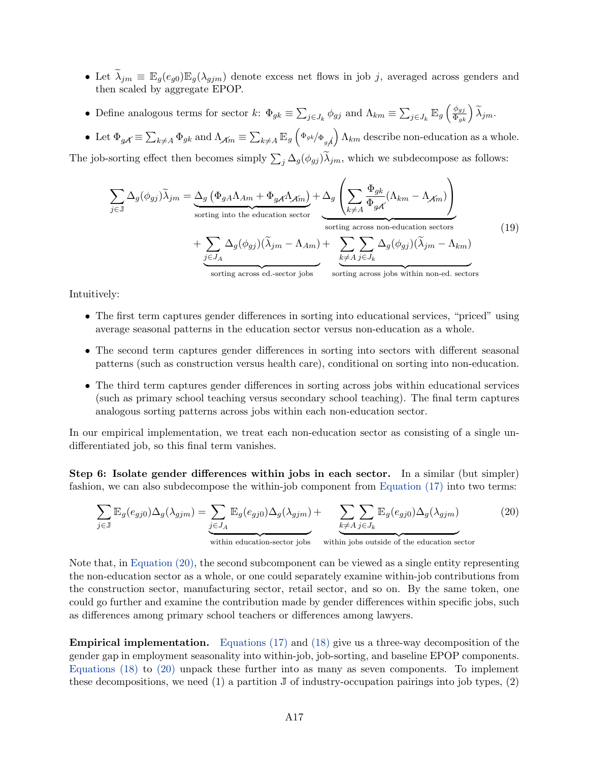- Let  $\widetilde{\lambda}_{jm} \equiv \mathbb{E}_g(e_{g0})\mathbb{E}_g(\lambda_{gjm})$  denote excess net flows in job j, averaged across genders and then scaled by aggregate EPOP.
- Define analogous terms for sector  $k: \Phi_{gk} \equiv \sum_{j \in J_k} \phi_{gj}$  and  $\Lambda_{km} \equiv \sum_{j \in J_k} \mathbb{E}_g \left( \frac{\phi_{gj}}{\Phi_{gk}} \right) \widetilde{\lambda}_{jm}$ .
- Let  $\Phi_{gA} \equiv \sum_{k \neq A} \Phi_{gk}$  and  $\Lambda_{A} = \sum_{k \neq A} \mathbb{E}_g \left( \Phi_{gk} / \Phi_{gA} \right) \Lambda_{km}$  describe non-education as a whole.

The job-sorting effect then becomes simply  $\sum_j \Delta_g(\phi_{gj})\lambda_{jm}$ , which we subdecompose as follows:

$$
\sum_{j \in \mathbb{J}} \Delta_g(\phi_{gj}) \widetilde{\lambda}_{jm} = \underbrace{\Delta_g (\Phi_{gA} \Lambda_{Am} + \Phi_{gA} \Lambda_{Am})}_{\text{sorting into the education sector}} + \underbrace{\sum_{j \in J_A} \Delta_g(\phi_{gj}) (\widetilde{\lambda}_{jm} - \Lambda_{Am})}_{\text{sorting across non-duction sectors}} + \underbrace{\sum_{j \in J_A} \Delta_g(\phi_{gj}) (\widetilde{\lambda}_{jm} - \Lambda_{Am})}_{\text{sorting across ed. sector jobs}} + \underbrace{\sum_{k \neq A} \sum_{j \in J_k} \Delta_g(\phi_{gj}) (\widetilde{\lambda}_{jm} - \Lambda_{km})}_{\text{sorting across jobs within non-ed. sectors}} \tag{19}
$$

Intuitively:

- The first term captures gender differences in sorting into educational services, "priced" using average seasonal patterns in the education sector versus non-education as a whole.
- The second term captures gender differences in sorting into sectors with different seasonal patterns (such as construction versus health care), conditional on sorting into non-education.
- The third term captures gender differences in sorting across jobs within educational services (such as primary school teaching versus secondary school teaching). The final term captures analogous sorting patterns across jobs within each non-education sector.

In our empirical implementation, we treat each non-education sector as consisting of a single undifferentiated job, so this final term vanishes.

Step 6: Isolate gender differences within jobs in each sector. In a similar (but simpler) fashion, we can also subdecompose the within-job component from [Equation \(17\)](#page-49-1) into two terms:

<span id="page-50-0"></span>
$$
\sum_{j \in \mathbb{J}} \mathbb{E}_{g}(e_{gj0}) \Delta_{g}(\lambda_{gjm}) = \underbrace{\sum_{j \in J_A} \mathbb{E}_{g}(e_{gj0}) \Delta_{g}(\lambda_{gjm})}_{\text{within education-section}} + \underbrace{\sum_{k \neq A} \sum_{j \in J_k} \mathbb{E}_{g}(e_{gj0}) \Delta_{g}(\lambda_{gjm})}_{\text{within jobs outside of the education sector}}
$$
(20)

Note that, in [Equation \(20\),](#page-50-0) the second subcomponent can be viewed as a single entity representing the non-education sector as a whole, or one could separately examine within-job contributions from the construction sector, manufacturing sector, retail sector, and so on. By the same token, one could go further and examine the contribution made by gender differences within specific jobs, such as differences among primary school teachers or differences among lawyers.

Empirical implementation. [Equations \(17\)](#page-49-1) and [\(18\)](#page-49-2) give us a three-way decomposition of the gender gap in employment seasonality into within-job, job-sorting, and baseline EPOP components. [Equations \(18\)](#page-49-2) to [\(20\)](#page-50-0) unpack these further into as many as seven components. To implement these decompositions, we need (1) a partition  $\mathbb J$  of industry-occupation pairings into job types, (2)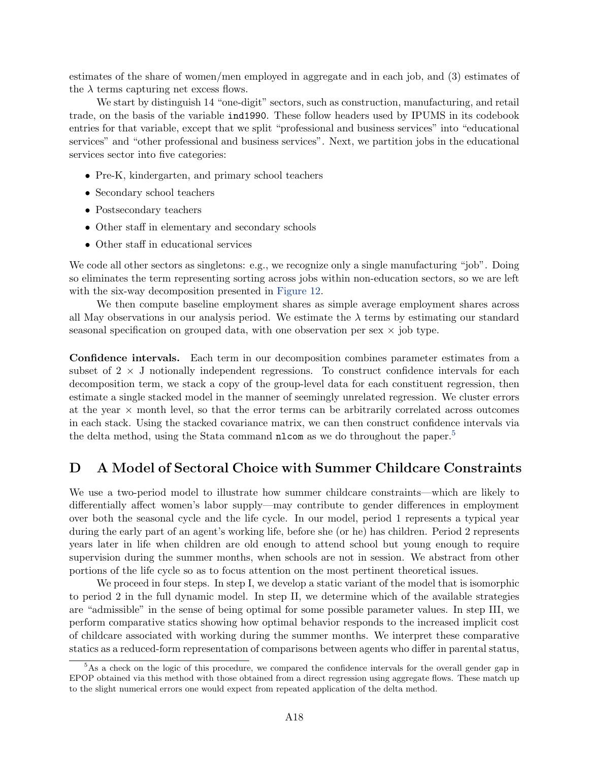estimates of the share of women/men employed in aggregate and in each job, and (3) estimates of the  $\lambda$  terms capturing net excess flows.

We start by distinguish 14 "one-digit" sectors, such as construction, manufacturing, and retail trade, on the basis of the variable ind1990. These follow headers used by IPUMS in its codebook entries for that variable, except that we split "professional and business services" into "educational services" and "other professional and business services". Next, we partition jobs in the educational services sector into five categories:

- Pre-K, kindergarten, and primary school teachers
- Secondary school teachers
- Postsecondary teachers
- Other staff in elementary and secondary schools
- Other staff in educational services

We code all other sectors as singletons: e.g., we recognize only a single manufacturing "job". Doing so eliminates the term representing sorting across jobs within non-education sectors, so we are left with the six-way decomposition presented in [Figure 12.](#page-25-0)

We then compute baseline employment shares as simple average employment shares across all May observations in our analysis period. We estimate the  $\lambda$  terms by estimating our standard seasonal specification on grouped data, with one observation per sex  $\times$  job type.

Confidence intervals. Each term in our decomposition combines parameter estimates from a subset of  $2 \times J$  notionally independent regressions. To construct confidence intervals for each decomposition term, we stack a copy of the group-level data for each constituent regression, then estimate a single stacked model in the manner of seemingly unrelated regression. We cluster errors at the year  $\times$  month level, so that the error terms can be arbitrarily correlated across outcomes in each stack. Using the stacked covariance matrix, we can then construct confidence intervals via the delta method, using the Stata command **nlcom** as we do throughout the paper.<sup>[5](#page-51-1)</sup>

## <span id="page-51-0"></span>D A Model of Sectoral Choice with Summer Childcare Constraints

We use a two-period model to illustrate how summer childcare constraints—which are likely to differentially affect women's labor supply—may contribute to gender differences in employment over both the seasonal cycle and the life cycle. In our model, period 1 represents a typical year during the early part of an agent's working life, before she (or he) has children. Period 2 represents years later in life when children are old enough to attend school but young enough to require supervision during the summer months, when schools are not in session. We abstract from other portions of the life cycle so as to focus attention on the most pertinent theoretical issues.

We proceed in four steps. In step I, we develop a static variant of the model that is isomorphic to period 2 in the full dynamic model. In step II, we determine which of the available strategies are "admissible" in the sense of being optimal for some possible parameter values. In step III, we perform comparative statics showing how optimal behavior responds to the increased implicit cost of childcare associated with working during the summer months. We interpret these comparative statics as a reduced-form representation of comparisons between agents who differ in parental status,

<span id="page-51-1"></span><sup>&</sup>lt;sup>5</sup>As a check on the logic of this procedure, we compared the confidence intervals for the overall gender gap in EPOP obtained via this method with those obtained from a direct regression using aggregate flows. These match up to the slight numerical errors one would expect from repeated application of the delta method.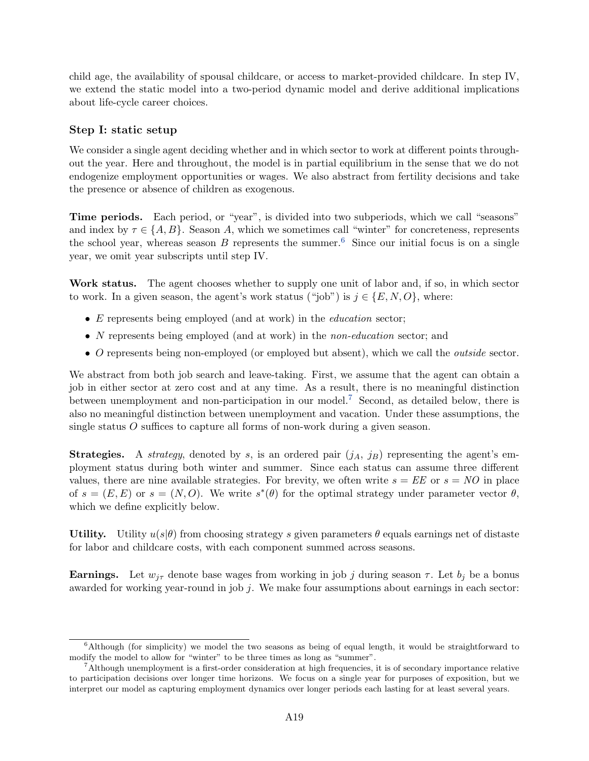child age, the availability of spousal childcare, or access to market-provided childcare. In step IV, we extend the static model into a two-period dynamic model and derive additional implications about life-cycle career choices.

## Step I: static setup

We consider a single agent deciding whether and in which sector to work at different points throughout the year. Here and throughout, the model is in partial equilibrium in the sense that we do not endogenize employment opportunities or wages. We also abstract from fertility decisions and take the presence or absence of children as exogenous.

Time periods. Each period, or "year", is divided into two subperiods, which we call "seasons" and index by  $\tau \in \{A, B\}$ . Season A, which we sometimes call "winter" for concreteness, represents the school year, whereas season B represents the summer.<sup>[6](#page-52-0)</sup> Since our initial focus is on a single year, we omit year subscripts until step IV.

Work status. The agent chooses whether to supply one unit of labor and, if so, in which sector to work. In a given season, the agent's work status ("job") is  $j \in \{E, N, O\}$ , where:

- $\bullet$  E represents being employed (and at work) in the *education* sector;
- N represents being employed (and at work) in the *non-education* sector; and
- O represents being non-employed (or employed but absent), which we call the *outside* sector.

We abstract from both job search and leave-taking. First, we assume that the agent can obtain a job in either sector at zero cost and at any time. As a result, there is no meaningful distinction between unemployment and non-participation in our model.<sup>[7](#page-52-1)</sup> Second, as detailed below, there is also no meaningful distinction between unemployment and vacation. Under these assumptions, the single status  $O$  suffices to capture all forms of non-work during a given season.

**Strategies.** A *strategy*, denoted by s, is an ordered pair  $(j_A, j_B)$  representing the agent's employment status during both winter and summer. Since each status can assume three different values, there are nine available strategies. For brevity, we often write  $s = EE$  or  $s = NO$  in place of  $s = (E, E)$  or  $s = (N, O)$ . We write  $s^*(\theta)$  for the optimal strategy under parameter vector  $\theta$ , which we define explicitly below.

Utility. Utility  $u(s|\theta)$  from choosing strategy s given parameters  $\theta$  equals earnings net of distaste for labor and childcare costs, with each component summed across seasons.

**Earnings.** Let  $w_{j\tau}$  denote base wages from working in job j during season  $\tau$ . Let  $b_j$  be a bonus awarded for working year-round in job  $j$ . We make four assumptions about earnings in each sector:

<span id="page-52-0"></span> $6$ Although (for simplicity) we model the two seasons as being of equal length, it would be straightforward to modify the model to allow for "winter" to be three times as long as "summer".

<span id="page-52-1"></span><sup>&</sup>lt;sup>7</sup>Although unemployment is a first-order consideration at high frequencies, it is of secondary importance relative to participation decisions over longer time horizons. We focus on a single year for purposes of exposition, but we interpret our model as capturing employment dynamics over longer periods each lasting for at least several years.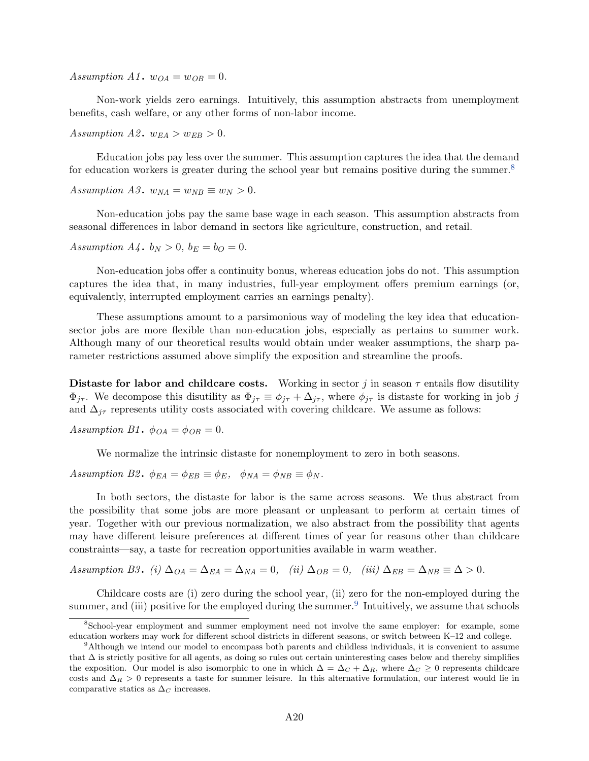Assumption A1.  $w_{OA} = w_{OB} = 0$ .

Non-work yields zero earnings. Intuitively, this assumption abstracts from unemployment benefits, cash welfare, or any other forms of non-labor income.

Assumption A2.  $w_{EA} > w_{EB} > 0$ .

Education jobs pay less over the summer. This assumption captures the idea that the demand for education workers is greater during the school year but remains positive during the summer.<sup>[8](#page-53-0)</sup>

Assumption A3.  $w_{NA} = w_{NB} \equiv w_N > 0$ .

Non-education jobs pay the same base wage in each season. This assumption abstracts from seasonal differences in labor demand in sectors like agriculture, construction, and retail.

Assumption  $A_4$ .  $b_N > 0$ ,  $b_E = b_O = 0$ .

Non-education jobs offer a continuity bonus, whereas education jobs do not. This assumption captures the idea that, in many industries, full-year employment offers premium earnings (or, equivalently, interrupted employment carries an earnings penalty).

These assumptions amount to a parsimonious way of modeling the key idea that educationsector jobs are more flexible than non-education jobs, especially as pertains to summer work. Although many of our theoretical results would obtain under weaker assumptions, the sharp parameter restrictions assumed above simplify the exposition and streamline the proofs.

Distaste for labor and childcare costs. Working in sector j in season  $\tau$  entails flow disutility  $\Phi_{j\tau}$ . We decompose this disutility as  $\Phi_{j\tau} \equiv \phi_{j\tau} + \Delta_{j\tau}$ , where  $\phi_{j\tau}$  is distaste for working in job j and  $\Delta_{j\tau}$  represents utility costs associated with covering childcare. We assume as follows:

Assumption B1.  $\phi_{OA} = \phi_{OB} = 0$ .

We normalize the intrinsic distaste for nonemployment to zero in both seasons.

Assumption B2.  $\phi_{EA} = \phi_{EB} \equiv \phi_E$ ,  $\phi_{NA} = \phi_{NB} \equiv \phi_N$ .

In both sectors, the distaste for labor is the same across seasons. We thus abstract from the possibility that some jobs are more pleasant or unpleasant to perform at certain times of year. Together with our previous normalization, we also abstract from the possibility that agents may have different leisure preferences at different times of year for reasons other than childcare constraints—say, a taste for recreation opportunities available in warm weather.

Assumption B3. (i)  $\Delta_{OA} = \Delta_{EA} = \Delta_{NA} = 0$ , (ii)  $\Delta_{OB} = 0$ , (iii)  $\Delta_{EB} = \Delta_{NB} = \Delta > 0$ .

Childcare costs are (i) zero during the school year, (ii) zero for the non-employed during the summer, and (iii) positive for the employed during the summer.<sup>[9](#page-53-1)</sup> Intuitively, we assume that schools

<span id="page-53-0"></span><sup>8</sup>School-year employment and summer employment need not involve the same employer: for example, some education workers may work for different school districts in different seasons, or switch between K–12 and college.

<span id="page-53-1"></span><sup>&</sup>lt;sup>9</sup>Although we intend our model to encompass both parents and childless individuals, it is convenient to assume that  $\Delta$  is strictly positive for all agents, as doing so rules out certain uninteresting cases below and thereby simplifies the exposition. Our model is also isomorphic to one in which  $\Delta = \Delta_C + \Delta_R$ , where  $\Delta_C \geq 0$  represents childcare costs and  $\Delta_R > 0$  represents a taste for summer leisure. In this alternative formulation, our interest would lie in comparative statics as  $\Delta_C$  increases.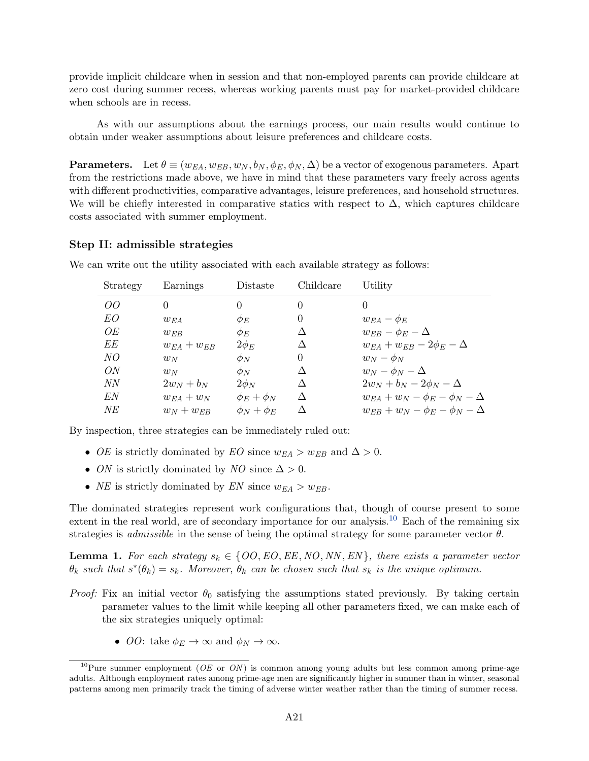provide implicit childcare when in session and that non-employed parents can provide childcare at zero cost during summer recess, whereas working parents must pay for market-provided childcare when schools are in recess.

As with our assumptions about the earnings process, our main results would continue to obtain under weaker assumptions about leisure preferences and childcare costs.

**Parameters.** Let  $\theta \equiv (w_{EA}, w_{EB}, w_N, b_N, \phi_E, \phi_N, \Delta)$  be a vector of exogenous parameters. Apart from the restrictions made above, we have in mind that these parameters vary freely across agents with different productivities, comparative advantages, leisure preferences, and household structures. We will be chiefly interested in comparative statics with respect to  $\Delta$ , which captures childcare costs associated with summer employment.

### Step II: admissible strategies

| Strategy | Earnings          | Distaste          | Childcare | Utility                                   |
|----------|-------------------|-------------------|-----------|-------------------------------------------|
| OO       | $\Omega$          | 0                 | $\Omega$  | 0                                         |
| EO       | $w_{EA}$          | $\phi_E$          | 0         | $w_{EA} - \phi_E$                         |
| OЕ       | $w_{EB}$          | $\phi_E$          | Δ         | $w_{EB} - \phi_E - \Delta$                |
| EЕ       | $w_{EA} + w_{EB}$ | $2\phi_E$         |           | $w_{EA} + w_{EB} - 2\phi_E - \Delta$      |
| NO       | $w_N$             | $\phi_N$          | $\Omega$  | $w_N - \phi_N$                            |
| ON       | $w_N$             | $\phi_N$          |           | $w_N - \phi_N - \Delta$                   |
| NΝ       | $2w_N + b_N$      | $2\phi_N$         | Λ         | $2w_N + b_N - 2\phi_N - \Delta$           |
| EN       | $w_{EA} + w_N$    | $\phi_E + \phi_N$ | Δ         | $w_{EA} + w_N - \phi_E - \phi_N - \Delta$ |
| NE       | $w_N + w_{ER}$    | $\phi_N + \phi_E$ | Λ         | $w_{EB} + w_N - \phi_E - \phi_N - \Delta$ |

We can write out the utility associated with each available strategy as follows:

By inspection, three strategies can be immediately ruled out:

- OE is strictly dominated by EO since  $w_{EA} > w_{EB}$  and  $\Delta > 0$ .
- ON is strictly dominated by NO since  $\Delta > 0$ .
- *NE* is strictly dominated by *EN* since  $w_{EA} > w_{EB}$ .

The dominated strategies represent work configurations that, though of course present to some extent in the real world, are of secondary importance for our analysis.<sup>[10](#page-54-0)</sup> Each of the remaining six strategies is *admissible* in the sense of being the optimal strategy for some parameter vector  $\theta$ .

**Lemma 1.** For each strategy  $s_k \in \{OO, EO, EE, NO, NN, EN\}$ , there exists a parameter vector  $\theta_k$  such that  $s^*(\theta_k) = s_k$ . Moreover,  $\theta_k$  can be chosen such that  $s_k$  is the unique optimum.

- *Proof:* Fix an initial vector  $\theta_0$  satisfying the assumptions stated previously. By taking certain parameter values to the limit while keeping all other parameters fixed, we can make each of the six strategies uniquely optimal:
	- *OO*: take  $\phi_E \to \infty$  and  $\phi_N \to \infty$ .

<span id="page-54-0"></span> $10$ Pure summer employment (*OE* or *ON*) is common among young adults but less common among prime-age adults. Although employment rates among prime-age men are significantly higher in summer than in winter, seasonal patterns among men primarily track the timing of adverse winter weather rather than the timing of summer recess.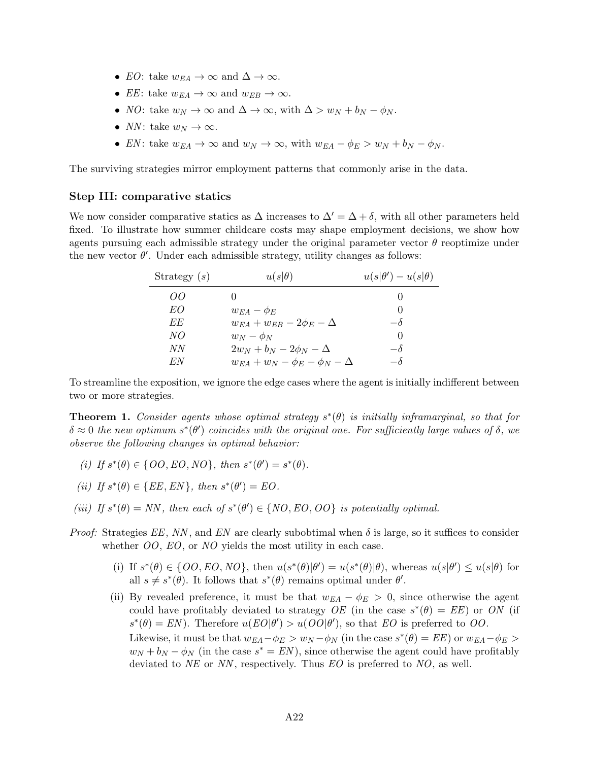- EO: take  $w_{EA} \to \infty$  and  $\Delta \to \infty$ .
- EE: take  $w_{EA} \to \infty$  and  $w_{EB} \to \infty$ .
- *NO*: take  $w_N \to \infty$  and  $\Delta \to \infty$ , with  $\Delta > w_N + b_N \phi_N$ .
- NN: take  $w_N \to \infty$ .
- EN: take  $w_{EA} \to \infty$  and  $w_N \to \infty$ , with  $w_{EA} \phi_E > w_N + b_N \phi_N$ .

The surviving strategies mirror employment patterns that commonly arise in the data.

### Step III: comparative statics

We now consider comparative statics as  $\Delta$  increases to  $\Delta' = \Delta + \delta$ , with all other parameters held fixed. To illustrate how summer childcare costs may shape employment decisions, we show how agents pursuing each admissible strategy under the original parameter vector  $\theta$  reoptimize under the new vector  $\theta'$ . Under each admissible strategy, utility changes as follows:

| Strategy $(s)$ | $u(s \theta)$                             | $u(s \theta') - u(s \theta)$ |
|----------------|-------------------------------------------|------------------------------|
| OO             |                                           |                              |
| EO             | $w_{EA} - \phi_E$                         |                              |
| EE             | $w_{EA} + w_{EB} - 2\phi_E - \Delta$      | $-\delta$                    |
| NO             | $w_N - \phi_N$                            |                              |
| NN             | $2w_N + b_N - 2\phi_N - \Delta$           | $-\delta$                    |
| EN             | $w_{EA} + w_N - \phi_E - \phi_N - \Delta$ | $-\delta$                    |

To streamline the exposition, we ignore the edge cases where the agent is initially indifferent between two or more strategies.

<span id="page-55-0"></span>**Theorem 1.** Consider agents whose optimal strategy  $s^*(\theta)$  is initially inframarginal, so that for  $\delta \approx 0$  the new optimum  $s^*(\theta')$  coincides with the original one. For sufficiently large values of  $\delta$ , we observe the following changes in optimal behavior:

- (i) If  $s^*(\theta) \in \{OO, EO, NO\}$ , then  $s^*(\theta') = s^*(\theta)$ .
- (ii) If  $s^*(\theta) \in \{EE, EN\}$ , then  $s^*(\theta') = EO$ .
- (iii) If  $s^*(\theta) = NN$ , then each of  $s^*(\theta') \in \{NO, EO, OO\}$  is potentially optimal.
- *Proof:* Strategies  $EE$ , NN, and  $EN$  are clearly subobtimal when  $\delta$  is large, so it suffices to consider whether *OO*, *EO*, or *NO* yields the most utility in each case.
	- (i) If  $s^*(\theta) \in \{OO, EO, NO\}$ , then  $u(s^*(\theta)|\theta') = u(s^*(\theta)|\theta)$ , whereas  $u(s|\theta') \leq u(s|\theta)$  for all  $s \neq s^*(\theta)$ . It follows that  $s^*(\theta)$  remains optimal under  $\theta'$ .
	- (ii) By revealed preference, it must be that  $w_{EA} \phi_E > 0$ , since otherwise the agent could have profitably deviated to strategy  $OE$  (in the case  $s^*(\theta) = EE$ ) or ON (if  $s^*(\theta) = EN$ ). Therefore  $u(EO|\theta') > u(OO|\theta')$ , so that EO is preferred to OO.

Likewise, it must be that  $w_{EA} - \phi_E > w_N - \phi_N$  (in the case  $s^*(\theta) = EE$ ) or  $w_{EA} - \phi_E > w$  $w_N + b_N - \phi_N$  (in the case  $s^* = EN$ ), since otherwise the agent could have profitably deviated to  $NE$  or NN, respectively. Thus  $EO$  is preferred to  $NO$ , as well.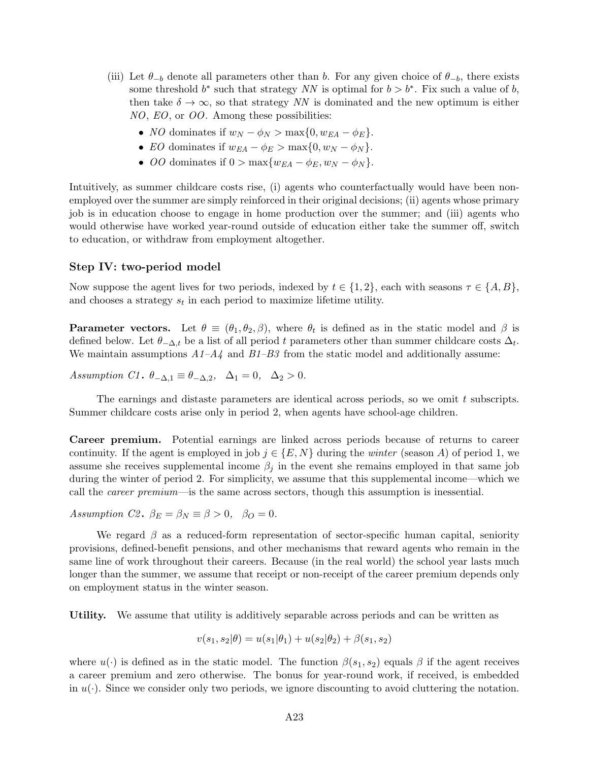- (iii) Let  $\theta_{-b}$  denote all parameters other than b. For any given choice of  $\theta_{-b}$ , there exists some threshold  $b^*$  such that strategy NN is optimal for  $b > b^*$ . Fix such a value of b, then take  $\delta \to \infty$ , so that strategy NN is dominated and the new optimum is either NO, EO, or OO. Among these possibilities:
	- NO dominates if  $w_N \phi_N > \max\{0, w_{EA} \phi_E\}.$
	- EO dominates if  $w_{EA} \phi_E > \max\{0, w_N \phi_N\}.$
	- OO dominates if  $0 > \max\{w_{EA} \phi_E, w_N \phi_N\}.$

Intuitively, as summer childcare costs rise, (i) agents who counterfactually would have been nonemployed over the summer are simply reinforced in their original decisions; (ii) agents whose primary job is in education choose to engage in home production over the summer; and (iii) agents who would otherwise have worked year-round outside of education either take the summer off, switch to education, or withdraw from employment altogether.

## Step IV: two-period model

Now suppose the agent lives for two periods, indexed by  $t \in \{1,2\}$ , each with seasons  $\tau \in \{A, B\}$ , and chooses a strategy  $s_t$  in each period to maximize lifetime utility.

**Parameter vectors.** Let  $\theta \equiv (\theta_1, \theta_2, \beta)$ , where  $\theta_t$  is defined as in the static model and  $\beta$  is defined below. Let  $\theta_{-\Delta,t}$  be a list of all period t parameters other than summer childcare costs  $\Delta_t$ . We maintain assumptions  $A1-A4$  and  $B1-B3$  from the static model and additionally assume:

Assumption C1.  $\theta_{-\Delta,1} \equiv \theta_{-\Delta,2}$ ,  $\Delta_1 = 0$ ,  $\Delta_2 > 0$ .

The earnings and distaste parameters are identical across periods, so we omit t subscripts. Summer childcare costs arise only in period 2, when agents have school-age children.

Career premium. Potential earnings are linked across periods because of returns to career continuity. If the agent is employed in job  $j \in \{E, N\}$  during the *winter* (season A) of period 1, we assume she receives supplemental income  $\beta_j$  in the event she remains employed in that same job during the winter of period 2. For simplicity, we assume that this supplemental income—which we call the career premium—is the same across sectors, though this assumption is inessential.

Assumption C2.  $\beta_E = \beta_N \equiv \beta > 0$ ,  $\beta_O = 0$ .

We regard  $\beta$  as a reduced-form representation of sector-specific human capital, seniority provisions, defined-benefit pensions, and other mechanisms that reward agents who remain in the same line of work throughout their careers. Because (in the real world) the school year lasts much longer than the summer, we assume that receipt or non-receipt of the career premium depends only on employment status in the winter season.

Utility. We assume that utility is additively separable across periods and can be written as

$$
v(s_1, s_2 | \theta) = u(s_1 | \theta_1) + u(s_2 | \theta_2) + \beta(s_1, s_2)
$$

where  $u(\cdot)$  is defined as in the static model. The function  $\beta(s_1, s_2)$  equals  $\beta$  if the agent receives a career premium and zero otherwise. The bonus for year-round work, if received, is embedded in  $u(\cdot)$ . Since we consider only two periods, we ignore discounting to avoid cluttering the notation.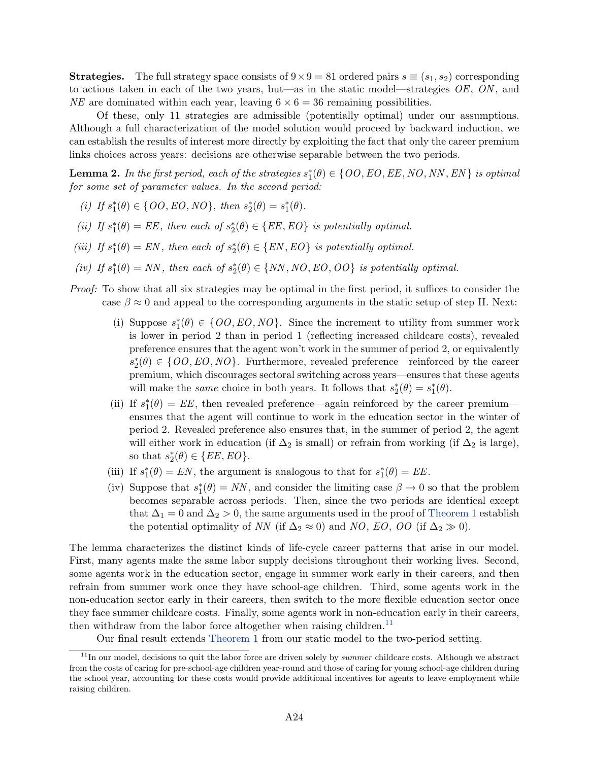**Strategies.** The full strategy space consists of  $9 \times 9 = 81$  ordered pairs  $s \equiv (s_1, s_2)$  corresponding to actions taken in each of the two years, but—as in the static model—strategies  $OE$ ,  $ON$ , and NE are dominated within each year, leaving  $6 \times 6 = 36$  remaining possibilities.

Of these, only 11 strategies are admissible (potentially optimal) under our assumptions. Although a full characterization of the model solution would proceed by backward induction, we can establish the results of interest more directly by exploiting the fact that only the career premium links choices across years: decisions are otherwise separable between the two periods.

**Lemma 2.** In the first period, each of the strategies  $s_1^*(\theta) \in \{OO, EO, EE, NO, NN, EN\}$  is optimal for some set of parameter values. In the second period:

- (i) If  $s_1^*(\theta) \in \{OO, EO, NO\}$ , then  $s_2^*(\theta) = s_1^*(\theta)$ .
- (ii) If  $s_1^*(\theta) = EE$ , then each of  $s_2^*(\theta) \in \{EE, EO\}$  is potentially optimal.
- (iii) If  $s_1^*(\theta) = EN$ , then each of  $s_2^*(\theta) \in \{EN, EO\}$  is potentially optimal.
- (iv) If  $s_1^*(\theta) = NN$ , then each of  $s_2^*(\theta) \in \{NN, NO, EO, OO\}$  is potentially optimal.
- Proof: To show that all six strategies may be optimal in the first period, it suffices to consider the case  $\beta \approx 0$  and appeal to the corresponding arguments in the static setup of step II. Next:
	- (i) Suppose  $s_1^*(\theta) \in \{OO,EO, NO\}$ . Since the increment to utility from summer work is lower in period 2 than in period 1 (reflecting increased childcare costs), revealed preference ensures that the agent won't work in the summer of period 2, or equivalently  $s_2^*(\theta) \in \{OO,EO, NO\}$ . Furthermore, revealed preference—reinforced by the career premium, which discourages sectoral switching across years—ensures that these agents will make the *same* choice in both years. It follows that  $s_2^*(\theta) = s_1^*(\theta)$ .
	- (ii) If  $s_1^*(\theta) = EE$ , then revealed preference—again reinforced by the career premium ensures that the agent will continue to work in the education sector in the winter of period 2. Revealed preference also ensures that, in the summer of period 2, the agent will either work in education (if  $\Delta_2$  is small) or refrain from working (if  $\Delta_2$  is large), so that  $s_2^*(\theta) \in \{EE, EO\}.$
	- (iii) If  $s_1^*(\theta) = EN$ , the argument is analogous to that for  $s_1^*(\theta) = EE$ .
	- (iv) Suppose that  $s_1^*(\theta) = NN$ , and consider the limiting case  $\beta \to 0$  so that the problem becomes separable across periods. Then, since the two periods are identical except that  $\Delta_1 = 0$  and  $\Delta_2 > 0$ , the same arguments used in the proof of [Theorem 1](#page-55-0) establish the potential optimality of NN (if  $\Delta_2 \approx 0$ ) and NO, EO, OO (if  $\Delta_2 \gg 0$ ).

The lemma characterizes the distinct kinds of life-cycle career patterns that arise in our model. First, many agents make the same labor supply decisions throughout their working lives. Second, some agents work in the education sector, engage in summer work early in their careers, and then refrain from summer work once they have school-age children. Third, some agents work in the non-education sector early in their careers, then switch to the more flexible education sector once they face summer childcare costs. Finally, some agents work in non-education early in their careers, then withdraw from the labor force altogether when raising children.<sup>[11](#page-57-0)</sup>

<span id="page-57-0"></span>Our final result extends [Theorem 1](#page-55-0) from our static model to the two-period setting.

 $11$ In our model, decisions to quit the labor force are driven solely by *summer* childcare costs. Although we abstract from the costs of caring for pre-school-age children year-round and those of caring for young school-age children during the school year, accounting for these costs would provide additional incentives for agents to leave employment while raising children.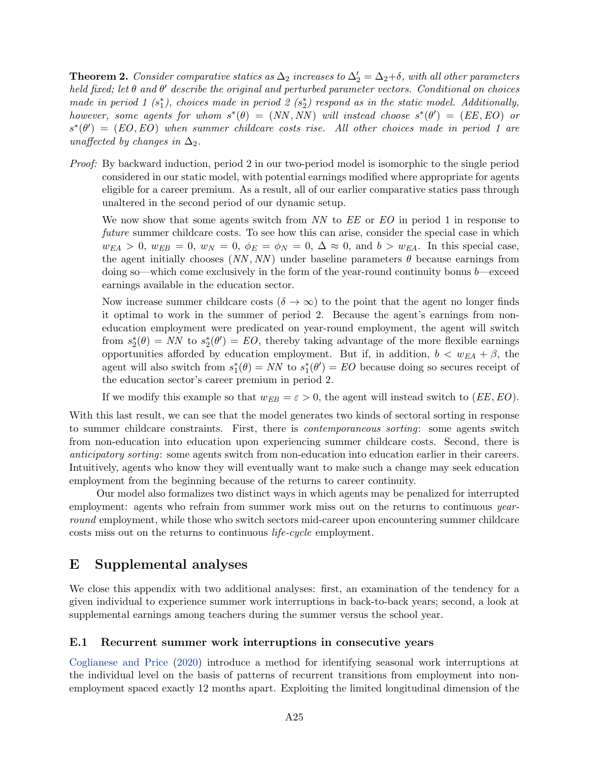**Theorem 2.** Consider comparative statics as  $\Delta_2$  increases to  $\Delta'_2 = \Delta_2 + \delta$ , with all other parameters held fixed; let  $\theta$  and  $\theta'$  describe the original and perturbed parameter vectors. Conditional on choices made in period 1  $(s_1^*)$ , choices made in period 2  $(s_2^*)$  respond as in the static model. Additionally, however, some agents for whom  $s^*(\theta) = (NN, NN)$  will instead choose  $s^*(\theta') = (EE, EO)$  or  $s^*(\theta') = (EO, EO)$  when summer childcare costs rise. All other choices made in period 1 are unaffected by changes in  $\Delta_2$ .

Proof: By backward induction, period 2 in our two-period model is isomorphic to the single period considered in our static model, with potential earnings modified where appropriate for agents eligible for a career premium. As a result, all of our earlier comparative statics pass through unaltered in the second period of our dynamic setup.

We now show that some agents switch from NN to  $EE$  or  $EO$  in period 1 in response to future summer childcare costs. To see how this can arise, consider the special case in which  $w_{EA} > 0$ ,  $w_{EB} = 0$ ,  $w_N = 0$ ,  $\phi_E = \phi_N = 0$ ,  $\Delta \approx 0$ , and  $b > w_{EA}$ . In this special case, the agent initially chooses  $(NN, NN)$  under baseline parameters  $\theta$  because earnings from doing so—which come exclusively in the form of the year-round continuity bonus  $b$ —exceed earnings available in the education sector.

Now increase summer childcare costs ( $\delta \to \infty$ ) to the point that the agent no longer finds it optimal to work in the summer of period 2. Because the agent's earnings from noneducation employment were predicated on year-round employment, the agent will switch from  $s_2^*(\theta) = NN$  to  $s_2^*(\theta') = EO$ , thereby taking advantage of the more flexible earnings opportunities afforded by education employment. But if, in addition,  $b < w_{EA} + \beta$ , the agent will also switch from  $s_1^*(\theta) = NN$  to  $s_1^*(\theta') = EO$  because doing so secures receipt of the education sector's career premium in period 2.

If we modify this example so that  $w_{EB} = \varepsilon > 0$ , the agent will instead switch to  $(EE, EO)$ .

With this last result, we can see that the model generates two kinds of sectoral sorting in response to summer childcare constraints. First, there is contemporaneous sorting: some agents switch from non-education into education upon experiencing summer childcare costs. Second, there is anticipatory sorting: some agents switch from non-education into education earlier in their careers. Intuitively, agents who know they will eventually want to make such a change may seek education employment from the beginning because of the returns to career continuity.

Our model also formalizes two distinct ways in which agents may be penalized for interrupted employment: agents who refrain from summer work miss out on the returns to continuous *year*round employment, while those who switch sectors mid-career upon encountering summer childcare costs miss out on the returns to continuous life-cycle employment.

# E Supplemental analyses

We close this appendix with two additional analyses: first, an examination of the tendency for a given individual to experience summer work interruptions in back-to-back years; second, a look at supplemental earnings among teachers during the summer versus the school year.

## <span id="page-58-0"></span>E.1 Recurrent summer work interruptions in consecutive years

[Coglianese and Price](#page-31-10) [\(2020\)](#page-31-10) introduce a method for identifying seasonal work interruptions at the individual level on the basis of patterns of recurrent transitions from employment into nonemployment spaced exactly 12 months apart. Exploiting the limited longitudinal dimension of the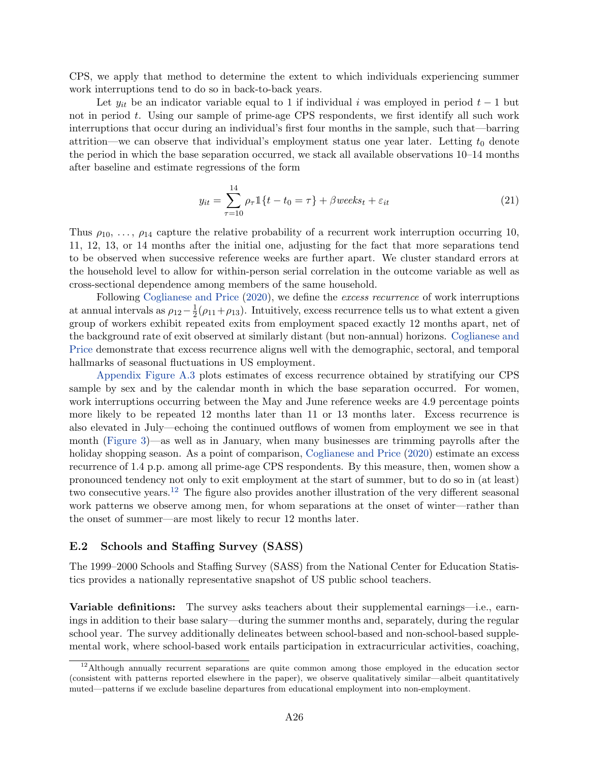CPS, we apply that method to determine the extent to which individuals experiencing summer work interruptions tend to do so in back-to-back years.

Let  $y_{it}$  be an indicator variable equal to 1 if individual i was employed in period  $t-1$  but not in period t. Using our sample of prime-age CPS respondents, we first identify all such work interruptions that occur during an individual's first four months in the sample, such that—barring attrition—we can observe that individual's employment status one year later. Letting  $t_0$  denote the period in which the base separation occurred, we stack all available observations 10–14 months after baseline and estimate regressions of the form

<span id="page-59-1"></span>
$$
y_{it} = \sum_{\tau=10}^{14} \rho_{\tau} \mathbb{1}\{t - t_0 = \tau\} + \beta \text{ weeks}_{t} + \varepsilon_{it}
$$
\n(21)

Thus  $\rho_{10}, \ldots, \rho_{14}$  capture the relative probability of a recurrent work interruption occurring 10, 11, 12, 13, or 14 months after the initial one, adjusting for the fact that more separations tend to be observed when successive reference weeks are further apart. We cluster standard errors at the household level to allow for within-person serial correlation in the outcome variable as well as cross-sectional dependence among members of the same household.

Following [Coglianese and Price](#page-31-10) [\(2020\)](#page-31-10), we define the excess recurrence of work interruptions at annual intervals as  $\rho_{12} - \frac{1}{2}$  $\frac{1}{2}(\rho_{11}+\rho_{13})$ . Intuitively, excess recurrence tells us to what extent a given group of workers exhibit repeated exits from employment spaced exactly 12 months apart, net of the background rate of exit observed at similarly distant (but non-annual) horizons. [Coglianese and](#page-31-10) [Price](#page-31-10) demonstrate that excess recurrence aligns well with the demographic, sectoral, and temporal hallmarks of seasonal fluctuations in US employment.

[Appendix Figure A.3](#page-35-0) plots estimates of excess recurrence obtained by stratifying our CPS sample by sex and by the calendar month in which the base separation occurred. For women, work interruptions occurring between the May and June reference weeks are 4.9 percentage points more likely to be repeated 12 months later than 11 or 13 months later. Excess recurrence is also elevated in July—echoing the continued outflows of women from employment we see in that month [\(Figure 3\)](#page-9-1)—as well as in January, when many businesses are trimming payrolls after the holiday shopping season. As a point of comparison, [Coglianese and Price](#page-31-10) [\(2020\)](#page-31-10) estimate an excess recurrence of 1.4 p.p. among all prime-age CPS respondents. By this measure, then, women show a pronounced tendency not only to exit employment at the start of summer, but to do so in (at least) two consecutive years.[12](#page-59-2) The figure also provides another illustration of the very different seasonal work patterns we observe among men, for whom separations at the onset of winter—rather than the onset of summer—are most likely to recur 12 months later.

### <span id="page-59-0"></span>E.2 Schools and Staffing Survey (SASS)

The 1999–2000 Schools and Staffing Survey (SASS) from the National Center for Education Statistics provides a nationally representative snapshot of US public school teachers.

Variable definitions: The survey asks teachers about their supplemental earnings—i.e., earnings in addition to their base salary—during the summer months and, separately, during the regular school year. The survey additionally delineates between school-based and non-school-based supplemental work, where school-based work entails participation in extracurricular activities, coaching,

<span id="page-59-2"></span> $12$ Although annually recurrent separations are quite common among those employed in the education sector (consistent with patterns reported elsewhere in the paper), we observe qualitatively similar—albeit quantitatively muted—patterns if we exclude baseline departures from educational employment into non-employment.